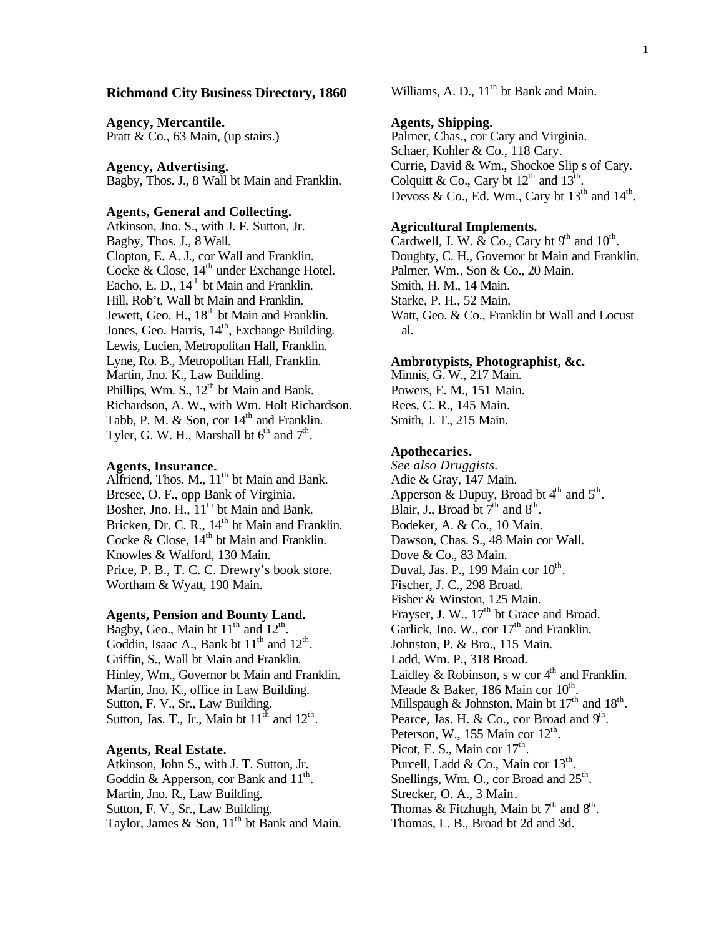## **Richmond City Business Directory, 1860**

**Agency, Mercantile.** Pratt & Co., 63 Main, (up stairs.)

**Agency, Advertising.** Bagby, Thos. J., 8 Wall bt Main and Franklin.

#### **Agents, General and Collecting.**

Atkinson, Jno. S., with J. F. Sutton, Jr. Bagby, Thos. J., 8 Wall. Clopton, E. A. J., cor Wall and Franklin. Cocke & Close, 14<sup>th</sup> under Exchange Hotel. Eacho, E. D.,  $14<sup>th</sup>$  bt Main and Franklin. Hill, Rob't, Wall bt Main and Franklin. Jewett, Geo. H., 18<sup>th</sup> bt Main and Franklin. Jones, Geo. Harris, 14<sup>th</sup>, Exchange Building. Lewis, Lucien, Metropolitan Hall, Franklin. Lyne, Ro. B., Metropolitan Hall, Franklin. Martin, Jno. K., Law Building. Phillips, Wm. S.,  $12<sup>th</sup>$  bt Main and Bank. Richardson, A. W., with Wm. Holt Richardson. Tabb, P. M.  $&$  Son, cor  $14<sup>th</sup>$  and Franklin. Tyler, G. W. H., Marshall bt  $6<sup>th</sup>$  and  $7<sup>th</sup>$ .

#### **Agents, Insurance.**

Alfriend, Thos.  $M_{\cdot}$ ,  $11^{\text{th}}$  bt Main and Bank. Bresee, O. F., opp Bank of Virginia. Bosher, Jno. H.,  $11<sup>th</sup>$  bt Main and Bank. Bricken, Dr. C. R., 14<sup>th</sup> bt Main and Franklin. Cocke & Close,  $14<sup>th</sup>$  bt Main and Franklin. Knowles & Walford, 130 Main. Price, P. B., T. C. C. Drewry's book store. Wortham & Wyatt, 190 Main.

## **Agents, Pension and Bounty Land.**

Bagby, Geo., Main bt  $11<sup>th</sup>$  and  $12<sup>th</sup>$ . Goddin, Isaac A., Bank bt  $11<sup>th</sup>$  and  $12<sup>th</sup>$ . Griffin, S., Wall bt Main and Franklin. Hinley, Wm., Governor bt Main and Franklin. Martin, Jno. K., office in Law Building. Sutton, F. V., Sr., Law Building. Sutton, Jas. T., Jr., Main bt  $11^{\text{th}}$  and  $12^{\text{th}}$ .

#### **Agents, Real Estate.**

Atkinson, John S., with J. T. Sutton, Jr. Goddin & Apperson, cor Bank and  $11<sup>th</sup>$ . Martin, Jno. R., Law Building. Sutton, F. V., Sr., Law Building. Taylor, James & Son,  $11<sup>th</sup>$  bt Bank and Main. Williams, A. D.,  $11<sup>th</sup>$  bt Bank and Main.

## **Agents, Shipping.**

Palmer, Chas., cor Cary and Virginia. Schaer, Kohler & Co., 118 Cary. Currie, David & Wm., Shockoe Slip s of Cary. Colquitt & Co., Cary bt  $12^{th}$  and  $13^{th}$ . Devoss & Co., Ed. Wm., Cary bt  $13<sup>th</sup>$  and  $14<sup>th</sup>$ .

## **Agricultural Implements.**

Cardwell, J. W. & Co., Cary bt  $9<sup>th</sup>$  and  $10<sup>th</sup>$ . Doughty, C. H., Governor bt Main and Franklin. Palmer, Wm., Son & Co., 20 Main. Smith, H. M., 14 Main. Starke, P. H., 52 Main. Watt, Geo. & Co., Franklin bt Wall and Locust al.

#### **Ambrotypists, Photographist, &c.**

Minnis, G. W., 217 Main. Powers, E. M., 151 Main. Rees, C. R., 145 Main. Smith, J. T., 215 Main.

#### **Apothecaries.**

*See also Druggists.* Adie & Gray, 147 Main. Apperson & Dupuy, Broad bt  $4<sup>th</sup>$  and  $5<sup>th</sup>$ . Blair, J., Broad bt  $7<sup>th</sup>$  and  $8<sup>th</sup>$ . Bodeker, A. & Co., 10 Main. Dawson, Chas. S., 48 Main cor Wall. Dove & Co., 83 Main. Duval, Jas. P., 199 Main cor  $10^{th}$ . Fischer, J. C., 298 Broad. Fisher & Winston, 125 Main. Frayser, J. W.,  $17<sup>th</sup>$  bt Grace and Broad. Garlick, Jno. W., cor  $17<sup>th</sup>$  and Franklin. Johnston, P. & Bro., 115 Main. Ladd, Wm. P., 318 Broad. Laidley & Robinson, s w cor  $4<sup>th</sup>$  and Franklin. Meade & Baker, 186 Main cor  $10^{th}$ . Millspaugh & Johnston, Main bt  $17<sup>th</sup>$  and  $18<sup>th</sup>$ . Pearce, Jas. H. & Co., cor Broad and  $9<sup>th</sup>$ . Peterson, W., 155 Main cor  $12<sup>th</sup>$ . Picot, E. S., Main cor  $17<sup>th</sup>$ . Purcell, Ladd & Co., Main cor  $13<sup>th</sup>$ . Snellings, Wm. O., cor Broad and  $25^{\text{th}}$ . Strecker, O. A., 3 Main. Thomas & Fitzhugh, Main bt  $7<sup>th</sup>$  and  $8<sup>th</sup>$ . Thomas, L. B., Broad bt 2d and 3d.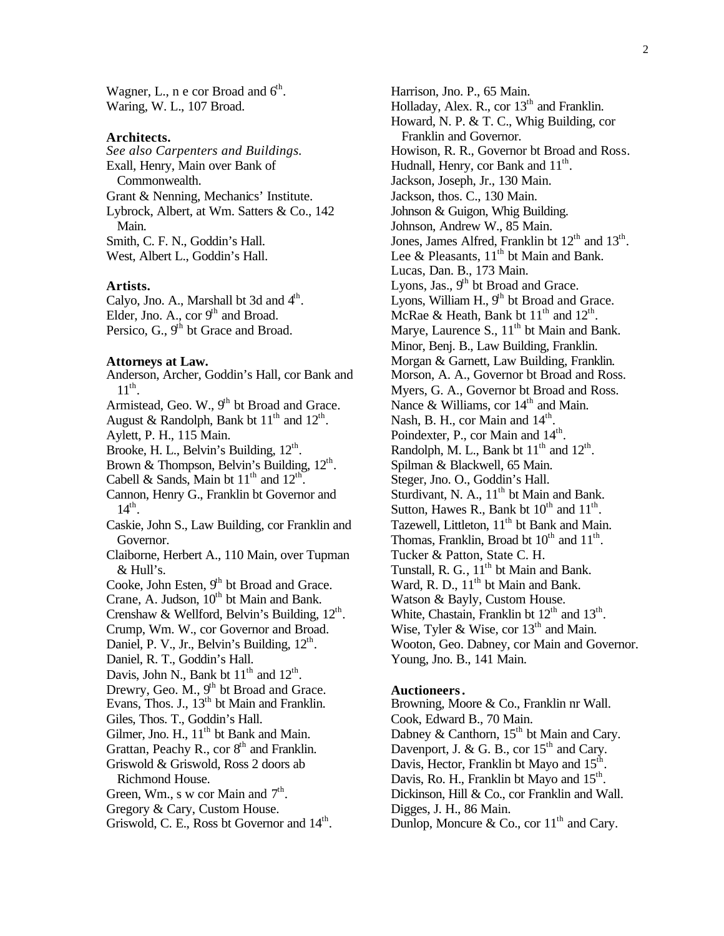Wagner, L., n e cor Broad and  $6<sup>th</sup>$ . Waring, W. L., 107 Broad.

#### **Architects.**

*See also Carpenters and Buildings.* Exall, Henry, Main over Bank of Commonwealth. Grant & Nenning, Mechanics' Institute. Lybrock, Albert, at Wm. Satters & Co., 142 Main. Smith, C. F. N., Goddin's Hall. West, Albert L., Goddin's Hall.

#### **Artists.**

Calyo, Jno. A., Marshall bt 3d and  $4<sup>th</sup>$ . Elder, Jno. A., cor 9<sup>th</sup> and Broad. Persico, G.,  $9<sup>th</sup>$  bt Grace and Broad.

#### **Attorneys at Law.**

Anderson, Archer, Goddin's Hall, cor Bank and  $11^{\text{th}}$ . Armistead, Geo. W., 9<sup>th</sup> bt Broad and Grace. August & Randolph, Bank bt  $11<sup>th</sup>$  and  $12<sup>th</sup>$ . Aylett, P. H., 115 Main. Brooke, H. L., Belvin's Building,  $12<sup>th</sup>$ . Brown & Thompson, Belvin's Building,  $12^{\text{th}}$ . Cabell & Sands, Main bt  $11<sup>th</sup>$  and  $12<sup>th</sup>$ . Cannon, Henry G., Franklin bt Governor and  $14<sup>th</sup>$ . Caskie, John S., Law Building, cor Franklin and Governor. Claiborne, Herbert A., 110 Main, over Tupman & Hull's. Cooke, John Esten,  $9<sup>th</sup>$  bt Broad and Grace. Crane, A. Judson,  $10^{th}$  bt Main and Bank. Crenshaw & Wellford, Belvin's Building,  $12^{\text{th}}$ . Crump, Wm. W., cor Governor and Broad. Daniel, P. V., Jr., Belvin's Building, 12<sup>th</sup>. Daniel, R. T., Goddin's Hall. Davis, John N., Bank bt  $11<sup>th</sup>$  and  $12<sup>th</sup>$ . Drewry, Geo. M.,  $9<sup>th</sup>$  bt Broad and Grace. Evans, Thos. J.,  $13<sup>th</sup>$  bt Main and Franklin. Giles, Thos. T., Goddin's Hall. Gilmer, Jno. H.,  $11<sup>th</sup>$  bt Bank and Main. Grattan, Peachy R., cor  $8<sup>th</sup>$  and Franklin. Griswold & Griswold, Ross 2 doors ab Richmond House. Green, Wm., s w cor Main and  $7<sup>th</sup>$ . Gregory & Cary, Custom House. Griswold, C. E., Ross bt Governor and  $14^{\text{th}}$ .

Harrison, Jno. P., 65 Main. Holladay, Alex. R., cor  $13<sup>th</sup>$  and Franklin. Howard, N. P. & T. C., Whig Building, cor Franklin and Governor. Howison, R. R., Governor bt Broad and Ross. Hudnall, Henry, cor Bank and  $11<sup>th</sup>$ . Jackson, Joseph, Jr., 130 Main. Jackson, thos. C., 130 Main. Johnson & Guigon, Whig Building. Johnson, Andrew W., 85 Main. Jones, James Alfred, Franklin bt  $12<sup>th</sup>$  and  $13<sup>th</sup>$ . Lee  $\&$  Pleasants,  $11^{th}$  bt Main and Bank. Lucas, Dan. B., 173 Main. Lyons, Jas.,  $9<sup>th</sup>$  bt Broad and Grace. Lyons, William H.,  $9<sup>th</sup>$  bt Broad and Grace. McRae & Heath, Bank bt  $11<sup>th</sup>$  and  $12<sup>th</sup>$ . Marye, Laurence S.,  $11<sup>th</sup>$  bt Main and Bank. Minor, Benj. B., Law Building, Franklin. Morgan & Garnett, Law Building, Franklin. Morson, A. A., Governor bt Broad and Ross. Myers, G. A., Governor bt Broad and Ross. Nance & Williams, cor  $14<sup>th</sup>$  and Main. Nash, B. H., cor Main and  $14<sup>th</sup>$ . Poindexter, P., cor Main and 14<sup>th</sup>. Randolph, M. L., Bank bt  $11<sup>th</sup>$  and  $12<sup>th</sup>$ . Spilman & Blackwell, 65 Main. Steger, Jno. O., Goddin's Hall. Sturdivant, N. A.,  $11<sup>th</sup>$  bt Main and Bank. Sutton, Hawes R., Bank bt  $10^{th}$  and  $11^{th}$ . Tazewell, Littleton,  $11<sup>th</sup>$  bt Bank and Main. Thomas, Franklin, Broad bt  $10^{th}$  and  $11^{th}$ . Tucker & Patton, State C. H. Tunstall, R. G.,  $11<sup>th</sup>$  bt Main and Bank. Ward, R. D.,  $11<sup>th</sup>$  bt Main and Bank. Watson & Bayly, Custom House. White, Chastain, Franklin bt  $12<sup>th</sup>$  and  $13<sup>th</sup>$ . Wise, Tyler & Wise, cor  $13<sup>th</sup>$  and Main. Wooton, Geo. Dabney, cor Main and Governor. Young, Jno. B., 141 Main.

## **Auctioneers.**

Browning, Moore & Co., Franklin nr Wall. Cook, Edward B., 70 Main. Dabney & Canthorn,  $15<sup>th</sup>$  bt Main and Cary. Davenport, J. & G. B., cor  $15<sup>th</sup>$  and Cary. Davis, Hector, Franklin bt Mayo and  $15^{\text{th}}$ . Davis, Ro. H., Franklin bt Mayo and  $15<sup>th</sup>$ . Dickinson, Hill & Co., cor Franklin and Wall. Digges, J. H., 86 Main. Dunlop, Moncure & Co., cor  $11<sup>th</sup>$  and Cary.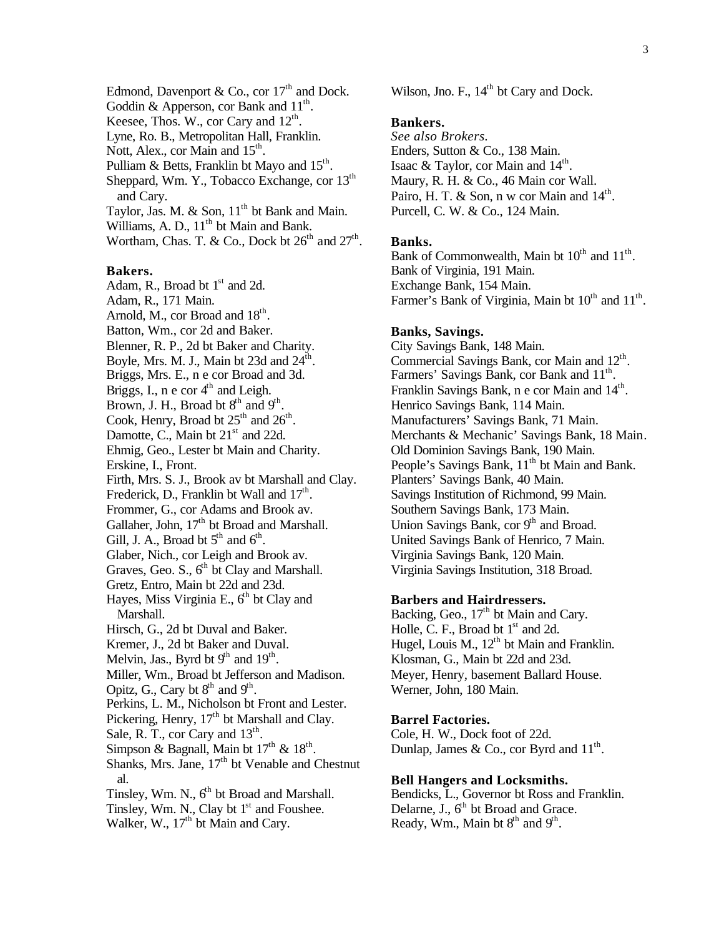Edmond, Davenport & Co., cor  $17<sup>th</sup>$  and Dock. Goddin & Apperson, cor Bank and  $11^{\text{th}}$ . Keesee, Thos. W., cor Cary and  $12<sup>th</sup>$ . Lyne, Ro. B., Metropolitan Hall, Franklin. Nott, Alex., cor Main and  $15<sup>th</sup>$ . Pulliam & Betts, Franklin bt Mayo and  $15^{th}$ . Sheppard, Wm. Y., Tobacco Exchange, cor 13<sup>th</sup> and Cary. Taylor, Jas. M.  $&$  Son,  $11<sup>th</sup>$  bt Bank and Main. Williams, A. D.,  $11<sup>th</sup>$  bt Main and Bank. Wortham, Chas. T. & Co., Dock bt  $26<sup>th</sup>$  and  $27<sup>th</sup>$ .

**Bakers.** Adam, R., Broad bt  $1<sup>st</sup>$  and 2d. Adam, R., 171 Main. Arnold, M., cor Broad and  $18<sup>th</sup>$ . Batton, Wm., cor 2d and Baker. Blenner, R. P., 2d bt Baker and Charity. Boyle, Mrs. M. J., Main bt 23d and  $24^{\text{th}}$ . Briggs, Mrs. E., n e cor Broad and 3d. Briggs, I.,  $n \text{ e cor } 4^{\text{th}}$  and Leigh. Brown, J. H., Broad bt  $8<sup>th</sup>$  and  $9<sup>th</sup>$ . Cook, Henry, Broad bt  $25<sup>th</sup>$  and  $26<sup>th</sup>$ . Damotte, C., Main bt 21<sup>st</sup> and 22d. Ehmig, Geo., Lester bt Main and Charity. Erskine, I., Front. Firth, Mrs. S. J., Brook av bt Marshall and Clay. Frederick, D., Franklin bt Wall and  $17<sup>th</sup>$ . Frommer, G., cor Adams and Brook av. Gallaher, John, 17<sup>th</sup> bt Broad and Marshall. Gill, J. A., Broad bt  $5<sup>th</sup>$  and  $6<sup>th</sup>$ . Glaber, Nich., cor Leigh and Brook av. Graves, Geo. S.,  $6<sup>th</sup>$  bt Clay and Marshall. Gretz, Entro, Main bt 22d and 23d. Hayes, Miss Virginia E.,  $6<sup>th</sup>$  bt Clay and Marshall. Hirsch, G., 2d bt Duval and Baker. Kremer, J., 2d bt Baker and Duval. Melvin, Jas., Byrd bt  $9<sup>th</sup>$  and  $19<sup>th</sup>$ . Miller, Wm., Broad bt Jefferson and Madison. Opitz, G., Cary bt  $8<sup>th</sup>$  and  $9<sup>th</sup>$ . Perkins, L. M., Nicholson bt Front and Lester. Pickering, Henry,  $17<sup>th</sup>$  bt Marshall and Clay. Sale, R. T., cor Cary and  $13<sup>th</sup>$ . Simpson & Bagnall, Main bt  $17<sup>th</sup>$  &  $18<sup>th</sup>$ . Shanks, Mrs. Jane,  $17<sup>th</sup>$  bt Venable and Chestnut al. Tinsley, Wm. N.,  $6<sup>th</sup>$  bt Broad and Marshall. Tinsley, Wm. N., Clay bt  $1<sup>st</sup>$  and Foushee. Walker, W., 17<sup>th</sup> bt Main and Cary.

Wilson, Jno. F., 14<sup>th</sup> bt Cary and Dock.

#### **Bankers.**

*See also Brokers.* Enders, Sutton & Co., 138 Main. Isaac & Taylor, cor Main and  $14<sup>th</sup>$ . Maury, R. H. & Co., 46 Main cor Wall. Pairo, H. T. & Son, n w cor Main and  $14^{\text{th}}$ . Purcell, C. W. & Co., 124 Main.

## **Banks.**

Bank of Commonwealth, Main bt  $10^{th}$  and  $11^{th}$ . Bank of Virginia, 191 Main. Exchange Bank, 154 Main. Farmer's Bank of Virginia, Main bt  $10^{th}$  and  $11^{th}$ .

## **Banks, Savings.**

City Savings Bank, 148 Main. Commercial Savings Bank, cor Main and 12<sup>th</sup>. Farmers' Savings Bank, cor Bank and 11<sup>th</sup>. Franklin Savings Bank, n e cor Main and 14<sup>th</sup>. Henrico Savings Bank, 114 Main. Manufacturers' Savings Bank, 71 Main. Merchants & Mechanic' Savings Bank, 18 Main. Old Dominion Savings Bank, 190 Main. People's Savings Bank, 11<sup>th</sup> bt Main and Bank. Planters' Savings Bank, 40 Main. Savings Institution of Richmond, 99 Main. Southern Savings Bank, 173 Main. Union Savings Bank,  $\text{cor } 9^{\text{th}}$  and Broad. United Savings Bank of Henrico, 7 Main. Virginia Savings Bank, 120 Main. Virginia Savings Institution, 318 Broad.

## **Barbers and Hairdressers.**

Backing, Geo.,  $17<sup>th</sup>$  bt Main and Cary. Holle, C. F., Broad bt  $1<sup>st</sup>$  and 2d. Hugel, Louis M.,  $12<sup>th</sup>$  bt Main and Franklin. Klosman, G., Main bt 22d and 23d. Meyer, Henry, basement Ballard House. Werner, John, 180 Main.

#### **Barrel Factories.**

Cole, H. W., Dock foot of 22d. Dunlap, James & Co., cor Byrd and  $11<sup>th</sup>$ .

#### **Bell Hangers and Locksmiths.**

Bendicks, L., Governor bt Ross and Franklin. Delarne, J.,  $6<sup>th</sup>$  bt Broad and Grace. Ready, Wm., Main bt  $8<sup>th</sup>$  and  $9<sup>th</sup>$ .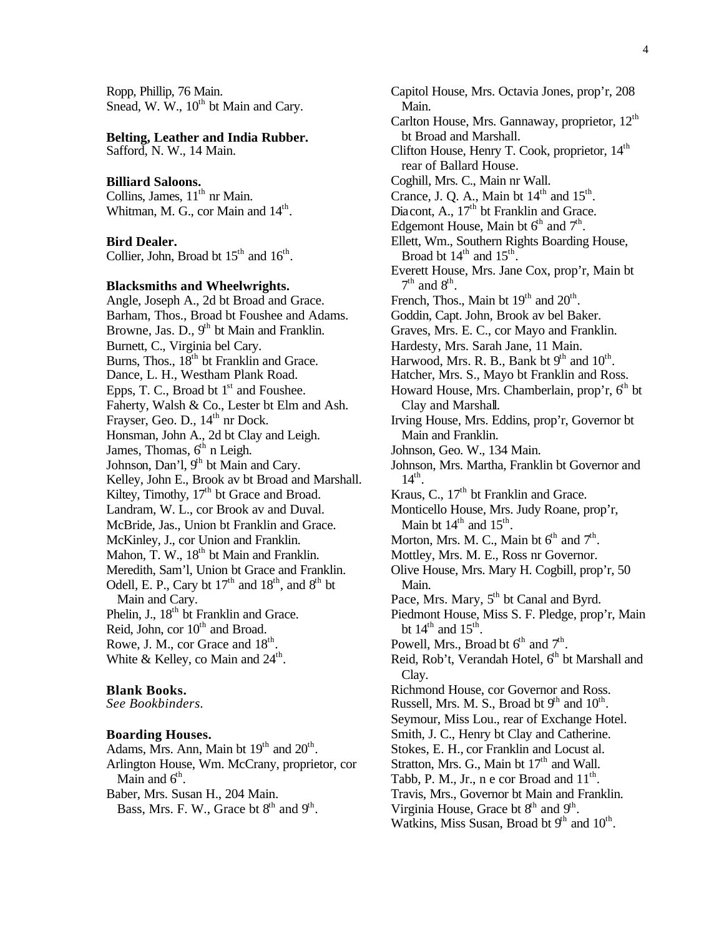Ropp, Phillip, 76 Main. Snead, W.  $W_1$ ,  $10^{th}$  bt Main and Cary.

#### **Belting, Leather and India Rubber.**

Safford, N. W., 14 Main.

## **Billiard Saloons.**

Collins, James, 11<sup>th</sup> nr Main. Whitman, M. G., cor Main and 14<sup>th</sup>.

#### **Bird Dealer.**

Collier, John, Broad bt  $15<sup>th</sup>$  and  $16<sup>th</sup>$ .

## **Blacksmiths and Wheelwrights.**

Angle, Joseph A., 2d bt Broad and Grace. Barham, Thos., Broad bt Foushee and Adams. Browne, Jas. D.,  $9<sup>th</sup>$  bt Main and Franklin. Burnett, C., Virginia bel Cary. Burns, Thos.,  $18<sup>th</sup>$  bt Franklin and Grace. Dance, L. H., Westham Plank Road. Epps, T. C., Broad bt  $1<sup>st</sup>$  and Foushee. Faherty, Walsh & Co., Lester bt Elm and Ash. Frayser, Geo. D.,  $14<sup>th</sup>$  nr Dock. Honsman, John A., 2d bt Clay and Leigh. James, Thomas,  $6<sup>th</sup>$  n Leigh. Johnson, Dan'l, 9<sup>th</sup> bt Main and Cary. Kelley, John E., Brook av bt Broad and Marshall. Kiltey, Timothy,  $17<sup>th</sup>$  bt Grace and Broad. Landram, W. L., cor Brook av and Duval. McBride, Jas., Union bt Franklin and Grace. McKinley, J., cor Union and Franklin. Mahon, T. W., 18<sup>th</sup> bt Main and Franklin. Meredith, Sam'l, Union bt Grace and Franklin. Odell, E. P., Cary bt  $17<sup>th</sup>$  and  $18<sup>th</sup>$ , and  $8<sup>th</sup>$  bt Main and Cary. Phelin, J., 18<sup>th</sup> bt Franklin and Grace. Reid, John, cor  $10^{th}$  and Broad. Rowe, J. M., cor Grace and  $18<sup>th</sup>$ . White & Kelley, co Main and  $24^{\text{th}}$ .

#### **Blank Books.**

*See Bookbinders.*

## **Boarding Houses.**

Adams, Mrs. Ann, Main bt  $19<sup>th</sup>$  and  $20<sup>th</sup>$ . Arlington House, Wm. McCrany, proprietor, cor Main and  $6<sup>th</sup>$ . Baber, Mrs. Susan H., 204 Main. Bass, Mrs. F. W., Grace bt  $8<sup>th</sup>$  and  $9<sup>th</sup>$ .

Capitol House, Mrs. Octavia Jones, prop'r, 208 Main. Carlton House, Mrs. Gannaway, proprietor, 12<sup>th</sup> bt Broad and Marshall. Clifton House, Henry T. Cook, proprietor,  $14<sup>th</sup>$ rear of Ballard House. Coghill, Mrs. C., Main nr Wall. Crance, J. Q. A., Main bt  $14<sup>th</sup>$  and  $15<sup>th</sup>$ . Diacont, A.,  $17<sup>th</sup>$  bt Franklin and Grace. Edgemont House, Main bt  $6<sup>th</sup>$  and  $7<sup>th</sup>$ . Ellett, Wm., Southern Rights Boarding House, Broad bt  $14<sup>th</sup>$  and  $15<sup>th</sup>$ . Everett House, Mrs. Jane Cox, prop'r, Main bt  $7<sup>th</sup>$  and  $8<sup>th</sup>$ . French, Thos., Main bt  $19<sup>th</sup>$  and  $20<sup>th</sup>$ . Goddin, Capt. John, Brook av bel Baker. Graves, Mrs. E. C., cor Mayo and Franklin. Hardesty, Mrs. Sarah Jane, 11 Main. Harwood, Mrs. R. B., Bank bt  $9<sup>th</sup>$  and  $10<sup>th</sup>$ . Hatcher, Mrs. S., Mayo bt Franklin and Ross. Howard House, Mrs. Chamberlain, prop'r,  $6<sup>th</sup>$  bt Clay and Marshall. Irving House, Mrs. Eddins, prop'r, Governor bt Main and Franklin. Johnson, Geo. W., 134 Main. Johnson, Mrs. Martha, Franklin bt Governor and  $14<sup>th</sup>$ . Kraus, C.,  $17<sup>th</sup>$  bt Franklin and Grace. Monticello House, Mrs. Judy Roane, prop'r, Main bt  $14^{\text{th}}$  and  $15^{\text{th}}$ . Morton, Mrs. M. C., Main bt  $6<sup>th</sup>$  and  $7<sup>th</sup>$ . Mottley, Mrs. M. E., Ross nr Governor. Olive House, Mrs. Mary H. Cogbill, prop'r, 50 Main. Pace, Mrs. Mary, 5<sup>th</sup> bt Canal and Byrd. Piedmont House, Miss S. F. Pledge, prop'r, Main bt  $14^{\text{th}}$  and  $15^{\text{th}}$ . Powell, Mrs., Broad bt  $6^{th}$  and  $7^{th}$ . Reid, Rob't, Verandah Hotel,  $6<sup>th</sup>$  bt Marshall and Clay. Richmond House, cor Governor and Ross. Russell, Mrs. M. S., Broad bt  $9<sup>th</sup>$  and  $10<sup>th</sup>$ . Seymour, Miss Lou., rear of Exchange Hotel. Smith, J. C., Henry bt Clay and Catherine. Stokes, E. H., cor Franklin and Locust al. Stratton, Mrs. G., Main bt  $17<sup>th</sup>$  and Wall. Tabb, P. M., Jr., n e cor Broad and  $11<sup>th</sup>$ . Travis, Mrs., Governor bt Main and Franklin. Virginia House, Grace bt  $8<sup>th</sup>$  and  $9<sup>th</sup>$ .

Watkins, Miss Susan, Broad bt  $9<sup>th</sup>$  and  $10<sup>th</sup>$ .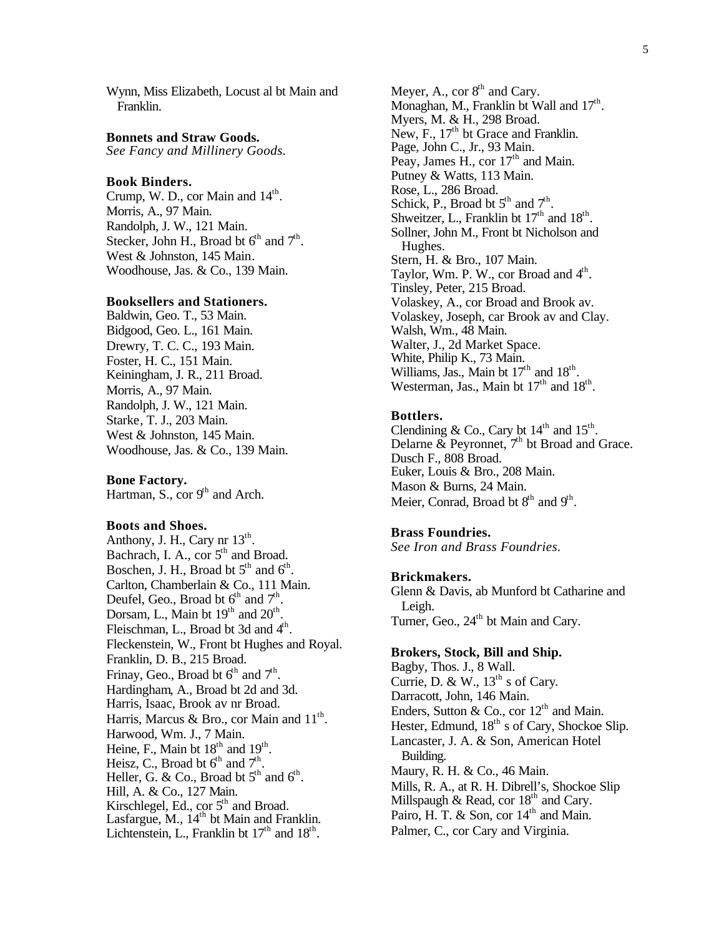Wynn, Miss Elizabeth, Locust al bt Main and Franklin.

#### **Bonnets and Straw Goods.**

*See Fancy and Millinery Goods.*

#### **Book Binders.**

Crump, W. D., cor Main and  $14<sup>th</sup>$ . Morris, A., 97 Main. Randolph, J. W., 121 Main. Stecker, John H., Broad bt  $6<sup>th</sup>$  and  $7<sup>th</sup>$ . West & Johnston, 145 Main. Woodhouse, Jas. & Co., 139 Main.

#### **Booksellers and Stationers.**

Baldwin, Geo. T., 53 Main. Bidgood, Geo. L., 161 Main. Drewry, T. C. C., 193 Main. Foster, H. C., 151 Main. Keiningham, J. R., 211 Broad. Morris, A., 97 Main. Randolph, J. W., 121 Main. Starke, T. J., 203 Main. West & Johnston, 145 Main. Woodhouse, Jas. & Co., 139 Main.

**Bone Factory.** Hartman, S., cor  $9<sup>th</sup>$  and Arch.

#### **Boots and Shoes.**

Anthony, J. H., Cary nr  $13<sup>th</sup>$ . Bachrach, I. A., cor  $5<sup>th</sup>$  and Broad. Boschen, J. H., Broad bt  $5<sup>th</sup>$  and  $6<sup>th</sup>$ . Carlton, Chamberlain & Co., 111 Main. Deufel, Geo., Broad bt  $6<sup>th</sup>$  and  $7<sup>th</sup>$ . Dorsam, L., Main bt  $19<sup>th</sup>$  and  $20<sup>th</sup>$ . Fleischman, L., Broad bt 3d and 4<sup>th</sup>. Fleckenstein, W., Front bt Hughes and Royal. Franklin, D. B., 215 Broad. Frinay, Geo., Broad bt  $6^{th}$  and  $7^{th}$ . Hardingham, A., Broad bt 2d and 3d. Harris, Isaac, Brook av nr Broad. Harris, Marcus & Bro., cor Main and  $11<sup>th</sup>$ . Harwood, Wm. J., 7 Main. Heine, F., Main bt  $18<sup>th</sup>$  and  $19<sup>th</sup>$ . Heisz, C., Broad bt  $6<sup>th</sup>$  and  $7<sup>th</sup>$ . Heller, G. & Co., Broad bt  $5<sup>th</sup>$  and  $6<sup>th</sup>$ . Hill, A. & Co., 127 Main. Kirschlegel, Ed., cor 5<sup>th</sup> and Broad. Lasfargue,  $M_{\cdot}$ ,  $14^{\text{th}}$  bt Main and Franklin. Lichtenstein, L., Franklin bt  $17<sup>th</sup>$  and  $18<sup>th</sup>$ .

Meyer, A., cor  $8<sup>th</sup>$  and Cary. Monaghan, M., Franklin bt Wall and  $17<sup>th</sup>$ . Myers, M. & H., 298 Broad. New, F.,  $17<sup>th</sup>$  bt Grace and Franklin. Page, John C., Jr., 93 Main. Peay, James H., cor 17<sup>th</sup> and Main. Putney & Watts, 113 Main. Rose, L., 286 Broad. Schick, P., Broad bt  $5<sup>th</sup>$  and  $7<sup>th</sup>$ . Shweitzer, L., Franklin bt  $17<sup>th</sup>$  and  $18<sup>th</sup>$ . Sollner, John M., Front bt Nicholson and Hughes. Stern, H. & Bro., 107 Main. Taylor, Wm. P. W., cor Broad and 4<sup>th</sup>. Tinsley, Peter, 215 Broad. Volaskey, A., cor Broad and Brook av. Volaskey, Joseph, car Brook av and Clay. Walsh, Wm., 48 Main. Walter, J., 2d Market Space. White, Philip K., 73 Main. Williams, Jas., Main bt  $17<sup>th</sup>$  and  $18<sup>th</sup>$ . Westerman, Jas., Main bt  $17<sup>th</sup>$  and  $18<sup>th</sup>$ .

#### **Bottlers.**

Clendining & Co., Cary bt  $14<sup>th</sup>$  and  $15<sup>th</sup>$ . Delarne  $\&$  Peyronnet,  $7<sup>th</sup>$  bt Broad and Grace. Dusch F., 808 Broad. Euker, Louis & Bro., 208 Main. Mason & Burns, 24 Main. Meier, Conrad, Broad bt 8<sup>th</sup> and 9<sup>th</sup>.

#### **Brass Foundries.**

*See Iron and Brass Foundries.*

#### **Brickmakers.**

Glenn & Davis, ab Munford bt Catharine and Leigh. Turner, Geo., 24<sup>th</sup> bt Main and Cary.

#### **Brokers, Stock, Bill and Ship.**

Bagby, Thos. J., 8 Wall. Currie, D. & W.,  $13^{th}$  s of Cary. Darracott, John, 146 Main. Enders, Sutton & Co., cor  $12<sup>th</sup>$  and Main. Hester, Edmund,  $18<sup>th</sup>$  s of Cary, Shockoe Slip. Lancaster, J. A. & Son, American Hotel Building. Maury, R. H. & Co., 46 Main. Mills, R. A., at R. H. Dibrell's, Shockoe Slip Millspaugh  $\&$  Read, cor  $18<sup>th</sup>$  and Cary. Pairo, H. T. & Son, cor  $14<sup>th</sup>$  and Main. Palmer, C., cor Cary and Virginia.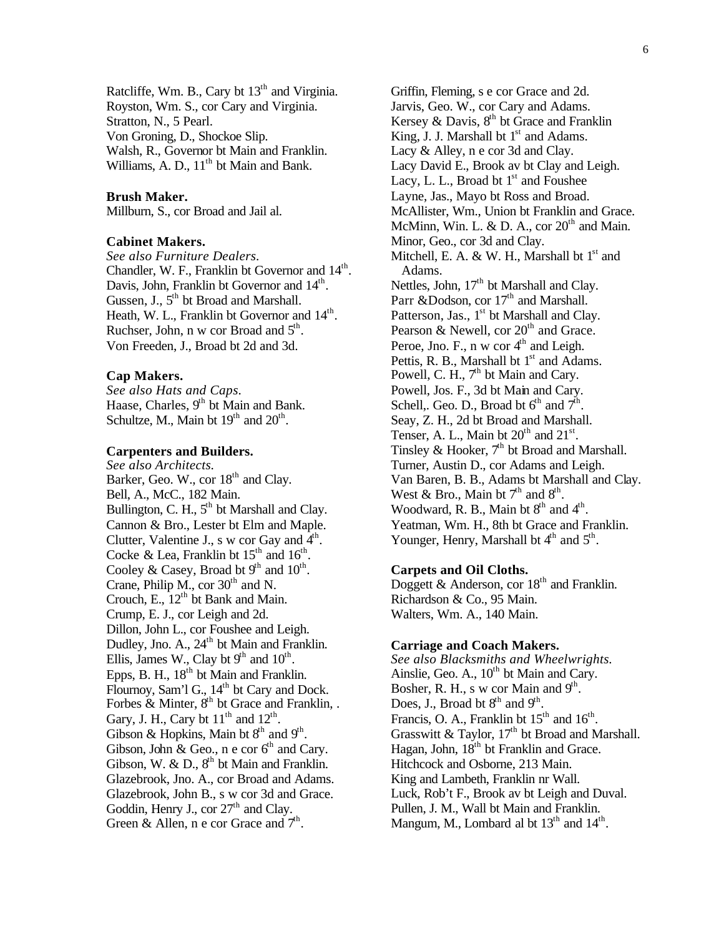Ratcliffe, Wm. B., Cary bt 13<sup>th</sup> and Virginia. Royston, Wm. S., cor Cary and Virginia. Stratton, N., 5 Pearl. Von Groning, D., Shockoe Slip. Walsh, R., Governor bt Main and Franklin. Williams, A. D.,  $11<sup>th</sup>$  bt Main and Bank.

## **Brush Maker.**

Millburn, S., cor Broad and Jail al.

## **Cabinet Makers.**

*See also Furniture Dealers.* Chandler, W. F., Franklin bt Governor and 14<sup>th</sup>. Davis, John, Franklin bt Governor and  $14^{\text{th}}$ . Gussen, J.,  $5<sup>th</sup>$  bt Broad and Marshall. Heath, W. L., Franklin bt Governor and 14<sup>th</sup>. Ruchser, John, n w cor Broad and  $5<sup>th</sup>$ . Von Freeden, J., Broad bt 2d and 3d.

## **Cap Makers.**

*See also Hats and Caps.* Haase, Charles, 9<sup>th</sup> bt Main and Bank. Schultze, M., Main bt  $19<sup>th</sup>$  and  $20<sup>th</sup>$ .

## **Carpenters and Builders.**

*See also Architects.* Barker, Geo. W., cor 18<sup>th</sup> and Clay. Bell, A., McC., 182 Main. Bullington, C. H.,  $5<sup>th</sup>$  bt Marshall and Clay. Cannon & Bro., Lester bt Elm and Maple. Clutter, Valentine J., s w cor Gay and  $\hat{4}^{\text{th}}$ . Cocke & Lea, Franklin bt  $15<sup>th</sup>$  and  $16<sup>th</sup>$ . Cooley & Casey, Broad bt  $9<sup>th</sup>$  and  $10<sup>th</sup>$ . Crane, Philip M., cor  $30<sup>th</sup>$  and N. Crouch, E.,  $12<sup>th</sup>$  bt Bank and Main. Crump, E. J., cor Leigh and 2d. Dillon, John L., cor Foushee and Leigh. Dudley, Jno. A., 24<sup>th</sup> bt Main and Franklin. Ellis, James W., Clay bt  $9<sup>th</sup>$  and  $10<sup>th</sup>$ . Epps, B. H., 18<sup>th</sup> bt Main and Franklin. Flournoy, Sam'l G.,  $14<sup>th</sup>$  bt Cary and Dock. Forbes & Minter,  $8<sup>th</sup>$  bt Grace and Franklin, . Gary, J. H., Cary bt  $11<sup>th</sup>$  and  $12<sup>th</sup>$ . Gibson & Hopkins, Main bt  $8<sup>th</sup>$  and  $9<sup>th</sup>$ . Gibson, John & Geo., n e cor  $6<sup>th</sup>$  and Cary. Gibson, W. & D.,  $8<sup>th</sup>$  bt Main and Franklin. Glazebrook, Jno. A., cor Broad and Adams. Glazebrook, John B., s w cor 3d and Grace. Goddin, Henry J., cor  $27<sup>th</sup>$  and Clay. Green & Allen, n e cor Grace and  $7<sup>th</sup>$ .

Griffin, Fleming, s e cor Grace and 2d. Jarvis, Geo. W., cor Cary and Adams. Kersey & Davis,  $8<sup>th</sup>$  bt Grace and Franklin King, J. J. Marshall bt  $1<sup>st</sup>$  and Adams. Lacy & Alley, n e cor 3d and Clay. Lacy David E., Brook av bt Clay and Leigh. Lacy, L. L., Broad bt  $1<sup>st</sup>$  and Foushee Layne, Jas., Mayo bt Ross and Broad. McAllister, Wm., Union bt Franklin and Grace. McMinn, Win. L. & D. A., cor  $20<sup>th</sup>$  and Main. Minor, Geo., cor 3d and Clay. Mitchell, E. A. & W. H., Marshall bt  $1<sup>st</sup>$  and Adams. Nettles, John, 17<sup>th</sup> bt Marshall and Clay. Parr &Dodson, cor 17<sup>th</sup> and Marshall. Patterson, Jas., 1<sup>st</sup> bt Marshall and Clay. Pearson & Newell, cor  $20<sup>th</sup>$  and Grace. Peroe, Jno. F., n w cor  $4<sup>th</sup>$  and Leigh. Pettis, R. B., Marshall bt  $1<sup>st</sup>$  and Adams. Powell, C. H.,  $7<sup>th</sup>$  bt Main and Cary. Powell, Jos. F., 3d bt Main and Cary. Schell,. Geo. D., Broad bt  $6<sup>th</sup>$  and  $7<sup>th</sup>$ . Seay, Z. H., 2d bt Broad and Marshall. Tenser, A. L., Main bt  $20<sup>th</sup>$  and  $21<sup>st</sup>$ . Tinsley & Hooker,  $7<sup>th</sup>$  bt Broad and Marshall. Turner, Austin D., cor Adams and Leigh. Van Baren, B. B., Adams bt Marshall and Clay. West & Bro., Main bt  $7<sup>th</sup>$  and  $8<sup>th</sup>$ . Woodward, R. B., Main bt  $8<sup>th</sup>$  and  $4<sup>th</sup>$ . Yeatman, Wm. H., 8th bt Grace and Franklin. Younger, Henry, Marshall bt  $4<sup>th</sup>$  and  $5<sup>th</sup>$ .

## **Carpets and Oil Cloths.**

Doggett & Anderson, cor  $18<sup>th</sup>$  and Franklin. Richardson & Co., 95 Main. Walters, Wm. A., 140 Main.

## **Carriage and Coach Makers.**

*See also Blacksmiths and Wheelwrights.* Ainslie, Geo. A., 10<sup>th</sup> bt Main and Cary. Bosher, R. H., s w cor Main and  $9<sup>th</sup>$ . Does, J., Broad bt  $8<sup>th</sup>$  and  $9<sup>th</sup>$ . Francis, O. A., Franklin bt  $15<sup>th</sup>$  and  $16<sup>th</sup>$ . Grasswitt & Taylor,  $17<sup>th</sup>$  bt Broad and Marshall. Hagan, John,  $18<sup>th</sup>$  bt Franklin and Grace. Hitchcock and Osborne, 213 Main. King and Lambeth, Franklin nr Wall. Luck, Rob't F., Brook av bt Leigh and Duval. Pullen, J. M., Wall bt Main and Franklin. Mangum, M., Lombard al bt  $13<sup>th</sup>$  and  $14<sup>th</sup>$ .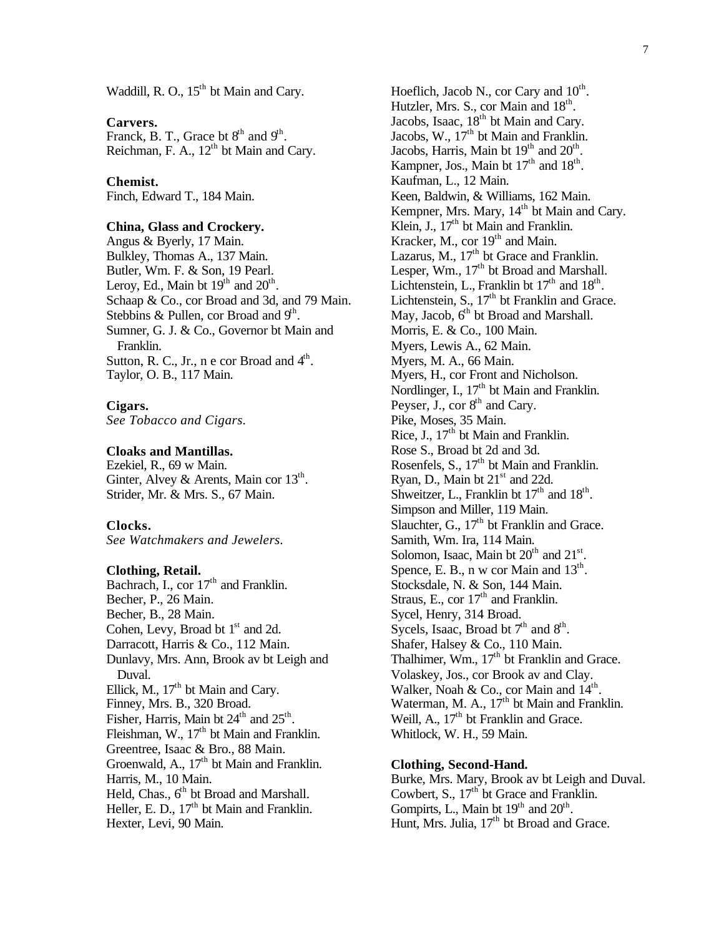Waddill, R. O., 15<sup>th</sup> bt Main and Cary.

## **Carvers.**

Franck, B. T., Grace bt  $8<sup>th</sup>$  and  $9<sup>th</sup>$ . Reichman, F. A., 12<sup>th</sup> bt Main and Cary.

#### **Chemist.**

Finch, Edward T., 184 Main.

## **China, Glass and Crockery.**

Angus & Byerly, 17 Main. Bulkley, Thomas A., 137 Main. Butler, Wm. F. & Son, 19 Pearl. Leroy, Ed., Main bt  $19<sup>th</sup>$  and  $20<sup>th</sup>$ . Schaap & Co., cor Broad and 3d, and 79 Main. Stebbins & Pullen, cor Broad and  $9<sup>th</sup>$ . Sumner, G. J. & Co., Governor bt Main and Franklin. Sutton, R. C., Jr., n e cor Broad and  $4<sup>th</sup>$ . Taylor, O. B., 117 Main.

## **Cigars.**

*See Tobacco and Cigars.*

## **Cloaks and Mantillas.**

Ezekiel, R., 69 w Main. Ginter, Alvey & Arents, Main cor  $13<sup>th</sup>$ . Strider, Mr. & Mrs. S., 67 Main.

## **Clocks.**

*See Watchmakers and Jewelers.*

#### **Clothing, Retail.**

Bachrach, I., cor  $17<sup>th</sup>$  and Franklin. Becher, P., 26 Main. Becher, B., 28 Main. Cohen, Levy, Broad bt  $1<sup>st</sup>$  and 2d. Darracott, Harris & Co., 112 Main. Dunlavy, Mrs. Ann, Brook av bt Leigh and Duval. Ellick, M.,  $17<sup>th</sup>$  bt Main and Cary. Finney, Mrs. B., 320 Broad. Fisher, Harris, Main bt  $24<sup>th</sup>$  and  $25<sup>th</sup>$ . Fleishman, W., 17<sup>th</sup> bt Main and Franklin. Greentree, Isaac & Bro., 88 Main. Groenwald, A., 17<sup>th</sup> bt Main and Franklin. Harris, M., 10 Main. Held, Chas., 6<sup>th</sup> bt Broad and Marshall. Heller, E. D.,  $17<sup>th</sup>$  bt Main and Franklin. Hexter, Levi, 90 Main.

Hoeflich, Jacob N., cor Cary and  $10<sup>th</sup>$ . Hutzler, Mrs. S., cor Main and 18<sup>th</sup>. Jacobs, Isaac,  $18<sup>th</sup>$  bt Main and Cary. Jacobs, W., 17<sup>th</sup> bt Main and Franklin. Jacobs, Harris, Main bt  $19<sup>th</sup>$  and  $20<sup>th</sup>$ . Kampner, Jos., Main bt  $17<sup>th</sup>$  and  $18<sup>th</sup>$ . Kaufman, L., 12 Main. Keen, Baldwin, & Williams, 162 Main. Kempner, Mrs. Mary, 14<sup>th</sup> bt Main and Cary. Klein, J.,  $17<sup>th</sup>$  bt Main and Franklin. Kracker, M., cor  $19<sup>th</sup>$  and Main. Lazarus,  $M_{\cdot}$ ,  $17^{\text{th}}$  bt Grace and Franklin. Lesper, Wm.,  $17<sup>th</sup>$  bt Broad and Marshall. Lichtenstein, L., Franklin bt  $17<sup>th</sup>$  and  $18<sup>th</sup>$ . Lichtenstein, S.,  $17<sup>th</sup>$  bt Franklin and Grace. May, Jacob,  $6<sup>th</sup>$  bt Broad and Marshall. Morris, E. & Co., 100 Main. Myers, Lewis A., 62 Main. Myers, M. A., 66 Main. Myers, H., cor Front and Nicholson. Nordlinger, I., 17<sup>th</sup> bt Main and Franklin. Peyser, J., cor 8<sup>th</sup> and Cary. Pike, Moses, 35 Main. Rice, J.,  $17<sup>th</sup>$  bt Main and Franklin. Rose S., Broad bt 2d and 3d. Rosenfels, S., 17<sup>th</sup> bt Main and Franklin. Ryan, D., Main bt  $21<sup>st</sup>$  and 22d. Shweitzer, L., Franklin bt  $17<sup>th</sup>$  and  $18<sup>th</sup>$ . Simpson and Miller, 119 Main. Slauchter, G.,  $17<sup>th</sup>$  bt Franklin and Grace. Samith, Wm. Ira, 114 Main. Solomon, Isaac, Main bt  $20<sup>th</sup>$  and  $21<sup>st</sup>$ . Spence, E. B., n w cor Main and  $13<sup>th</sup>$ . Stocksdale, N. & Son, 144 Main. Straus, E., cor  $17<sup>th</sup>$  and Franklin. Sycel, Henry, 314 Broad. Sycels, Isaac, Broad bt  $7<sup>th</sup>$  and  $8<sup>th</sup>$ . Shafer, Halsey & Co., 110 Main. Thalhimer, Wm.,  $17<sup>th</sup>$  bt Franklin and Grace. Volaskey, Jos., cor Brook av and Clay. Walker, Noah & Co., cor Main and  $14^{\text{th}}$ . Waterman, M. A.,  $17<sup>th</sup>$  bt Main and Franklin. Weill, A.,  $17<sup>th</sup>$  bt Franklin and Grace. Whitlock, W. H., 59 Main.

#### **Clothing, Second-Hand.**

Burke, Mrs. Mary, Brook av bt Leigh and Duval. Cowbert, S.,  $17<sup>th</sup>$  bt Grace and Franklin. Gompirts, L., Main bt  $19<sup>th</sup>$  and  $20<sup>th</sup>$ . Hunt, Mrs. Julia,  $17<sup>th</sup>$  bt Broad and Grace.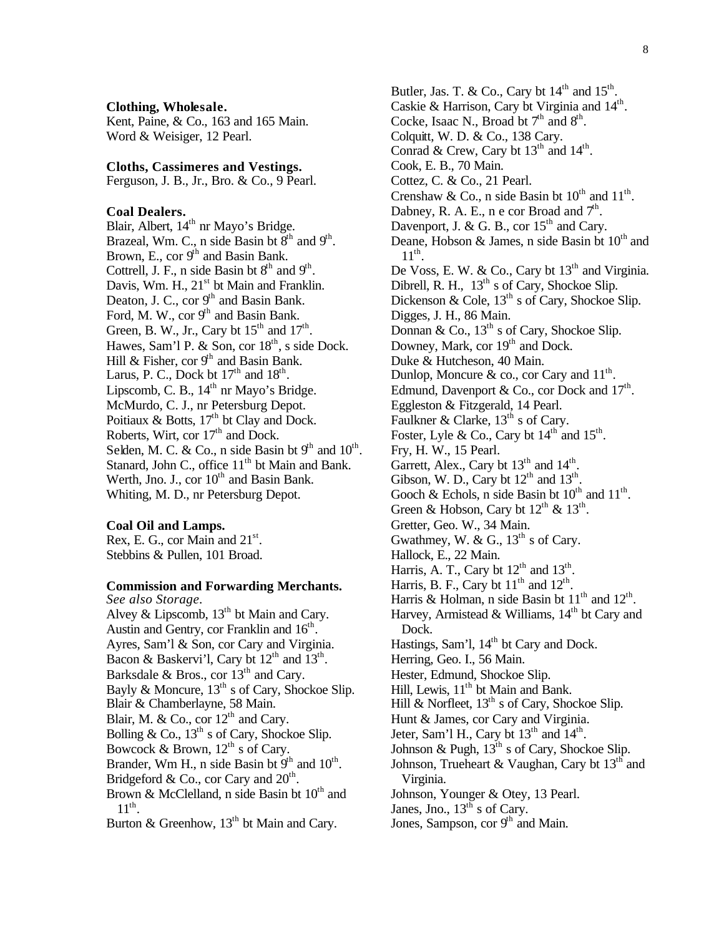#### **Clothing, Wholesale.**

Kent, Paine, & Co., 163 and 165 Main. Word & Weisiger, 12 Pearl.

#### **Cloths, Cassimeres and Vestings.**

Ferguson, J. B., Jr., Bro. & Co., 9 Pearl.

#### **Coal Dealers.**

Blair, Albert, 14<sup>th</sup> nr Mayo's Bridge. Brazeal, Wm. C., n side Basin bt  $8<sup>th</sup>$  and  $9<sup>th</sup>$ . Brown, E., cor  $9<sup>th</sup>$  and Basin Bank. Cottrell, J. F., n side Basin bt  $8<sup>th</sup>$  and  $9<sup>th</sup>$ . Davis, Wm. H.,  $21<sup>st</sup>$  bt Main and Franklin. Deaton, J. C., cor  $9<sup>th</sup>$  and Basin Bank. Ford, M. W., cor  $9<sup>th</sup>$  and Basin Bank. Green, B. W., Jr., Cary bt  $15<sup>th</sup>$  and  $17<sup>th</sup>$ . Hawes, Sam'l P. & Son, cor  $18<sup>th</sup>$ , s side Dock. Hill & Fisher, cor  $9<sup>th</sup>$  and Basin Bank. Larus, P. C., Dock bt  $17<sup>th</sup>$  and  $18<sup>th</sup>$ . Lipscomb, C. B.,  $14<sup>th</sup>$  nr Mayo's Bridge. McMurdo, C. J., nr Petersburg Depot. Poitiaux  $\&$  Botts, 17<sup>th</sup> bt Clay and Dock. Roberts, Wirt, cor 17<sup>th</sup> and Dock. Selden, M. C. & Co., n side Basin bt  $9<sup>th</sup>$  and  $10<sup>th</sup>$ . Stanard, John C., office 11<sup>th</sup> bt Main and Bank. Werth, Jno. J., cor  $10^{th}$  and Basin Bank. Whiting, M. D., nr Petersburg Depot.

#### **Coal Oil and Lamps.**

Rex, E. G., cor Main and  $21^{st}$ . Stebbins & Pullen, 101 Broad.

#### **Commission and Forwarding Merchants.**

*See also Storage.* Alvey & Lipscomb,  $13<sup>th</sup>$  bt Main and Cary. Austin and Gentry, cor Franklin and  $16<sup>th</sup>$ . Ayres, Sam'l & Son, cor Cary and Virginia. Bacon & Baskervi'l, Cary bt  $12<sup>th</sup>$  and  $13<sup>th</sup>$ . Barksdale & Bros., cor 13<sup>th</sup> and Cary. Bayly & Moncure,  $13<sup>th</sup>$  s of Cary, Shockoe Slip. Blair & Chamberlayne, 58 Main. Blair, M. & Co., cor 12<sup>th</sup> and Cary. Bolling & Co.,  $13^{th}$  s of Cary, Shockoe Slip. Bowcock & Brown,  $12^{th}$  s of Cary. Brander, Wm H., n side Basin bt  $9<sup>th</sup>$  and  $10<sup>th</sup>$ . Bridgeford & Co., cor Cary and  $20<sup>th</sup>$ . Brown & McClelland, n side Basin bt  $10^{th}$  and  $11^{\text{th}}$ . Burton & Greenhow,  $13<sup>th</sup>$  bt Main and Cary.

Butler, Jas. T. & Co., Cary bt  $14<sup>th</sup>$  and  $15<sup>th</sup>$ . Caskie & Harrison, Cary bt Virginia and 14<sup>th</sup>. Cocke, Isaac N., Broad bt  $7<sup>th</sup>$  and  $8<sup>th</sup>$ . Colquitt, W. D. & Co., 138 Cary. Conrad & Crew, Cary bt  $13<sup>th</sup>$  and  $14<sup>th</sup>$ . Cook, E. B., 70 Main. Cottez, C. & Co., 21 Pearl. Crenshaw & Co., n side Basin bt  $10^{th}$  and  $11^{th}$ . Dabney, R. A. E., n e cor Broad and  $7<sup>th</sup>$ . Davenport, J. & G. B., cor  $15<sup>th</sup>$  and Cary. Deane, Hobson & James, n side Basin bt  $10^{th}$  and  $11^{\text{th}}$ . De Voss, E. W. & Co., Cary bt  $13<sup>th</sup>$  and Virginia. Dibrell, R. H., 13<sup>th</sup> s of Cary, Shockoe Slip. Dickenson & Cole,  $13<sup>th</sup>$  s of Cary, Shockoe Slip. Digges, J. H., 86 Main. Donnan & Co.,  $13^{th}$  s of Cary, Shockoe Slip. Downey, Mark, cor 19<sup>th</sup> and Dock. Duke & Hutcheson, 40 Main. Dunlop, Moncure  $\⊂>$  co., cor Cary and  $11^{\text{th}}$ . Edmund, Davenport & Co., cor Dock and  $17^{\text{th}}$ . Eggleston & Fitzgerald, 14 Pearl. Faulkner & Clarke,  $13<sup>th</sup>$  s of Cary. Foster, Lyle & Co., Cary bt  $14<sup>th</sup>$  and  $15<sup>th</sup>$ . Fry, H. W., 15 Pearl. Garrett, Alex., Cary bt  $13<sup>th</sup>$  and  $14<sup>th</sup>$ . Gibson, W. D., Cary bt  $12<sup>th</sup>$  and  $13<sup>th</sup>$ . Gooch & Echols, n side Basin bt  $10^{th}$  and  $11^{th}$ . Green & Hobson, Cary bt  $12^{th}$  &  $13^{th}$ . Gretter, Geo. W., 34 Main. Gwathmey, W. & G.,  $13^{th}$  s of Cary. Hallock, E., 22 Main. Harris, A. T., Cary bt  $12<sup>th</sup>$  and  $13<sup>th</sup>$ . Harris, B. F., Cary bt  $11<sup>th</sup>$  and  $12<sup>th</sup>$ . Harris & Holman, n side Basin bt  $11<sup>th</sup>$  and  $12<sup>th</sup>$ . Harvey, Armistead & Williams,  $14<sup>th</sup>$  bt Cary and Dock. Hastings, Sam'l,  $14<sup>th</sup>$  bt Cary and Dock. Herring, Geo. I., 56 Main. Hester, Edmund, Shockoe Slip. Hill, Lewis, 11<sup>th</sup> bt Main and Bank. Hill & Norfleet,  $13<sup>th</sup>$  s of Cary, Shockoe Slip. Hunt & James, cor Cary and Virginia. Jeter, Sam'l H., Cary bt  $13<sup>th</sup>$  and  $14<sup>th</sup>$ . Johnson & Pugh,  $13^{th}$  s of Cary, Shockoe Slip. Johnson, Trueheart & Vaughan, Cary bt  $13<sup>th</sup>$  and Virginia. Johnson, Younger & Otey, 13 Pearl. Janes, Jno.,  $13<sup>th</sup>$  s of Cary. Jones, Sampson, cor 9<sup>th</sup> and Main.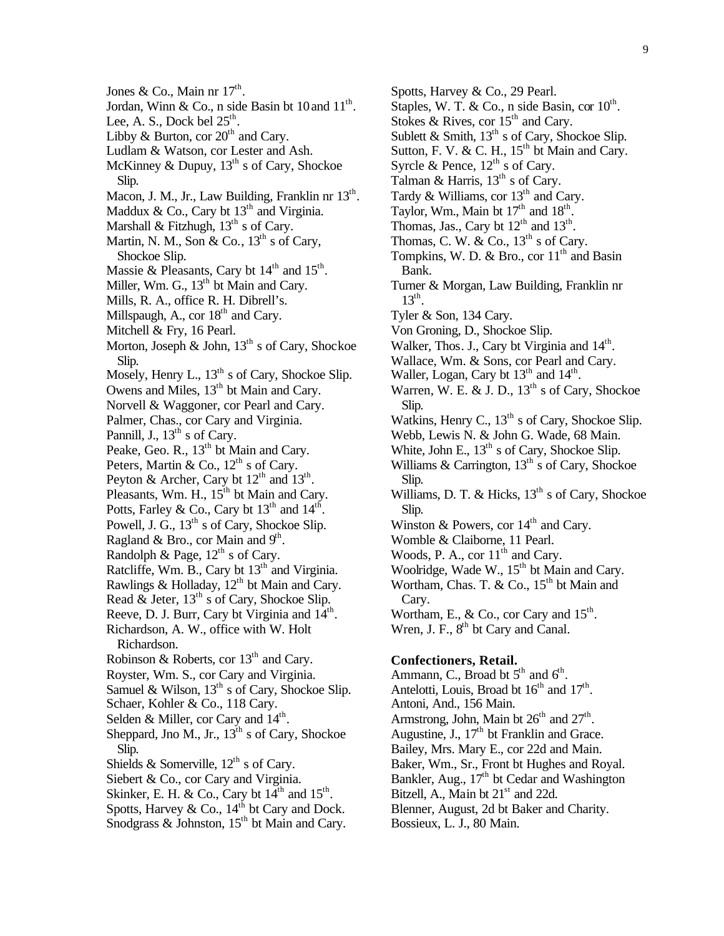Jones & Co., Main nr  $17^{\text{th}}$ . Jordan, Winn & Co., n side Basin bt  $10$  and  $11^{\text{th}}$ . Lee, A. S., Dock bel  $25^{\text{th}}$ . Libby & Burton, cor  $20<sup>th</sup>$  and Cary. Ludlam & Watson, cor Lester and Ash. McKinney & Dupuy,  $13^{th}$  s of Cary, Shockoe Slip. Macon, J. M., Jr., Law Building, Franklin nr 13<sup>th</sup>. Maddux & Co., Cary bt  $13<sup>th</sup>$  and Virginia. Marshall & Fitzhugh,  $13<sup>th</sup>$  s of Cary. Martin, N. M., Son & Co.,  $13^{th}$  s of Cary, Shockoe Slip. Massie & Pleasants, Cary bt  $14<sup>th</sup>$  and  $15<sup>th</sup>$ . Miller, Wm. G., 13<sup>th</sup> bt Main and Cary. Mills, R. A., office R. H. Dibrell's. Millspaugh, A., cor 18<sup>th</sup> and Cary. Mitchell & Fry, 16 Pearl. Morton, Joseph & John, 13<sup>th</sup> s of Cary, Shockoe Slip. Mosely, Henry L.,  $13^{th}$  s of Cary, Shockoe Slip. Owens and Miles, 13<sup>th</sup> bt Main and Cary. Norvell & Waggoner, cor Pearl and Cary. Palmer, Chas., cor Cary and Virginia. Pannill, J.,  $13<sup>th</sup>$  s of Cary. Peake, Geo. R., 13<sup>th</sup> bt Main and Cary. Peters, Martin & Co.,  $12^{\text{th}}$  s of Cary. Peyton & Archer, Cary bt  $12^{\text{th}}$  and  $13^{\text{th}}$ . Pleasants, Wm. H., 15<sup>th</sup> bt Main and Cary. Potts, Farley & Co., Cary bt  $13<sup>th</sup>$  and  $14<sup>th</sup>$ . Powell, J. G.,  $13<sup>th</sup>$  s of Cary, Shockoe Slip. Ragland & Bro., cor Main and  $9<sup>th</sup>$ . Randolph & Page,  $12^{th}$  s of Cary. Ratcliffe, Wm. B., Cary bt 13<sup>th</sup> and Virginia. Rawlings & Holladay,  $12<sup>th</sup>$  bt Main and Cary. Read  $\&$  Jeter,  $13<sup>th</sup>$  s of Cary, Shockoe Slip. Reeve, D. J. Burr, Cary bt Virginia and  $14^{\text{th}}$ . Richardson, A. W., office with W. Holt Richardson. Robinson & Roberts, cor  $13<sup>th</sup>$  and Cary. Royster, Wm. S., cor Cary and Virginia. Samuel & Wilson,  $13<sup>th</sup>$  s of Cary, Shockoe Slip. Schaer, Kohler & Co., 118 Cary. Selden & Miller, cor Cary and  $14<sup>th</sup>$ . Sheppard, Jno M., Jr.,  $13<sup>th</sup>$  s of Cary, Shockoe Slip. Shields & Somerville,  $12^{\text{th}}$  s of Cary. Siebert & Co., cor Cary and Virginia. Skinker, E. H. & Co., Cary bt  $14^{\text{th}}$  and  $15^{\text{th}}$ . Spotts, Harvey & Co.,  $14^{th}$  bt Cary and Dock. Snodgrass  $\&$  Johnston,  $15<sup>th</sup>$  bt Main and Cary.

Spotts, Harvey & Co., 29 Pearl. Staples, W. T. & Co., n side Basin, cor  $10^{th}$ . Stokes & Rives, cor  $15<sup>th</sup>$  and Cary. Sublett & Smith,  $13<sup>th</sup>$  s of Cary, Shockoe Slip. Sutton, F. V. & C. H.,  $15<sup>th</sup>$  bt Main and Cary. Syrcle & Pence,  $12^{th}$  s of Cary. Talman & Harris,  $13<sup>th</sup>$  s of Cary. Tardy & Williams, cor  $13<sup>th</sup>$  and Cary. Taylor, Wm., Main bt  $17<sup>th</sup>$  and  $18<sup>th</sup>$ . Thomas, Jas., Cary bt  $12<sup>th</sup>$  and  $13<sup>th</sup>$ . Thomas, C. W. & Co.,  $13<sup>th</sup>$  s of Cary. Tompkins, W. D. & Bro., cor  $11<sup>th</sup>$  and Basin Bank. Turner & Morgan, Law Building, Franklin nr  $13^{\text{th}}$ . Tyler & Son, 134 Cary. Von Groning, D., Shockoe Slip. Walker, Thos. J., Cary bt Virginia and 14<sup>th</sup>. Wallace, Wm. & Sons, cor Pearl and Cary. Waller, Logan, Cary bt  $13<sup>th</sup>$  and  $14<sup>th</sup>$ . Warren, W. E. & J. D.,  $13<sup>th</sup>$  s of Cary, Shockoe Slip. Watkins, Henry C.,  $13<sup>th</sup>$  s of Cary, Shockoe Slip. Webb, Lewis N. & John G. Wade, 68 Main. White, John E.,  $13<sup>th</sup>$  s of Cary, Shockoe Slip. Williams & Carrington,  $13<sup>th</sup>$  s of Cary, Shockoe Slip. Williams, D. T. & Hicks,  $13<sup>th</sup>$  s of Cary, Shockoe Slip. Winston & Powers, cor  $14<sup>th</sup>$  and Cary. Womble & Claiborne, 11 Pearl. Woods, P. A., cor  $11^{th}$  and Cary. Woolridge, Wade W., 15<sup>th</sup> bt Main and Cary. Wortham, Chas. T. & Co.,  $15^{th}$  bt Main and Cary. Wortham, E., & Co., cor Cary and  $15^{\text{th}}$ . Wren, J. F.,  $8<sup>th</sup>$  bt Cary and Canal. **Confectioners, Retail.**

# Ammann, C., Broad bt  $5<sup>th</sup>$  and  $6<sup>th</sup>$ .

Antelotti, Louis, Broad bt  $16<sup>th</sup>$  and  $17<sup>th</sup>$ . Antoni, And., 156 Main. Armstrong, John, Main bt  $26<sup>th</sup>$  and  $27<sup>th</sup>$ . Augustine, J.,  $17<sup>th</sup>$  bt Franklin and Grace. Bailey, Mrs. Mary E., cor 22d and Main. Baker, Wm., Sr., Front bt Hughes and Royal. Bankler, Aug., 17<sup>th</sup> bt Cedar and Washington Bitzell, A., Main bt  $21<sup>st</sup>$  and 22d. Blenner, August, 2d bt Baker and Charity. Bossieux, L. J., 80 Main.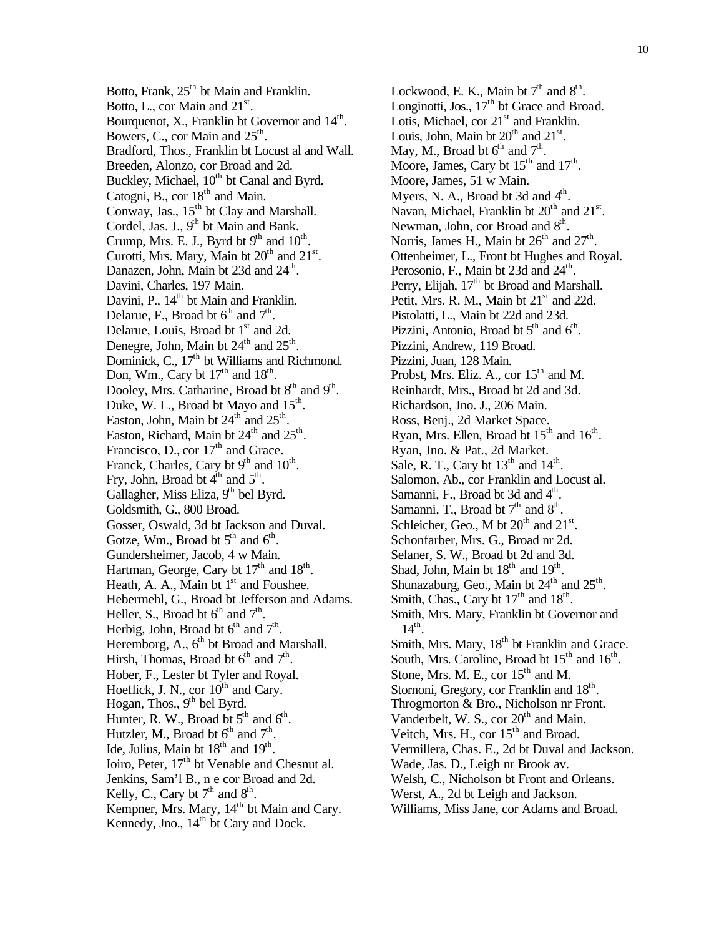Botto, Frank,  $25<sup>th</sup>$  bt Main and Franklin. Botto, L., cor Main and  $21<sup>st</sup>$ . Bourquenot, X., Franklin bt Governor and  $14^{\text{th}}$ . Bowers, C., cor Main and  $25<sup>th</sup>$ . Bradford, Thos., Franklin bt Locust al and Wall. Breeden, Alonzo, cor Broad and 2d. Buckley, Michael,  $10^{th}$  bt Canal and Byrd. Catogni, B., cor  $18<sup>th</sup>$  and Main. Conway, Jas., 15<sup>th</sup> bt Clay and Marshall. Cordel, Jas. J., 9<sup>th</sup> bt Main and Bank. Crump, Mrs. E. J., Byrd bt  $9<sup>th</sup>$  and  $10<sup>th</sup>$ . Curotti, Mrs. Mary, Main bt  $20<sup>th</sup>$  and  $21<sup>st</sup>$ . Danazen, John, Main bt 23d and 24<sup>th</sup>. Davini, Charles, 197 Main. Davini, P.,  $14<sup>th</sup>$  bt Main and Franklin. Delarue, F., Broad bt  $6^{th}$  and  $7^{th}$ . Delarue, Louis, Broad bt 1<sup>st</sup> and 2d. Denegre, John, Main bt  $24<sup>th</sup>$  and  $25<sup>th</sup>$ . Dominick, C.,  $17<sup>th</sup>$  bt Williams and Richmond. Don, Wm., Cary bt  $17<sup>th</sup>$  and  $18<sup>th</sup>$ . Dooley, Mrs. Catharine, Broad bt 8<sup>th</sup> and 9<sup>th</sup>. Duke, W. L., Broad bt Mayo and  $15<sup>th</sup>$ . Easton, John, Main bt  $24<sup>th</sup>$  and  $25<sup>th</sup>$ . Easton, Richard, Main bt  $24<sup>th</sup>$  and  $25<sup>th</sup>$ . Francisco, D., cor  $17<sup>th</sup>$  and Grace. Franck, Charles, Cary bt  $9<sup>th</sup>$  and  $10<sup>th</sup>$ . Fry, John, Broad bt  $4^{\text{th}}$  and  $5^{\text{th}}$ . Gallagher, Miss Eliza,  $9<sup>th</sup>$  bel Byrd. Goldsmith, G., 800 Broad. Gosser, Oswald, 3d bt Jackson and Duval. Gotze, Wm., Broad bt  $5<sup>th</sup>$  and  $6<sup>th</sup>$ . Gundersheimer, Jacob, 4 w Main. Hartman, George, Cary bt  $17<sup>th</sup>$  and  $18<sup>th</sup>$ . Heath, A. A., Main bt  $1<sup>st</sup>$  and Foushee. Hebermehl, G., Broad bt Jefferson and Adams. Heller, S., Broad bt  $6<sup>th</sup>$  and  $7<sup>th</sup>$ . Herbig, John, Broad bt  $6<sup>th</sup>$  and  $7<sup>th</sup>$ . Heremborg, A.,  $6<sup>th</sup>$  bt Broad and Marshall. Hirsh, Thomas, Broad bt  $6<sup>th</sup>$  and  $7<sup>th</sup>$ . Hober, F., Lester bt Tyler and Royal. Hoeflick, J. N., cor  $10^{th}$  and Cary. Hogan, Thos.,  $9<sup>th</sup>$  bel Byrd. Hunter, R. W., Broad bt  $5<sup>th</sup>$  and  $6<sup>th</sup>$ . Hutzler, M., Broad bt  $6<sup>th</sup>$  and  $7<sup>th</sup>$ . Ide, Julius, Main bt  $18<sup>th</sup>$  and  $19<sup>th</sup>$ . Ioiro, Peter, 17<sup>th</sup> bt Venable and Chesnut al. Jenkins, Sam'l B., n e cor Broad and 2d. Kelly, C., Cary bt  $7<sup>th</sup>$  and  $8<sup>th</sup>$ . Kempner, Mrs. Mary, 14<sup>th</sup> bt Main and Cary. Kennedy, Jno., 14<sup>th</sup> bt Cary and Dock.

Lockwood, E. K., Main bt  $7<sup>th</sup>$  and  $8<sup>th</sup>$ . Longinotti, Jos.,  $17<sup>th</sup>$  bt Grace and Broad. Lotis, Michael, cor  $21<sup>st</sup>$  and Franklin. Louis, John, Main bt  $20<sup>th</sup>$  and  $21<sup>st</sup>$ . May, M., Broad bt  $6^{\text{th}}$  and  $7^{\text{th}}$ . Moore, James, Cary bt  $15<sup>th</sup>$  and  $17<sup>th</sup>$ . Moore, James, 51 w Main. Myers, N. A., Broad bt 3d and  $4<sup>th</sup>$ . Navan, Michael, Franklin bt  $20<sup>th</sup>$  and  $21<sup>st</sup>$ . Newman, John, cor Broad and  $8<sup>th</sup>$ . Norris, James H., Main bt  $26<sup>th</sup>$  and  $27<sup>th</sup>$ . Ottenheimer, L., Front bt Hughes and Royal. Perosonio, F., Main bt 23d and 24<sup>th</sup>. Perry, Elijah,  $17<sup>th</sup>$  bt Broad and Marshall. Petit, Mrs. R. M., Main bt  $21<sup>st</sup>$  and 22d. Pistolatti, L., Main bt 22d and 23d. Pizzini, Antonio, Broad bt  $5<sup>th</sup>$  and  $6<sup>th</sup>$ . Pizzini, Andrew, 119 Broad. Pizzini, Juan, 128 Main. Probst, Mrs. Eliz. A., cor  $15<sup>th</sup>$  and M. Reinhardt, Mrs., Broad bt 2d and 3d. Richardson, Jno. J., 206 Main. Ross, Benj., 2d Market Space. Ryan, Mrs. Ellen, Broad bt  $15<sup>th</sup>$  and  $16<sup>th</sup>$ . Ryan, Jno. & Pat., 2d Market. Sale, R. T., Cary bt  $13<sup>th</sup>$  and  $14<sup>th</sup>$ . Salomon, Ab., cor Franklin and Locust al. Samanni, F., Broad bt 3d and 4<sup>th</sup>. Samanni, T., Broad bt  $7<sup>th</sup>$  and  $8<sup>th</sup>$ . Schleicher, Geo., M bt  $20<sup>th</sup>$  and  $21<sup>st</sup>$ . Schonfarber, Mrs. G., Broad nr 2d. Selaner, S. W., Broad bt 2d and 3d. Shad, John, Main bt  $18<sup>th</sup>$  and  $19<sup>th</sup>$ . Shunazaburg, Geo., Main bt  $24<sup>th</sup>$  and  $25<sup>th</sup>$ . Smith, Chas., Cary bt  $17<sup>th</sup>$  and  $18<sup>th</sup>$ . Smith, Mrs. Mary, Franklin bt Governor and  $14<sup>th</sup>$ . Smith, Mrs. Mary, 18<sup>th</sup> bt Franklin and Grace. South, Mrs. Caroline, Broad bt  $15<sup>th</sup>$  and  $16<sup>th</sup>$ . Stone, Mrs. M. E., cor  $15<sup>th</sup>$  and M. Stornoni, Gregory, cor Franklin and 18<sup>th</sup>. Throgmorton & Bro., Nicholson nr Front. Vanderbelt, W. S., cor  $20<sup>th</sup>$  and Main. Veitch, Mrs. H., cor  $15<sup>th</sup>$  and Broad. Vermillera, Chas. E., 2d bt Duval and Jackson. Wade, Jas. D., Leigh nr Brook av. Welsh, C., Nicholson bt Front and Orleans. Werst, A., 2d bt Leigh and Jackson. Williams, Miss Jane, cor Adams and Broad.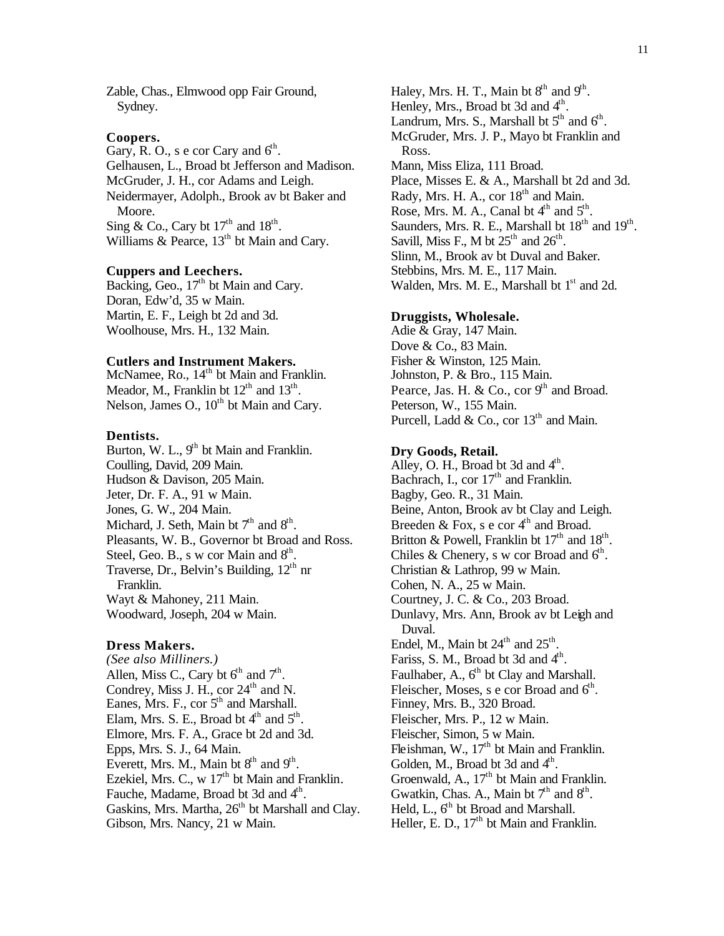Zable, Chas., Elmwood opp Fair Ground, Sydney.

#### **Coopers.**

Gary, R. O., s e cor Cary and  $6<sup>th</sup>$ . Gelhausen, L., Broad bt Jefferson and Madison. McGruder, J. H., cor Adams and Leigh. Neidermayer, Adolph., Brook av bt Baker and Moore. Sing & Co., Cary bt  $17<sup>th</sup>$  and  $18<sup>th</sup>$ . Williams & Pearce,  $13<sup>th</sup>$  bt Main and Cary.

## **Cuppers and Leechers.**

Backing, Geo.,  $17<sup>th</sup>$  bt Main and Cary. Doran, Edw'd, 35 w Main. Martin, E. F., Leigh bt 2d and 3d. Woolhouse, Mrs. H., 132 Main.

#### **Cutlers and Instrument Makers.**

McNamee, Ro.,  $14<sup>th</sup>$  bt Main and Franklin. Meador, M., Franklin bt  $12<sup>th</sup>$  and  $13<sup>th</sup>$ . Nelson, James O.,  $10^{th}$  bt Main and Cary.

#### **Dentists.**

Burton, W. L.,  $9<sup>th</sup>$  bt Main and Franklin. Coulling, David, 209 Main. Hudson & Davison, 205 Main. Jeter, Dr. F. A., 91 w Main. Jones, G. W., 204 Main. Michard, J. Seth, Main bt  $7<sup>th</sup>$  and  $8<sup>th</sup>$ . Pleasants, W. B., Governor bt Broad and Ross. Steel, Geo. B., s w cor Main and  $8<sup>th</sup>$ . Traverse, Dr., Belvin's Building, 12<sup>th</sup> nr Franklin. Wayt & Mahoney, 211 Main. Woodward, Joseph, 204 w Main.

#### **Dress Makers.**

*(See also Milliners.)* Allen, Miss C., Cary bt  $6<sup>th</sup>$  and  $7<sup>th</sup>$ . Condrey, Miss J. H., cor  $24<sup>th</sup>$  and N. Eanes, Mrs. F., cor  $5<sup>th</sup>$  and Marshall. Elam, Mrs. S. E., Broad bt  $4<sup>th</sup>$  and  $5<sup>th</sup>$ . Elmore, Mrs. F. A., Grace bt 2d and 3d. Epps, Mrs. S. J., 64 Main. Everett, Mrs. M., Main bt  $8<sup>th</sup>$  and  $9<sup>th</sup>$ . Ezekiel, Mrs. C.,  $w$  17<sup>th</sup> bt Main and Franklin. Fauche, Madame, Broad bt 3d and 4<sup>th</sup>. Gaskins, Mrs. Martha,  $26<sup>th</sup>$  bt Marshall and Clay. Gibson, Mrs. Nancy, 21 w Main.

Haley, Mrs. H. T., Main bt  $8<sup>th</sup>$  and  $9<sup>th</sup>$ . Henley, Mrs., Broad bt 3d and 4<sup>th</sup>. Landrum, Mrs. S., Marshall bt  $5<sup>th</sup>$  and  $6<sup>th</sup>$ . McGruder, Mrs. J. P., Mayo bt Franklin and Ross. Mann, Miss Eliza, 111 Broad. Place, Misses E. & A., Marshall bt 2d and 3d. Rady, Mrs. H. A., cor  $18<sup>th</sup>$  and Main. Rose, Mrs. M. A., Canal bt  $4<sup>th</sup>$  and  $5<sup>th</sup>$ . Saunders, Mrs. R. E., Marshall bt  $18<sup>th</sup>$  and  $19<sup>th</sup>$ . Savill, Miss F., M bt  $25<sup>th</sup>$  and  $26<sup>th</sup>$ . Slinn, M., Brook av bt Duval and Baker. Stebbins, Mrs. M. E., 117 Main. Walden, Mrs. M. E., Marshall bt  $1<sup>st</sup>$  and 2d.

#### **Druggists, Wholesale.**

Adie & Gray, 147 Main. Dove & Co., 83 Main. Fisher & Winston, 125 Main. Johnston, P. & Bro., 115 Main. Pearce, Jas. H. & Co., cor  $9<sup>th</sup>$  and Broad. Peterson, W., 155 Main. Purcell, Ladd & Co., cor  $13<sup>th</sup>$  and Main.

#### **Dry Goods, Retail.**

Alley, O. H., Broad bt 3d and  $4<sup>th</sup>$ . Bachrach, I., cor  $17<sup>th</sup>$  and Franklin. Bagby, Geo. R., 31 Main. Beine, Anton, Brook av bt Clay and Leigh. Breeden & Fox, s e cor  $4<sup>th</sup>$  and Broad. Britton & Powell, Franklin bt  $17<sup>th</sup>$  and  $18<sup>th</sup>$ . Chiles & Chenery, s w cor Broad and  $6<sup>th</sup>$ . Christian & Lathrop, 99 w Main. Cohen, N. A., 25 w Main. Courtney, J. C. & Co., 203 Broad. Dunlavy, Mrs. Ann, Brook av bt Leigh and Duval. Endel, M., Main bt  $24<sup>th</sup>$  and  $25<sup>th</sup>$ . Fariss, S. M., Broad bt 3d and  $4<sup>th</sup>$ . Faulhaber, A.,  $6<sup>th</sup>$  bt Clay and Marshall. Fleischer, Moses, s e cor Broad and 6<sup>th</sup>. Finney, Mrs. B., 320 Broad. Fleischer, Mrs. P., 12 w Main. Fleischer, Simon, 5 w Main. Fleishman, W., 17<sup>th</sup> bt Main and Franklin. Golden, M., Broad bt 3d and  $4<sup>th</sup>$ . Groenwald, A.,  $17<sup>th</sup>$  bt Main and Franklin. Gwatkin, Chas. A., Main bt  $7<sup>th</sup>$  and  $8<sup>th</sup>$ . Held, L.,  $6<sup>th</sup>$  bt Broad and Marshall. Heller, E. D., 17<sup>th</sup> bt Main and Franklin.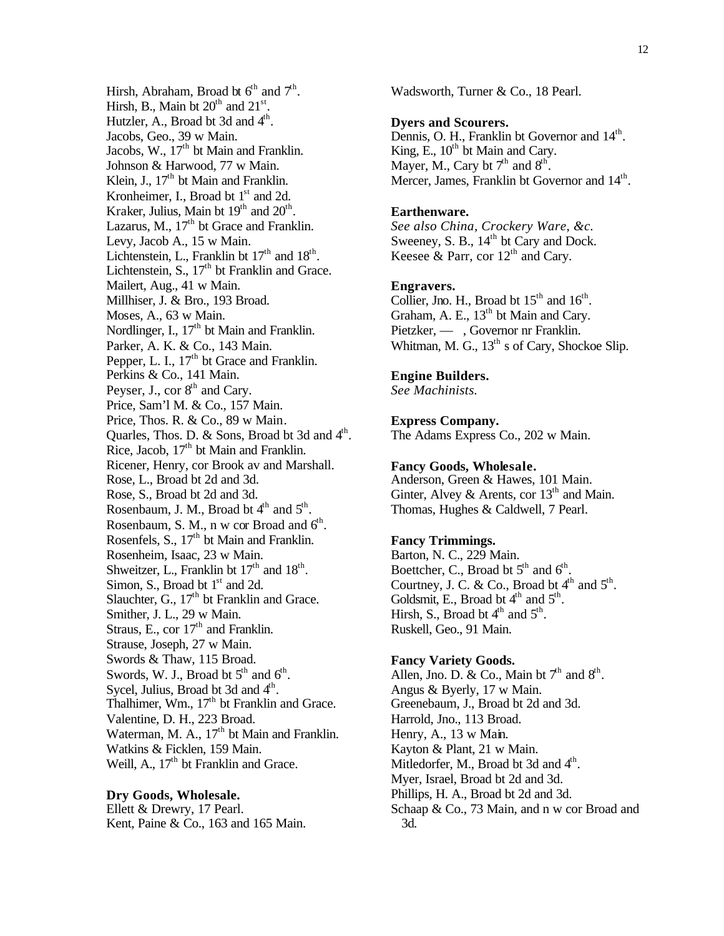Hirsh, Abraham, Broad bt  $6<sup>th</sup>$  and  $7<sup>th</sup>$ . Hirsh, B., Main bt  $20<sup>th</sup>$  and  $21<sup>st</sup>$ . Hutzler, A., Broad bt 3d and  $4<sup>th</sup>$ . Jacobs, Geo., 39 w Main. Jacobs, W., 17<sup>th</sup> bt Main and Franklin. Johnson & Harwood, 77 w Main. Klein, J., 17<sup>th</sup> bt Main and Franklin. Kronheimer, I., Broad bt  $1<sup>st</sup>$  and 2d. Kraker, Julius, Main bt  $19<sup>th</sup>$  and  $20<sup>th</sup>$ . Lazarus, M.,  $17<sup>th</sup>$  bt Grace and Franklin. Levy, Jacob A., 15 w Main. Lichtenstein, L., Franklin bt  $17<sup>th</sup>$  and  $18<sup>th</sup>$ . Lichtenstein, S.,  $17<sup>th</sup>$  bt Franklin and Grace. Mailert, Aug., 41 w Main. Millhiser, J. & Bro., 193 Broad. Moses, A., 63 w Main. Nordlinger, I., 17<sup>th</sup> bt Main and Franklin. Parker, A. K. & Co., 143 Main. Pepper, L. I.,  $17<sup>th</sup>$  bt Grace and Franklin. Perkins & Co., 141 Main. Peyser, J., cor  $8<sup>th</sup>$  and Cary. Price, Sam'l M. & Co., 157 Main. Price, Thos. R. & Co., 89 w Main. Quarles, Thos. D. & Sons, Broad bt 3d and 4<sup>th</sup>. Rice, Jacob,  $17<sup>th</sup>$  bt Main and Franklin. Ricener, Henry, cor Brook av and Marshall. Rose, L., Broad bt 2d and 3d. Rose, S., Broad bt 2d and 3d. Rosenbaum, J. M., Broad bt  $4<sup>th</sup>$  and  $5<sup>th</sup>$ . Rosenbaum, S. M., n w cor Broad and  $6<sup>th</sup>$ . Rosenfels, S., 17<sup>th</sup> bt Main and Franklin. Rosenheim, Isaac, 23 w Main. Shweitzer, L., Franklin bt  $17<sup>th</sup>$  and  $18<sup>th</sup>$ . Simon, S., Broad bt  $1<sup>st</sup>$  and 2d. Slauchter, G.,  $17<sup>th</sup>$  bt Franklin and Grace. Smither, J. L., 29 w Main. Straus, E., cor  $17<sup>th</sup>$  and Franklin. Strause, Joseph, 27 w Main. Swords & Thaw, 115 Broad. Swords, W. J., Broad bt  $5<sup>th</sup>$  and  $6<sup>th</sup>$ . Sycel, Julius, Broad bt 3d and  $4<sup>th</sup>$ . Thalhimer, Wm.,  $17<sup>th</sup>$  bt Franklin and Grace. Valentine, D. H., 223 Broad. Waterman, M. A., 17<sup>th</sup> bt Main and Franklin. Watkins & Ficklen, 159 Main. Weill, A.,  $17<sup>th</sup>$  bt Franklin and Grace.

## **Dry Goods, Wholesale.**

Ellett & Drewry, 17 Pearl. Kent, Paine & Co., 163 and 165 Main. Wadsworth, Turner & Co., 18 Pearl.

#### **Dyers and Scourers.**

Dennis, O. H., Franklin bt Governor and 14<sup>th</sup>. King, E.,  $10^{th}$  bt Main and Cary. Mayer, M., Cary bt  $7<sup>th</sup>$  and  $8<sup>th</sup>$ . Mercer, James, Franklin bt Governor and 14<sup>th</sup>.

#### **Earthenware.**

*See also China, Crockery Ware, &c.* Sweeney, S. B.,  $14<sup>th</sup>$  bt Cary and Dock. Keesee & Parr, cor  $12<sup>th</sup>$  and Cary.

#### **Engravers.**

Collier, Jno. H., Broad bt  $15<sup>th</sup>$  and  $16<sup>th</sup>$ . Graham, A. E.,  $13<sup>th</sup>$  bt Main and Cary. Pietzker, — , Governor nr Franklin. Whitman, M. G.,  $13<sup>th</sup>$  s of Cary, Shockoe Slip.

#### **Engine Builders.**

*See Machinists.*

## **Express Company.**

The Adams Express Co., 202 w Main.

#### **Fancy Goods, Wholesale.**

Anderson, Green & Hawes, 101 Main. Ginter, Alvey & Arents, cor  $13<sup>th</sup>$  and Main. Thomas, Hughes & Caldwell, 7 Pearl.

## **Fancy Trimmings.**

Barton, N. C., 229 Main. Boettcher, C., Broad bt  $5<sup>th</sup>$  and  $6<sup>th</sup>$ . Courtney, J. C. & Co., Broad bt  $4<sup>th</sup>$  and  $5<sup>th</sup>$ . Goldsmit, E., Broad bt  $4<sup>th</sup>$  and  $5<sup>th</sup>$ . Hirsh, S., Broad bt  $4<sup>th</sup>$  and  $5<sup>th</sup>$ . Ruskell, Geo., 91 Main.

## **Fancy Variety Goods.**

Allen, Jno. D. & Co., Main bt  $7<sup>th</sup>$  and  $8<sup>th</sup>$ . Angus & Byerly, 17 w Main. Greenebaum, J., Broad bt 2d and 3d. Harrold, Jno., 113 Broad. Henry, A., 13 w Main. Kayton & Plant, 21 w Main. Mitledorfer, M., Broad bt 3d and 4<sup>th</sup>. Myer, Israel, Broad bt 2d and 3d. Phillips, H. A., Broad bt 2d and 3d. Schaap & Co., 73 Main, and n w cor Broad and 3d.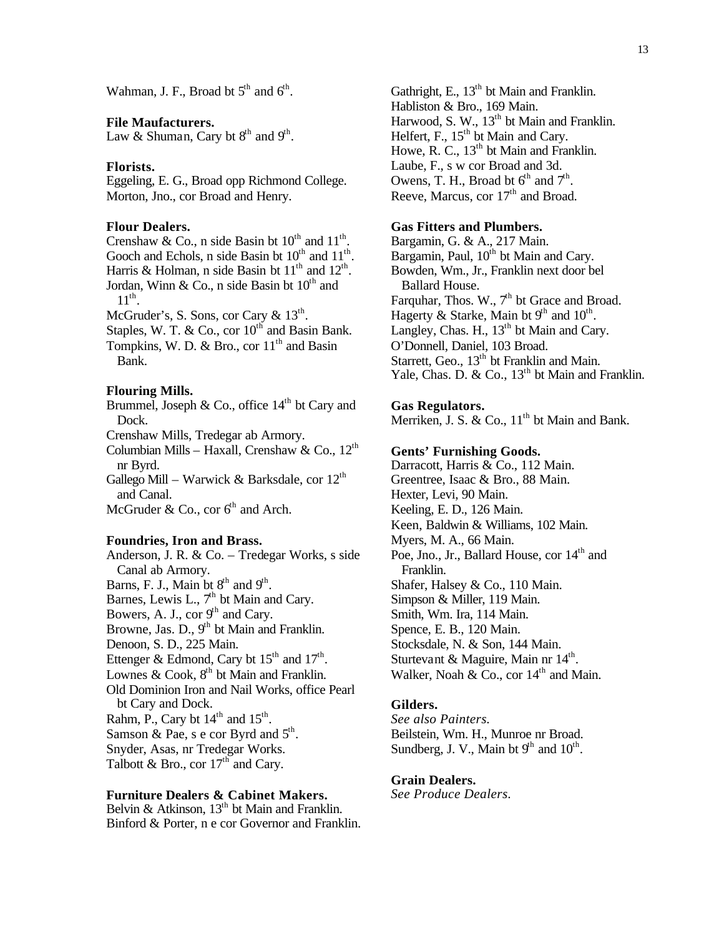Wahman, J. F., Broad bt  $5<sup>th</sup>$  and  $6<sup>th</sup>$ .

## **File Maufacturers.**

Law & Shuman, Cary bt  $8<sup>th</sup>$  and  $9<sup>th</sup>$ .

#### **Florists.**

Eggeling, E. G., Broad opp Richmond College. Morton, Jno., cor Broad and Henry.

## **Flour Dealers.**

Crenshaw & Co., n side Basin bt  $10^{th}$  and  $11^{th}$ . Gooch and Echols, n side Basin bt  $10^{th}$  and  $11^{th}$ . Harris & Holman, n side Basin bt  $11<sup>th</sup>$  and  $12<sup>th</sup>$ . Jordan, Winn & Co., n side Basin bt  $10^{th}$  and  $11^{\text{th}}$ .

McGruder's, S. Sons, cor Cary  $\&$  13<sup>th</sup>.

Staples, W. T. & Co., cor  $10^{th}$  and Basin Bank.

Tompkins, W. D. & Bro., cor  $11<sup>th</sup>$  and Basin Bank.

## **Flouring Mills.**

Brummel, Joseph & Co., office  $14<sup>th</sup>$  bt Cary and Dock.

Crenshaw Mills, Tredegar ab Armory.

Columbian Mills – Haxall, Crenshaw & Co.,  $12<sup>th</sup>$ nr Byrd.

Gallego Mill – Warwick & Barksdale, cor  $12<sup>th</sup>$ and Canal.

McGruder & Co., cor  $6<sup>th</sup>$  and Arch.

#### **Foundries, Iron and Brass.**

Anderson, J. R. & Co. – Tredegar Works, s side Canal ab Armory. Barns, F. J., Main bt  $8<sup>th</sup>$  and  $9<sup>th</sup>$ . Barnes, Lewis L.,  $7<sup>th</sup>$  bt Main and Cary. Bowers, A. J., cor  $9<sup>th</sup>$  and Cary. Browne, Jas. D.,  $9<sup>th</sup>$  bt Main and Franklin. Denoon, S. D., 225 Main. Ettenger & Edmond, Cary bt  $15<sup>th</sup>$  and  $17<sup>th</sup>$ . Lownes & Cook,  $8<sup>th</sup>$  bt Main and Franklin. Old Dominion Iron and Nail Works, office Pearl bt Cary and Dock. Rahm, P., Cary bt  $14<sup>th</sup>$  and  $15<sup>th</sup>$ . Samson & Pae, s e cor Byrd and  $5^{\text{th}}$ . Snyder, Asas, nr Tredegar Works. Talbott & Bro., cor  $17<sup>th</sup>$  and Cary.

## **Furniture Dealers & Cabinet Makers.**

Belvin & Atkinson,  $13<sup>th</sup>$  bt Main and Franklin. Binford & Porter, n e cor Governor and Franklin. Gathright, E.,  $13<sup>th</sup>$  bt Main and Franklin. Habliston & Bro., 169 Main. Harwood, S. W.,  $13<sup>th</sup>$  bt Main and Franklin. Helfert, F.,  $15<sup>th</sup>$  bt Main and Cary. Howe, R. C., 13<sup>th</sup> bt Main and Franklin. Laube, F., s w cor Broad and 3d. Owens, T. H., Broad bt  $6<sup>th</sup>$  and  $7<sup>th</sup>$ . Reeve, Marcus, cor 17<sup>th</sup> and Broad.

## **Gas Fitters and Plumbers.**

Bargamin, G. & A., 217 Main. Bargamin, Paul,  $10^{th}$  bt Main and Cary. Bowden, Wm., Jr., Franklin next door bel Ballard House. Farquhar, Thos. W.,  $7<sup>th</sup>$  bt Grace and Broad. Hagerty & Starke, Main bt  $9<sup>th</sup>$  and  $10<sup>th</sup>$ . Langley, Chas. H.,  $13<sup>th</sup>$  bt Main and Cary. O'Donnell, Daniel, 103 Broad. Starrett, Geo.,  $13<sup>th</sup>$  bt Franklin and Main. Yale, Chas. D. & Co., 13<sup>th</sup> bt Main and Franklin.

## **Gas Regulators.**

Merriken, J. S.  $\&$  Co.,  $11<sup>th</sup>$  bt Main and Bank.

#### **Gents' Furnishing Goods.**

Darracott, Harris & Co., 112 Main. Greentree, Isaac & Bro., 88 Main. Hexter, Levi, 90 Main. Keeling, E. D., 126 Main. Keen, Baldwin & Williams, 102 Main. Myers, M. A., 66 Main. Poe, Jno., Jr., Ballard House, cor  $14<sup>th</sup>$  and Franklin. Shafer, Halsey & Co., 110 Main. Simpson & Miller, 119 Main. Smith, Wm. Ira, 114 Main. Spence, E. B., 120 Main. Stocksdale, N. & Son, 144 Main. Sturtevant & Maguire, Main nr 14<sup>th</sup>. Walker, Noah &  $Co$ , cor  $14<sup>th</sup>$  and Main.

## **Gilders.**

*See also Painters.* Beilstein, Wm. H., Munroe nr Broad. Sundberg, J. V., Main bt  $9<sup>th</sup>$  and  $10<sup>th</sup>$ .

## **Grain Dealers.**

*See Produce Dealers.*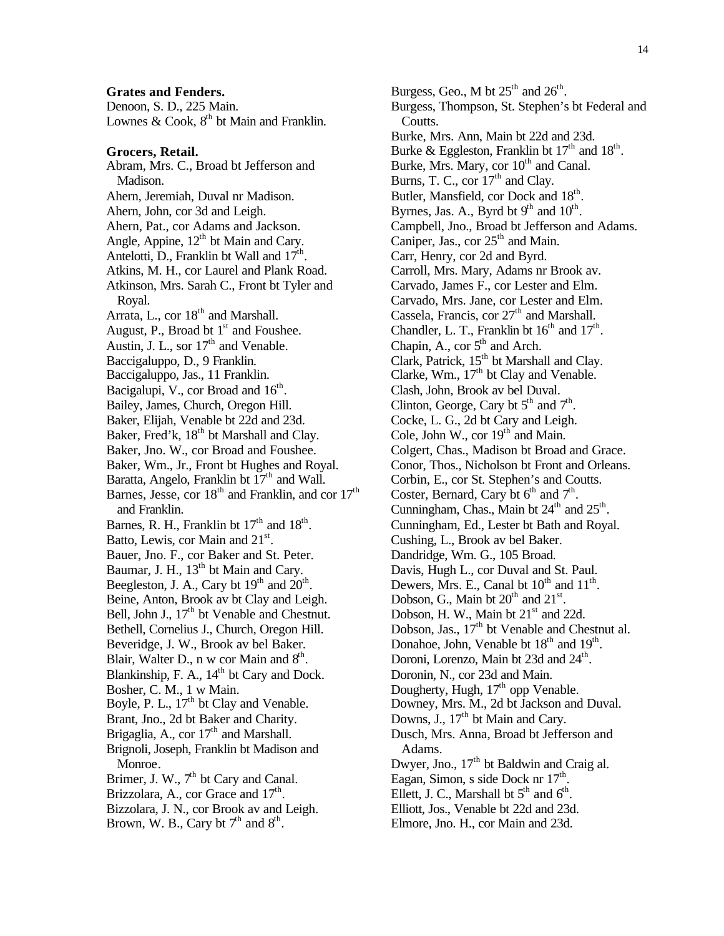#### **Grates and Fenders.**

Denoon, S. D., 225 Main. Lownes & Cook,  $8<sup>th</sup>$  bt Main and Franklin.

### **Grocers, Retail.**

Abram, Mrs. C., Broad bt Jefferson and Madison. Ahern, Jeremiah, Duval nr Madison. Ahern, John, cor 3d and Leigh. Ahern, Pat., cor Adams and Jackson. Angle, Appine,  $12<sup>th</sup>$  bt Main and Cary. Antelotti, D., Franklin bt Wall and  $17^{\text{th}}$ . Atkins, M. H., cor Laurel and Plank Road. Atkinson, Mrs. Sarah C., Front bt Tyler and Royal. Arrata, L., cor  $18<sup>th</sup>$  and Marshall. August, P., Broad bt  $1<sup>st</sup>$  and Foushee. Austin, J. L., sor  $17<sup>th</sup>$  and Venable. Baccigaluppo, D., 9 Franklin. Baccigaluppo, Jas., 11 Franklin. Bacigalupi, V., cor Broad and  $16<sup>th</sup>$ . Bailey, James, Church, Oregon Hill. Baker, Elijah, Venable bt 22d and 23d. Baker, Fred'k,  $18<sup>th</sup>$  bt Marshall and Clay. Baker, Jno. W., cor Broad and Foushee. Baker, Wm., Jr., Front bt Hughes and Royal. Baratta, Angelo, Franklin bt  $17<sup>th</sup>$  and Wall. Barnes, Jesse, cor  $18<sup>th</sup>$  and Franklin, and cor  $17<sup>th</sup>$ and Franklin. Barnes, R. H., Franklin bt  $17<sup>th</sup>$  and  $18<sup>th</sup>$ . Batto, Lewis, cor Main and 21<sup>st</sup>. Bauer, Jno. F., cor Baker and St. Peter. Baumar, J. H., 13<sup>th</sup> bt Main and Cary. Beegleston, J. A., Cary bt  $19<sup>th</sup>$  and  $20<sup>th</sup>$ . Beine, Anton, Brook av bt Clay and Leigh. Bell, John J.,  $17<sup>th</sup>$  bt Venable and Chestnut. Bethell, Cornelius J., Church, Oregon Hill. Beveridge, J. W., Brook av bel Baker. Blair, Walter D., n w cor Main and  $8<sup>th</sup>$ . Blankinship, F. A., 14<sup>th</sup> bt Cary and Dock. Bosher, C. M., 1 w Main. Boyle, P. L.,  $17<sup>th</sup>$  bt Clay and Venable. Brant, Jno., 2d bt Baker and Charity. Brigaglia, A., cor  $17<sup>th</sup>$  and Marshall. Brignoli, Joseph, Franklin bt Madison and Monroe. Brimer, J. W.,  $7<sup>th</sup>$  bt Cary and Canal. Brizzolara, A., cor Grace and 17<sup>th</sup>. Bizzolara, J. N., cor Brook av and Leigh. Brown, W. B., Cary bt  $7<sup>th</sup>$  and  $8<sup>th</sup>$ .

Burgess, Geo., M bt  $25<sup>th</sup>$  and  $26<sup>th</sup>$ . Burgess, Thompson, St. Stephen's bt Federal and Coutts. Burke, Mrs. Ann, Main bt 22d and 23d. Burke & Eggleston, Franklin bt  $17<sup>th</sup>$  and  $18<sup>th</sup>$ . Burke, Mrs. Mary, cor 10<sup>th</sup> and Canal. Burns, T. C., cor  $17<sup>th</sup>$  and Clay. Butler, Mansfield, cor Dock and  $18<sup>th</sup>$ . Byrnes, Jas. A., Byrd bt  $9<sup>th</sup>$  and  $10<sup>th</sup>$ . Campbell, Jno., Broad bt Jefferson and Adams. Caniper, Jas., cor  $25<sup>th</sup>$  and Main. Carr, Henry, cor 2d and Byrd. Carroll, Mrs. Mary, Adams nr Brook av. Carvado, James F., cor Lester and Elm. Carvado, Mrs. Jane, cor Lester and Elm. Cassela, Francis, cor  $27<sup>th</sup>$  and Marshall. Chandler, L. T., Franklin bt  $16<sup>th</sup>$  and  $17<sup>th</sup>$ . Chapin, A., cor  $5<sup>th</sup>$  and Arch. Clark, Patrick,  $15<sup>th</sup>$  bt Marshall and Clay. Clarke, Wm., 17<sup>th</sup> bt Clay and Venable. Clash, John, Brook av bel Duval. Clinton, George, Cary bt  $5<sup>th</sup>$  and  $7<sup>th</sup>$ . Cocke, L. G., 2d bt Cary and Leigh. Cole, John W., cor  $19<sup>th</sup>$  and Main. Colgert, Chas., Madison bt Broad and Grace. Conor, Thos., Nicholson bt Front and Orleans. Corbin, E., cor St. Stephen's and Coutts. Coster, Bernard, Cary bt  $6<sup>th</sup>$  and  $7<sup>th</sup>$ . Cunningham, Chas., Main bt  $24<sup>th</sup>$  and  $25<sup>th</sup>$ . Cunningham, Ed., Lester bt Bath and Royal. Cushing, L., Brook av bel Baker. Dandridge, Wm. G., 105 Broad. Davis, Hugh L., cor Duval and St. Paul. Dewers, Mrs. E., Canal bt  $10^{th}$  and  $11^{th}$ . Dobson, G., Main bt  $20<sup>th</sup>$  and  $21<sup>st</sup>$ . Dobson, H. W., Main bt  $21<sup>st</sup>$  and 22d. Dobson, Jas., 17<sup>th</sup> bt Venable and Chestnut al. Donahoe, John, Venable bt  $18<sup>th</sup>$  and  $19<sup>th</sup>$ . Doroni, Lorenzo, Main bt 23d and 24<sup>th</sup>. Doronin, N., cor 23d and Main. Dougherty, Hugh, 17<sup>th</sup> opp Venable. Downey, Mrs. M., 2d bt Jackson and Duval. Downs, J.,  $17<sup>th</sup>$  bt Main and Cary. Dusch, Mrs. Anna, Broad bt Jefferson and Adams. Dwyer, Jno., 17<sup>th</sup> bt Baldwin and Craig al. Eagan, Simon, s side Dock nr  $17<sup>th</sup>$ . Ellett, J. C., Marshall bt  $5<sup>th</sup>$  and  $6<sup>th</sup>$ . Elliott, Jos., Venable bt 22d and 23d. Elmore, Jno. H., cor Main and 23d.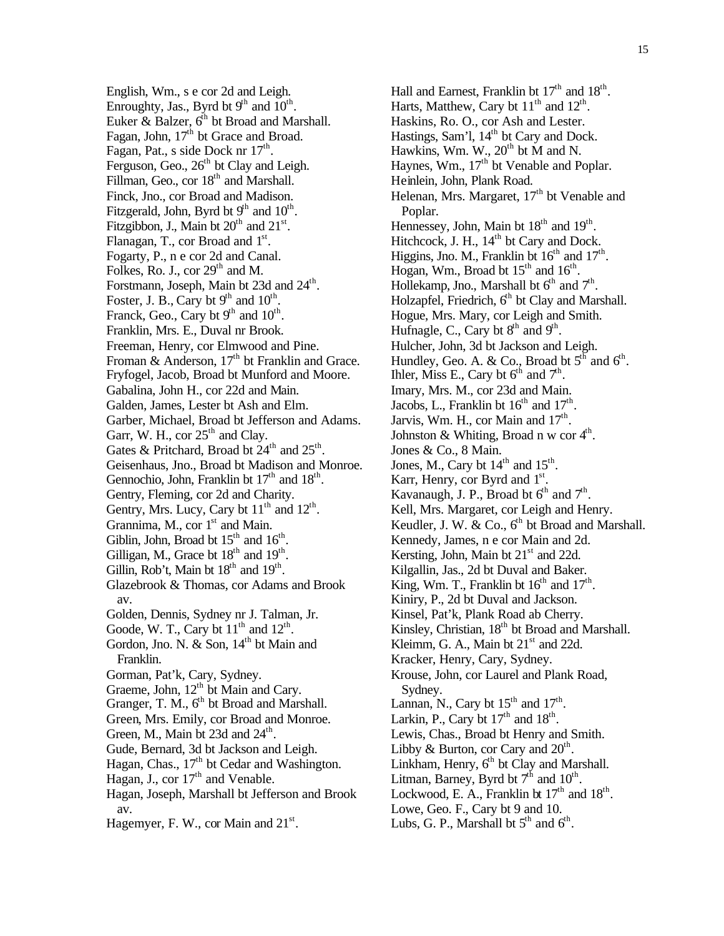English, Wm., s e cor 2d and Leigh. Enroughty, Jas., Byrd bt  $9<sup>th</sup>$  and  $10<sup>th</sup>$ . Euker & Balzer,  $6<sup>th</sup>$  bt Broad and Marshall. Fagan, John, 17<sup>th</sup> bt Grace and Broad. Fagan, Pat., s side Dock nr  $17<sup>th</sup>$ . Ferguson, Geo.,  $26<sup>th</sup>$  bt Clay and Leigh. Fillman, Geo., cor  $18<sup>th</sup>$  and Marshall. Finck, Jno., cor Broad and Madison. Fitzgerald, John, Byrd bt  $9<sup>th</sup>$  and  $10<sup>th</sup>$ . Fitzgibbon, J., Main bt  $20<sup>th</sup>$  and  $21<sup>st</sup>$ . Flanagan, T., cor Broad and  $1<sup>st</sup>$ . Fogarty, P., n e cor 2d and Canal. Folkes, Ro. J., cor  $29<sup>th</sup>$  and M. Forstmann, Joseph, Main bt 23d and 24<sup>th</sup>. Foster, J. B., Cary bt  $9<sup>th</sup>$  and  $10<sup>th</sup>$ . Franck, Geo., Cary bt  $9<sup>th</sup>$  and  $10<sup>th</sup>$ . Franklin, Mrs. E., Duval nr Brook. Freeman, Henry, cor Elmwood and Pine. Froman & Anderson,  $17<sup>th</sup>$  bt Franklin and Grace. Fryfogel, Jacob, Broad bt Munford and Moore. Gabalina, John H., cor 22d and Main. Galden, James, Lester bt Ash and Elm. Garber, Michael, Broad bt Jefferson and Adams. Garr, W. H., cor  $25<sup>th</sup>$  and Clay. Gates & Pritchard, Broad bt  $24<sup>th</sup>$  and  $25<sup>th</sup>$ . Geisenhaus, Jno., Broad bt Madison and Monroe. Gennochio, John, Franklin bt  $17<sup>th</sup>$  and  $18<sup>th</sup>$ . Gentry, Fleming, cor 2d and Charity. Gentry, Mrs. Lucy, Cary bt  $11<sup>th</sup>$  and  $12<sup>th</sup>$ . Grannima, M., cor  $1<sup>st</sup>$  and Main. Giblin, John, Broad bt  $15<sup>th</sup>$  and  $16<sup>th</sup>$ . Gilligan, M., Grace bt  $18<sup>th</sup>$  and  $19<sup>th</sup>$ . Gillin, Rob't, Main bt  $18<sup>th</sup>$  and  $19<sup>th</sup>$ . Glazebrook & Thomas, cor Adams and Brook av. Golden, Dennis, Sydney nr J. Talman, Jr. Goode, W. T., Cary bt  $11<sup>th</sup>$  and  $12<sup>th</sup>$ . Gordon, Jno. N.  $\&$  Son,  $14<sup>th</sup>$  bt Main and Franklin. Gorman, Pat'k, Cary, Sydney. Graeme, John, 12<sup>th</sup> bt Main and Cary. Granger, T. M.,  $6<sup>th</sup>$  bt Broad and Marshall. Green, Mrs. Emily, cor Broad and Monroe. Green, M., Main bt 23d and  $24^{\text{th}}$ . Gude, Bernard, 3d bt Jackson and Leigh. Hagan, Chas.,  $17<sup>th</sup>$  bt Cedar and Washington. Hagan, J., cor  $17<sup>th</sup>$  and Venable. Hagan, Joseph, Marshall bt Jefferson and Brook av. Hagemyer, F. W., cor Main and  $21^{st}$ .

Hall and Earnest, Franklin bt  $17<sup>th</sup>$  and  $18<sup>th</sup>$ . Harts, Matthew, Cary bt  $11<sup>th</sup>$  and  $12<sup>th</sup>$ . Haskins, Ro. O., cor Ash and Lester. Hastings, Sam'l, 14<sup>th</sup> bt Cary and Dock. Hawkins, Wm. W.,  $20<sup>th</sup>$  bt M and N. Haynes, Wm.,  $17<sup>th</sup>$  bt Venable and Poplar. Heinlein, John, Plank Road. Helenan, Mrs. Margaret,  $17<sup>th</sup>$  bt Venable and Poplar. Hennessey, John, Main bt 18<sup>th</sup> and 19<sup>th</sup>. Hitchcock, J. H., 14<sup>th</sup> bt Cary and Dock. Higgins, Jno. M., Franklin bt  $16<sup>th</sup>$  and  $17<sup>th</sup>$ . Hogan, Wm., Broad bt  $15<sup>th</sup>$  and  $16<sup>th</sup>$ . Hollekamp, Jno., Marshall bt  $6<sup>th</sup>$  and  $7<sup>th</sup>$ . Holzapfel, Friedrich,  $6<sup>th</sup>$  bt Clay and Marshall. Hogue, Mrs. Mary, cor Leigh and Smith. Hufnagle, C., Cary bt  $8<sup>th</sup>$  and  $9<sup>th</sup>$ . Hulcher, John, 3d bt Jackson and Leigh. Hundley, Geo. A. & Co., Broad bt  $5<sup>th</sup>$  and  $6<sup>th</sup>$ . Ihler, Miss E., Cary bt  $6^{th}$  and  $7^{th}$ . Imary, Mrs. M., cor 23d and Main. Jacobs, L., Franklin bt  $16<sup>th</sup>$  and  $17<sup>th</sup>$ . Jarvis, Wm. H., cor Main and  $17<sup>th</sup>$ . Johnston & Whiting, Broad n w cor  $4<sup>th</sup>$ . Jones & Co., 8 Main. Jones, M., Cary bt  $14<sup>th</sup>$  and  $15<sup>th</sup>$ . Karr, Henry, cor Byrd and  $1<sup>st</sup>$ . Kavanaugh, J. P., Broad bt  $6<sup>th</sup>$  and  $7<sup>th</sup>$ . Kell, Mrs. Margaret, cor Leigh and Henry. Keudler, J. W. & Co.,  $6<sup>th</sup>$  bt Broad and Marshall. Kennedy, James, n e cor Main and 2d. Kersting, John, Main bt  $21<sup>st</sup>$  and 22d. Kilgallin, Jas., 2d bt Duval and Baker. King, Wm. T., Franklin bt  $16<sup>th</sup>$  and  $17<sup>th</sup>$ . Kiniry, P., 2d bt Duval and Jackson. Kinsel, Pat'k, Plank Road ab Cherry. Kinsley, Christian, 18<sup>th</sup> bt Broad and Marshall. Kleimm, G. A., Main bt  $21<sup>st</sup>$  and 22d. Kracker, Henry, Cary, Sydney. Krouse, John, cor Laurel and Plank Road, Sydney. Lannan, N., Cary bt  $15<sup>th</sup>$  and  $17<sup>th</sup>$ . Larkin, P., Cary bt  $17<sup>th</sup>$  and  $18<sup>th</sup>$ . Lewis, Chas., Broad bt Henry and Smith. Libby & Burton, cor Cary and  $20<sup>th</sup>$ . Linkham, Henry,  $6<sup>th</sup>$  bt Clay and Marshall. Litman, Barney, Byrd bt  $7<sup>th</sup>$  and  $10<sup>th</sup>$ . Lockwood, E. A., Franklin bt  $17<sup>th</sup>$  and  $18<sup>th</sup>$ . Lowe, Geo. F., Cary bt 9 and 10. Lubs, G. P., Marshall bt  $5<sup>th</sup>$  and  $6<sup>th</sup>$ .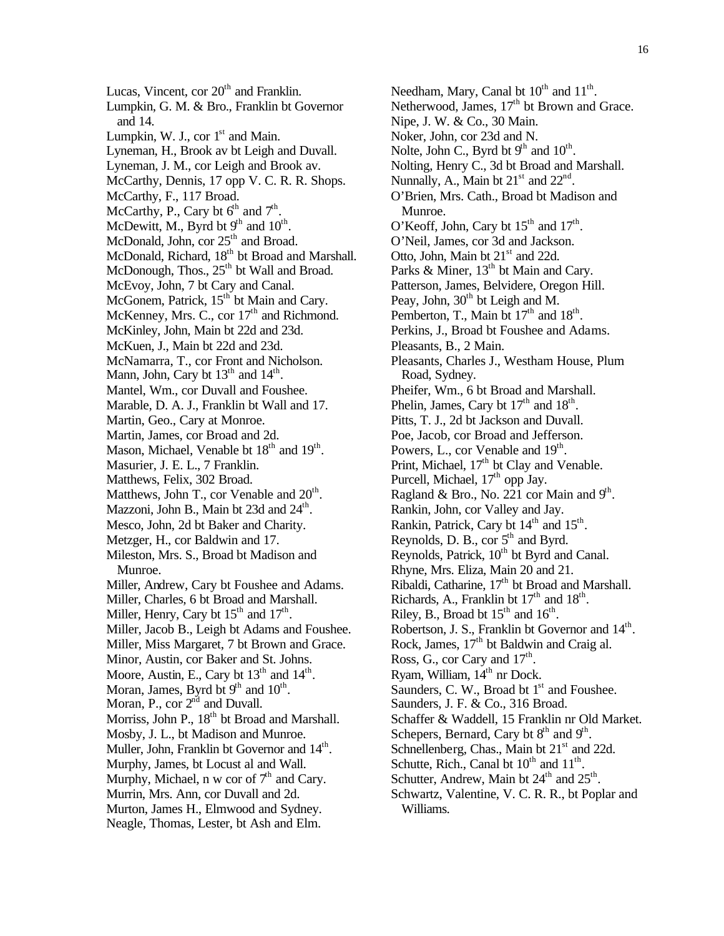16

Lucas, Vincent, cor  $20<sup>th</sup>$  and Franklin. Lumpkin, G. M. & Bro., Franklin bt Governor and 14. Lumpkin, W. J., cor  $1<sup>st</sup>$  and Main. Lyneman, H., Brook av bt Leigh and Duvall. Lyneman, J. M., cor Leigh and Brook av. McCarthy, Dennis, 17 opp V. C. R. R. Shops. McCarthy, F., 117 Broad. McCarthy, P., Cary bt  $6<sup>th</sup>$  and  $7<sup>th</sup>$ . McDewitt, M., Byrd bt  $9<sup>th</sup>$  and  $10<sup>th</sup>$ . McDonald, John, cor 25<sup>th</sup> and Broad. McDonald, Richard, 18<sup>th</sup> bt Broad and Marshall. McDonough, Thos.,  $25<sup>th</sup>$  bt Wall and Broad. McEvoy, John, 7 bt Cary and Canal. McGonem, Patrick, 15<sup>th</sup> bt Main and Cary. McKenney, Mrs. C., cor  $17<sup>th</sup>$  and Richmond. McKinley, John, Main bt 22d and 23d. McKuen, J., Main bt 22d and 23d. McNamarra, T., cor Front and Nicholson. Mann, John, Cary bt  $13<sup>th</sup>$  and  $14<sup>th</sup>$ . Mantel, Wm., cor Duvall and Foushee. Marable, D. A. J., Franklin bt Wall and 17. Martin, Geo., Cary at Monroe. Martin, James, cor Broad and 2d. Mason, Michael, Venable bt  $18<sup>th</sup>$  and  $19<sup>th</sup>$ . Masurier, J. E. L., 7 Franklin. Matthews, Felix, 302 Broad. Matthews, John T., cor Venable and  $20^{\text{th}}$ . Mazzoni, John B., Main bt 23d and 24<sup>th</sup>. Mesco, John, 2d bt Baker and Charity. Metzger, H., cor Baldwin and 17. Mileston, Mrs. S., Broad bt Madison and Munroe. Miller, Andrew, Cary bt Foushee and Adams. Miller, Charles, 6 bt Broad and Marshall. Miller, Henry, Cary bt  $15<sup>th</sup>$  and  $17<sup>th</sup>$ . Miller, Jacob B., Leigh bt Adams and Foushee. Miller, Miss Margaret, 7 bt Brown and Grace. Minor, Austin, cor Baker and St. Johns. Moore, Austin, E., Cary bt  $13<sup>th</sup>$  and  $14<sup>th</sup>$ . Moran, James, Byrd bt  $9<sup>th</sup>$  and  $10<sup>th</sup>$ . Moran,  $P_{\cdot}$ , cor  $2^{n\tilde{d}}$  and Duvall. Morriss, John P., 18<sup>th</sup> bt Broad and Marshall. Mosby, J. L., bt Madison and Munroe. Muller, John, Franklin bt Governor and 14<sup>th</sup>. Murphy, James, bt Locust al and Wall. Murphy, Michael, n w cor of  $7<sup>th</sup>$  and Cary. Murrin, Mrs. Ann, cor Duvall and 2d. Murton, James H., Elmwood and Sydney. Neagle, Thomas, Lester, bt Ash and Elm.

Needham, Mary, Canal bt  $10^{th}$  and  $11^{th}$ . Netherwood, James, 17<sup>th</sup> bt Brown and Grace. Nipe, J. W. & Co., 30 Main. Noker, John, cor 23d and N. Nolte, John C., Byrd bt  $9<sup>th</sup>$  and  $10<sup>th</sup>$ . Nolting, Henry C., 3d bt Broad and Marshall. Nunnally, A., Main bt  $21<sup>st</sup>$  and  $22<sup>nd</sup>$ . O'Brien, Mrs. Cath., Broad bt Madison and Munroe. O'Keoff, John, Cary bt  $15<sup>th</sup>$  and  $17<sup>th</sup>$ . O'Neil, James, cor 3d and Jackson. Otto, John, Main bt 21<sup>st</sup> and 22d. Parks & Miner,  $13<sup>th</sup>$  bt Main and Cary. Patterson, James, Belvidere, Oregon Hill. Peay, John,  $30<sup>th</sup>$  bt Leigh and M. Pemberton, T., Main bt  $17<sup>th</sup>$  and  $18<sup>th</sup>$ . Perkins, J., Broad bt Foushee and Adams. Pleasants, B., 2 Main. Pleasants, Charles J., Westham House, Plum Road, Sydney. Pheifer, Wm., 6 bt Broad and Marshall. Phelin, James, Cary bt  $17<sup>th</sup>$  and  $18<sup>th</sup>$ . Pitts, T. J., 2d bt Jackson and Duvall. Poe, Jacob, cor Broad and Jefferson. Powers, L., cor Venable and 19<sup>th</sup>. Print, Michael,  $17<sup>th</sup>$  bt Clay and Venable. Purcell, Michael, 17<sup>th</sup> opp Jay. Ragland & Bro., No. 221 cor Main and  $9<sup>th</sup>$ . Rankin, John, cor Valley and Jay. Rankin, Patrick, Cary bt 14<sup>th</sup> and 15<sup>th</sup>. Reynolds, D. B., cor  $5<sup>th</sup>$  and Byrd. Reynolds, Patrick,  $10<sup>th</sup>$  bt Byrd and Canal. Rhyne, Mrs. Eliza, Main 20 and 21. Ribaldi, Catharine, 17<sup>th</sup> bt Broad and Marshall. Richards, A., Franklin bt  $17<sup>th</sup>$  and  $18<sup>th</sup>$ . Riley, B., Broad bt  $15<sup>th</sup>$  and  $16<sup>th</sup>$ . Robertson, J. S., Franklin bt Governor and 14<sup>th</sup>. Rock, James,  $17<sup>th</sup>$  bt Baldwin and Craig al. Ross, G., cor Cary and  $17<sup>th</sup>$ . Ryam, William,  $14<sup>th</sup>$  nr Dock. Saunders, C. W., Broad bt  $1<sup>st</sup>$  and Foushee. Saunders, J. F. & Co., 316 Broad. Schaffer & Waddell, 15 Franklin nr Old Market. Schepers, Bernard, Cary bt  $8<sup>th</sup>$  and  $9<sup>th</sup>$ . Schnellenberg, Chas., Main bt  $21<sup>st</sup>$  and 22d. Schutte, Rich., Canal bt  $10^{th}$  and  $11^{th}$ . Schutter, Andrew, Main bt  $24<sup>th</sup>$  and  $25<sup>th</sup>$ . Schwartz, Valentine, V. C. R. R., bt Poplar and Williams.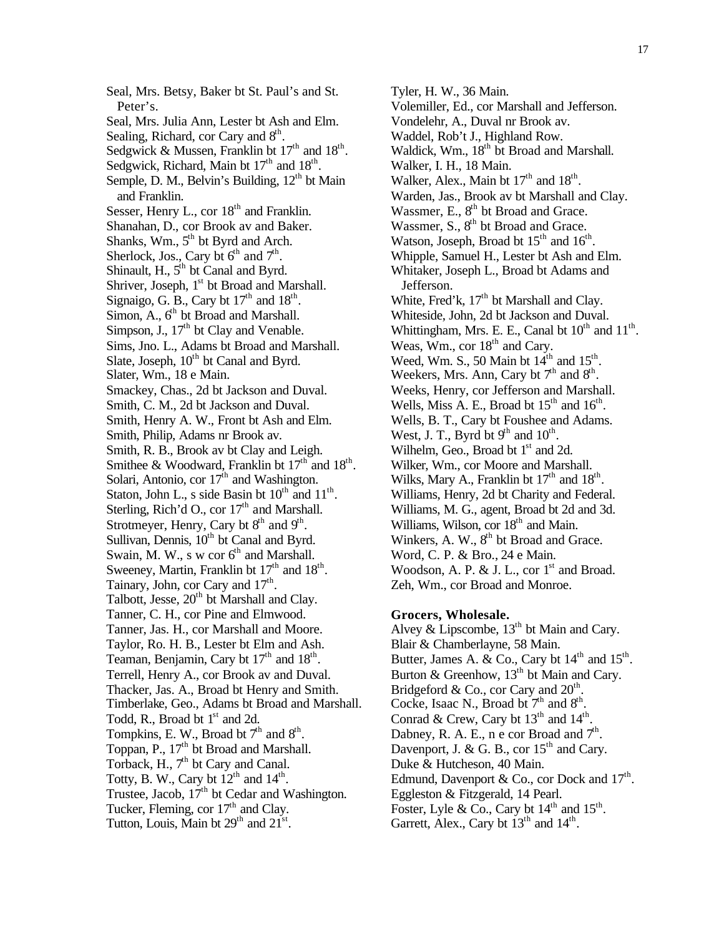Seal, Mrs. Betsy, Baker bt St. Paul's and St. Peter's. Seal, Mrs. Julia Ann, Lester bt Ash and Elm. Sealing, Richard, cor Cary and  $8<sup>th</sup>$ . Sedgwick & Mussen, Franklin bt  $17<sup>th</sup>$  and  $18<sup>th</sup>$ . Sedgwick, Richard, Main bt  $17<sup>th</sup>$  and  $18<sup>th</sup>$ . Semple, D. M., Belvin's Building,  $12<sup>th</sup>$  bt Main and Franklin. Sesser, Henry L., cor  $18<sup>th</sup>$  and Franklin. Shanahan, D., cor Brook av and Baker. Shanks, Wm.,  $5<sup>th</sup>$  bt Byrd and Arch. Sherlock, Jos., Cary bt  $6<sup>th</sup>$  and  $7<sup>th</sup>$ . Shinault, H.,  $5<sup>th</sup>$  bt Canal and Byrd. Shriver, Joseph,  $1<sup>st</sup>$  bt Broad and Marshall. Signaigo, G. B., Cary bt  $17<sup>th</sup>$  and  $18<sup>th</sup>$ . Simon, A.,  $6<sup>th</sup>$  bt Broad and Marshall. Simpson, J., 17<sup>th</sup> bt Clay and Venable. Sims, Jno. L., Adams bt Broad and Marshall. Slate, Joseph,  $10^{th}$  bt Canal and Byrd. Slater, Wm., 18 e Main. Smackey, Chas., 2d bt Jackson and Duval. Smith, C. M., 2d bt Jackson and Duval. Smith, Henry A. W., Front bt Ash and Elm. Smith, Philip, Adams nr Brook av. Smith, R. B., Brook av bt Clay and Leigh. Smithee & Woodward, Franklin bt  $17<sup>th</sup>$  and  $18<sup>th</sup>$ . Solari, Antonio, cor 17<sup>th</sup> and Washington. Staton, John L., s side Basin bt  $10^{th}$  and  $11^{th}$ . Sterling, Rich'd O., cor  $17<sup>th</sup>$  and Marshall. Strotmeyer, Henry, Cary bt  $8<sup>th</sup>$  and  $9<sup>th</sup>$ . Sullivan, Dennis,  $10^{th}$  bt Canal and Byrd. Swain, M. W., s w cor  $6<sup>th</sup>$  and Marshall. Sweeney, Martin, Franklin bt  $17<sup>th</sup>$  and  $18<sup>th</sup>$ . Tainary, John, cor Cary and 17<sup>th</sup>. Talbott, Jesse, 20<sup>th</sup> bt Marshall and Clay. Tanner, C. H., cor Pine and Elmwood. Tanner, Jas. H., cor Marshall and Moore. Taylor, Ro. H. B., Lester bt Elm and Ash. Teaman, Benjamin, Cary bt  $17<sup>th</sup>$  and  $18<sup>th</sup>$ . Terrell, Henry A., cor Brook av and Duval. Thacker, Jas. A., Broad bt Henry and Smith. Timberlake, Geo., Adams bt Broad and Marshall. Todd, R., Broad bt  $1<sup>st</sup>$  and 2d. Tompkins, E. W., Broad bt  $7<sup>th</sup>$  and  $8<sup>th</sup>$ . Toppan, P., 17<sup>th</sup> bt Broad and Marshall. Torback, H., 7<sup>th</sup> bt Cary and Canal. Totty, B. W., Cary bt  $12^{th}$  and  $14^{th}$ . Trustee, Jacob,  $17<sup>th</sup>$  bt Cedar and Washington. Tucker, Fleming, cor  $17<sup>th</sup>$  and Clay. Tutton, Louis, Main bt  $29<sup>th</sup>$  and  $21<sup>st</sup>$ .

Tyler, H. W., 36 Main. Volemiller, Ed., cor Marshall and Jefferson. Vondelehr, A., Duval nr Brook av. Waddel, Rob't J., Highland Row. Waldick, Wm., 18<sup>th</sup> bt Broad and Marshall. Walker, I. H., 18 Main. Walker, Alex., Main bt  $17<sup>th</sup>$  and  $18<sup>th</sup>$ . Warden, Jas., Brook av bt Marshall and Clay. Wassmer, E.,  $8<sup>th</sup>$  bt Broad and Grace. Wassmer,  $S_{n}$ ,  $8^{th}$  bt Broad and Grace. Watson, Joseph, Broad bt  $15<sup>th</sup>$  and  $16<sup>th</sup>$ . Whipple, Samuel H., Lester bt Ash and Elm. Whitaker, Joseph L., Broad bt Adams and Jefferson. White, Fred'k,  $17<sup>th</sup>$  bt Marshall and Clay. Whiteside, John, 2d bt Jackson and Duval. Whittingham, Mrs. E. E., Canal bt  $10^{th}$  and  $11^{th}$ . Weas,  $\text{Wm}$ , cor  $18^{\text{th}}$  and Cary. Weed, Wm. S., 50 Main bt  $14<sup>th</sup>$  and  $15<sup>th</sup>$ . Weekers, Mrs. Ann, Cary bt  $7<sup>th</sup>$  and  $8<sup>th</sup>$ . Weeks, Henry, cor Jefferson and Marshall. Wells, Miss A. E., Broad bt  $15<sup>th</sup>$  and  $16<sup>th</sup>$ . Wells, B. T., Cary bt Foushee and Adams. West, J. T., Byrd bt  $9<sup>th</sup>$  and  $10<sup>th</sup>$ . Wilhelm, Geo., Broad bt  $1<sup>st</sup>$  and 2d. Wilker, Wm., cor Moore and Marshall. Wilks, Mary A., Franklin bt  $17<sup>th</sup>$  and  $18<sup>th</sup>$ . Williams, Henry, 2d bt Charity and Federal. Williams, M. G., agent, Broad bt 2d and 3d. Williams, Wilson, cor  $18<sup>th</sup>$  and Main. Winkers, A. W., 8<sup>th</sup> bt Broad and Grace. Word, C. P. & Bro., 24 e Main. Woodson, A. P. & J. L., cor  $1<sup>st</sup>$  and Broad. Zeh, Wm., cor Broad and Monroe.

## **Grocers, Wholesale.**

Alvey & Lipscombe,  $13<sup>th</sup>$  bt Main and Cary. Blair & Chamberlayne, 58 Main. Butter, James A. & Co., Cary bt  $14<sup>th</sup>$  and  $15<sup>th</sup>$ . Burton & Greenhow,  $13<sup>th</sup>$  bt Main and Cary. Bridgeford & Co., cor Cary and  $20<sup>th</sup>$ . Cocke, Isaac N., Broad bt  $7<sup>th</sup>$  and  $8<sup>th</sup>$ . Conrad & Crew, Cary bt  $13<sup>th</sup>$  and  $14<sup>th</sup>$ . Dabney, R. A. E., n e cor Broad and  $7<sup>th</sup>$ . Davenport, J. & G. B., cor  $15<sup>th</sup>$  and Cary. Duke & Hutcheson, 40 Main. Edmund, Davenport & Co., cor Dock and  $17^{\text{th}}$ . Eggleston & Fitzgerald, 14 Pearl. Foster, Lyle & Co., Cary bt  $14<sup>th</sup>$  and  $15<sup>th</sup>$ . Garrett, Alex., Cary bt  $13<sup>th</sup>$  and  $14<sup>th</sup>$ .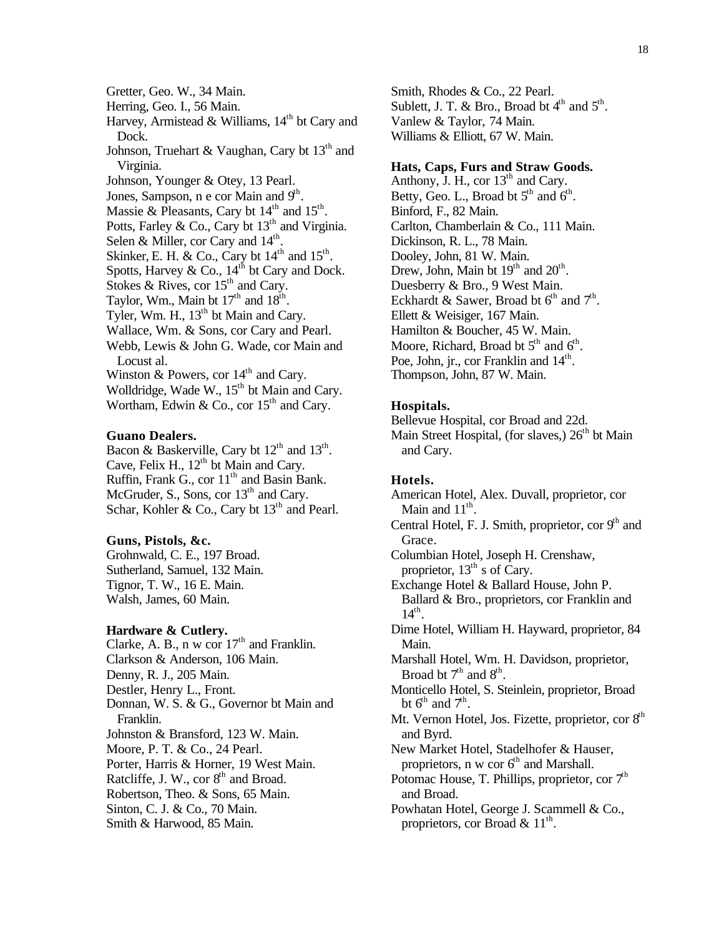Gretter, Geo. W., 34 Main.

Herring, Geo. I., 56 Main.

Harvey, Armistead & Williams,  $14<sup>th</sup>$  bt Cary and Dock.

Johnson, Truehart & Vaughan, Cary bt  $13<sup>th</sup>$  and Virginia.

Johnson, Younger & Otey, 13 Pearl.

Jones, Sampson, n e cor Main and 9<sup>th</sup>.

Massie & Pleasants, Cary bt  $14<sup>th</sup>$  and  $15<sup>th</sup>$ .

Potts, Farley & Co., Cary bt  $13<sup>th</sup>$  and Virginia.

Selen & Miller, cor Cary and  $14<sup>th</sup>$ .

Skinker, E. H. & Co., Cary bt  $14<sup>th</sup>$  and  $15<sup>th</sup>$ .

Spotts, Harvey & Co.,  $14<sup>th</sup>$  bt Cary and Dock.

Stokes & Rives, cor  $15<sup>th</sup>$  and Cary.

Taylor, Wm., Main bt  $17<sup>th</sup>$  and  $18<sup>th</sup>$ .

Tyler, Wm. H.,  $13<sup>th</sup>$  bt Main and Cary.

Wallace, Wm. & Sons, cor Cary and Pearl.

Webb, Lewis & John G. Wade, cor Main and Locust al.

Winston & Powers, cor  $14<sup>th</sup>$  and Cary.

Wolldridge, Wade W., 15<sup>th</sup> bt Main and Cary. Wortham, Edwin & Co., cor  $15<sup>th</sup>$  and Cary.

## **Guano Dealers.**

Bacon & Baskerville, Cary bt  $12<sup>th</sup>$  and  $13<sup>th</sup>$ . Cave, Felix H.,  $12<sup>th</sup>$  bt Main and Cary. Ruffin, Frank G., cor 11<sup>th</sup> and Basin Bank. McGruder, S., Sons, cor  $13<sup>th</sup>$  and Cary. Schar, Kohler & Co., Cary bt  $13<sup>th</sup>$  and Pearl.

## **Guns, Pistols, &c.**

Grohnwald, C. E., 197 Broad. Sutherland, Samuel, 132 Main. Tignor, T. W., 16 E. Main. Walsh, James, 60 Main.

## **Hardware & Cutlery.**

Clarke, A. B., n w cor  $17<sup>th</sup>$  and Franklin. Clarkson & Anderson, 106 Main. Denny, R. J., 205 Main. Destler, Henry L., Front. Donnan, W. S. & G., Governor bt Main and Franklin. Johnston & Bransford, 123 W. Main. Moore, P. T. & Co., 24 Pearl. Porter, Harris & Horner, 19 West Main. Ratcliffe, J. W., cor  $8<sup>th</sup>$  and Broad. Robertson, Theo. & Sons, 65 Main. Sinton, C. J. & Co., 70 Main. Smith & Harwood, 85 Main.

Smith, Rhodes & Co., 22 Pearl. Sublett, J. T. & Bro., Broad bt  $4<sup>th</sup>$  and  $5<sup>th</sup>$ . Vanlew & Taylor, 74 Main. Williams & Elliott, 67 W. Main.

## **Hats, Caps, Furs and Straw Goods.**

Anthony, J. H., cor  $13<sup>th</sup>$  and Cary. Betty, Geo. L., Broad bt  $5<sup>th</sup>$  and  $6<sup>th</sup>$ . Binford, F., 82 Main. Carlton, Chamberlain & Co., 111 Main. Dickinson, R. L., 78 Main. Dooley, John, 81 W. Main. Drew, John, Main bt  $19<sup>th</sup>$  and  $20<sup>th</sup>$ . Duesberry & Bro., 9 West Main. Eckhardt & Sawer, Broad bt  $6^{th}$  and  $7^{th}$ . Ellett & Weisiger, 167 Main. Hamilton & Boucher, 45 W. Main. Moore, Richard, Broad bt  $5<sup>th</sup>$  and  $6<sup>th</sup>$ . Poe, John, jr., cor Franklin and 14<sup>th</sup>. Thompson, John, 87 W. Main.

## **Hospitals.**

Bellevue Hospital, cor Broad and 22d. Main Street Hospital, (for slaves,)  $26<sup>th</sup>$  bt Main and Cary.

## **Hotels.**

American Hotel, Alex. Duvall, proprietor, cor Main and  $11^{\text{th}}$ . Central Hotel, F. J. Smith, proprietor, cor 9<sup>th</sup> and

Grace. Columbian Hotel, Joseph H. Crenshaw, proprietor,  $13^{th}$  s of Cary.

Exchange Hotel & Ballard House, John P. Ballard & Bro., proprietors, cor Franklin and  $14<sup>th</sup>$ .

Dime Hotel, William H. Hayward, proprietor, 84 Main.

Marshall Hotel, Wm. H. Davidson, proprietor, Broad bt  $7<sup>th</sup>$  and  $8<sup>th</sup>$ .

Monticello Hotel, S. Steinlein, proprietor, Broad bt  $6^{\text{th}}$  and  $7^{\text{th}}$ .

Mt. Vernon Hotel, Jos. Fizette, proprietor, cor 8<sup>th</sup> and Byrd.

New Market Hotel, Stadelhofer & Hauser, proprietors, n w cor  $6<sup>th</sup>$  and Marshall.

Potomac House, T. Phillips, proprietor, cor  $7<sup>th</sup>$ and Broad.

Powhatan Hotel, George J. Scammell & Co., proprietors, cor Broad &  $11^{\text{th}}$ .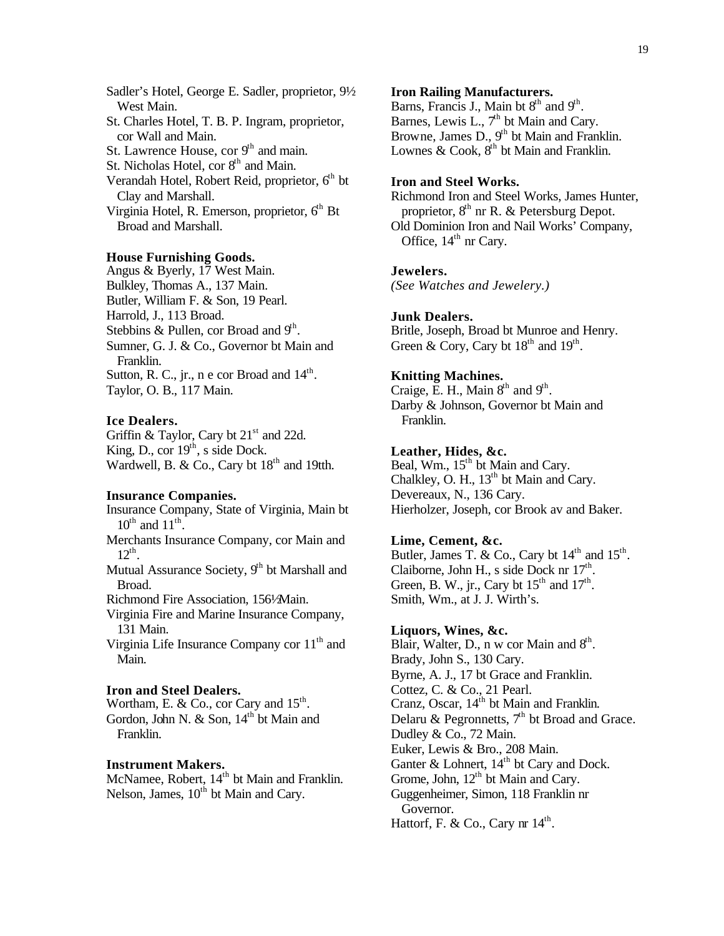Sadler's Hotel, George E. Sadler, proprietor, 9½ West Main. St. Charles Hotel, T. B. P. Ingram, proprietor, cor Wall and Main. St. Lawrence House, cor  $9<sup>th</sup>$  and main. St. Nicholas Hotel, cor  $8<sup>th</sup>$  and Main. Verandah Hotel, Robert Reid, proprietor,  $6<sup>th</sup>$  bt Clay and Marshall. Virginia Hotel, R. Emerson, proprietor,  $6<sup>th</sup>$  Bt Broad and Marshall.

#### **House Furnishing Goods.**

Angus & Byerly, 17 West Main. Bulkley, Thomas A., 137 Main. Butler, William F. & Son, 19 Pearl. Harrold, J., 113 Broad. Stebbins & Pullen, cor Broad and  $9<sup>th</sup>$ . Sumner, G. J. & Co., Governor bt Main and Franklin. Sutton, R. C., jr., n e cor Broad and  $14<sup>th</sup>$ . Taylor, O. B., 117 Main.

#### **Ice Dealers.**

Griffin & Taylor, Cary bt  $21<sup>st</sup>$  and 22d. King, D., cor  $19<sup>th</sup>$ , s side Dock. Wardwell, B. & Co., Cary bt  $18<sup>th</sup>$  and 19tth.

#### **Insurance Companies.**

Insurance Company, State of Virginia, Main bt  $10^{\text{th}}$  and  $11^{\text{th}}$ . Merchants Insurance Company, cor Main and  $12^{th}$ . Mutual Assurance Society,  $9<sup>th</sup>$  bt Marshall and Broad. Richmond Fire Association, 156½ Main. Virginia Fire and Marine Insurance Company, 131 Main. Virginia Life Insurance Company cor  $11<sup>th</sup>$  and Main. **Iron and Steel Dealers.**

Wortham, E. & Co., cor Cary and  $15<sup>th</sup>$ . Gordon, John N. & Son, 14<sup>th</sup> bt Main and Franklin.

#### **Instrument Makers.**

McNamee, Robert, 14<sup>th</sup> bt Main and Franklin. Nelson, James,  $10<sup>th</sup>$  bt Main and Cary.

#### **Iron Railing Manufacturers.**

Barns, Francis J., Main bt  $8<sup>th</sup>$  and  $9<sup>th</sup>$ . Barnes, Lewis L.,  $7<sup>th</sup>$  bt Main and Cary. Browne, James D.,  $9<sup>th</sup>$  bt Main and Franklin. Lownes & Cook,  $8<sup>th</sup>$  bt Main and Franklin.

## **Iron and Steel Works.**

Richmond Iron and Steel Works, James Hunter, proprietor,  $8<sup>th</sup>$  nr R. & Petersburg Depot. Old Dominion Iron and Nail Works' Company, Office,  $14<sup>th</sup>$  nr Cary.

#### **Jewelers.**

*(See Watches and Jewelery.)*

#### **Junk Dealers.**

Britle, Joseph, Broad bt Munroe and Henry. Green & Cory, Cary bt  $18^{th}$  and  $19^{th}$ .

#### **Knitting Machines.**

Craige, E. H., Main  $8<sup>th</sup>$  and  $9<sup>th</sup>$ . Darby & Johnson, Governor bt Main and Franklin.

## **Leather, Hides, &c.**

Beal, Wm., 15<sup>th</sup> bt Main and Cary. Chalkley, O. H., 13<sup>th</sup> bt Main and Cary. Devereaux, N., 136 Cary. Hierholzer, Joseph, cor Brook av and Baker.

## **Lime, Cement, &c.**

Butler, James T. & Co., Cary bt  $14<sup>th</sup>$  and  $15<sup>th</sup>$ . Claiborne, John H., s side Dock nr  $17<sup>th</sup>$ . Green, B. W., jr., Cary bt  $15<sup>th</sup>$  and  $17<sup>th</sup>$ . Smith, Wm., at J. J. Wirth's.

## **Liquors, Wines, &c.**

Blair, Walter, D., n w cor Main and  $8<sup>th</sup>$ . Brady, John S., 130 Cary. Byrne, A. J., 17 bt Grace and Franklin. Cottez, C. & Co., 21 Pearl. Cranz, Oscar, 14<sup>th</sup> bt Main and Franklin. Delaru & Pegronnetts,  $7<sup>th</sup>$  bt Broad and Grace. Dudley & Co., 72 Main. Euker, Lewis & Bro., 208 Main. Ganter  $&$  Lohnert,  $14<sup>th</sup>$  bt Cary and Dock. Grome, John, 12<sup>th</sup> bt Main and Cary. Guggenheimer, Simon, 118 Franklin nr Governor. Hattorf, F. & Co., Cary nr  $14<sup>th</sup>$ .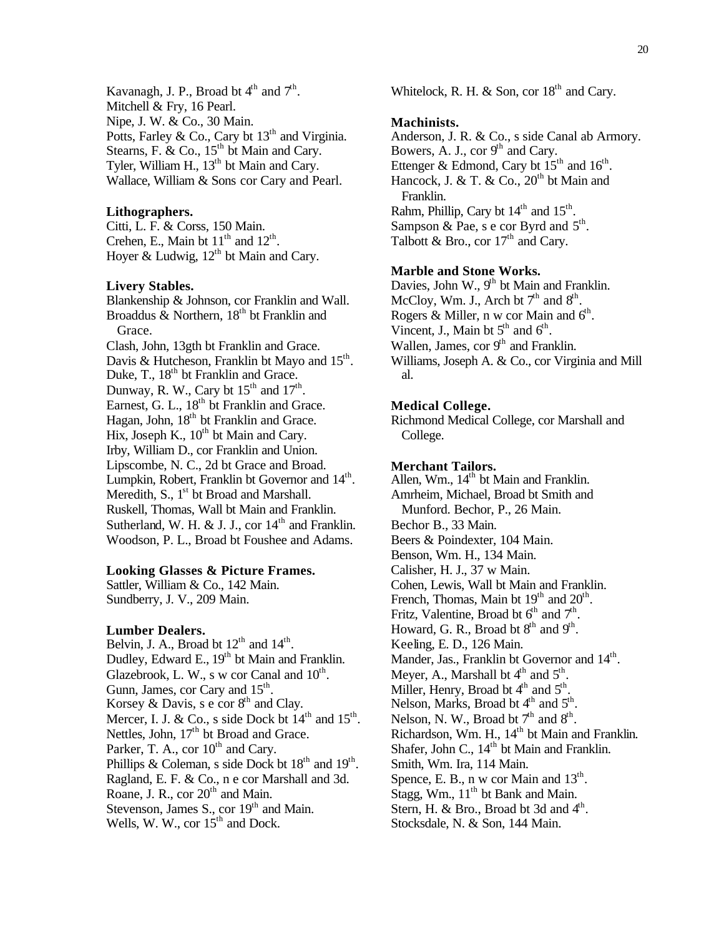Kavanagh, J. P., Broad bt  $4<sup>th</sup>$  and  $7<sup>th</sup>$ . Mitchell & Fry, 16 Pearl. Nipe, J. W. & Co., 30 Main. Potts, Farley & Co., Cary bt  $13<sup>th</sup>$  and Virginia. Stearns, F. & Co.,  $15^{th}$  bt Main and Cary. Tyler, William H.,  $13<sup>th</sup>$  bt Main and Cary. Wallace, William & Sons cor Cary and Pearl.

## **Lithographers.**

Citti, L. F. & Corss, 150 Main. Crehen, E., Main bt  $11<sup>th</sup>$  and  $12<sup>th</sup>$ . Hoyer & Ludwig,  $12^{th}$  bt Main and Cary.

#### **Livery Stables.**

Blankenship & Johnson, cor Franklin and Wall. Broaddus  $\&$  Northern, 18<sup>th</sup> bt Franklin and Grace.

Clash, John, 13gth bt Franklin and Grace. Davis & Hutcheson, Franklin bt Mayo and  $15^{\text{th}}$ . Duke, T., 18<sup>th</sup> bt Franklin and Grace. Dunway, R. W., Cary bt  $15<sup>th</sup>$  and  $17<sup>th</sup>$ . Earnest, G. L.,  $18<sup>th</sup>$  bt Franklin and Grace. Hagan, John,  $18<sup>th</sup>$  bt Franklin and Grace. Hix, Joseph K.,  $10^{th}$  bt Main and Cary. Irby, William D., cor Franklin and Union. Lipscombe, N. C., 2d bt Grace and Broad. Lumpkin, Robert, Franklin bt Governor and 14<sup>th</sup>. Meredith, S.,  $1<sup>st</sup>$  bt Broad and Marshall. Ruskell, Thomas, Wall bt Main and Franklin. Sutherland, W. H. & J. J., cor  $14<sup>th</sup>$  and Franklin. Woodson, P. L., Broad bt Foushee and Adams.

#### **Looking Glasses & Picture Frames.**

Sattler, William & Co., 142 Main. Sundberry, J. V., 209 Main.

#### **Lumber Dealers.**

Belvin, J. A., Broad bt  $12<sup>th</sup>$  and  $14<sup>th</sup>$ . Dudley, Edward E.,  $19<sup>th</sup>$  bt Main and Franklin. Glazebrook, L. W., s w cor Canal and  $10^{\text{th}}$ . Gunn, James, cor Cary and  $15<sup>th</sup>$ . Korsey & Davis,  $s \in \text{cor } 8^{\text{th}}$  and Clay. Mercer, I. J. & Co., s side Dock bt  $14<sup>th</sup>$  and  $15<sup>th</sup>$ . Nettles, John, 17<sup>th</sup> bt Broad and Grace. Parker, T. A., cor  $10^{th}$  and Cary. Phillips & Coleman, s side Dock bt  $18<sup>th</sup>$  and  $19<sup>th</sup>$ . Ragland, E. F. & Co., n e cor Marshall and 3d. Roane, J. R., cor  $20<sup>th</sup>$  and Main. Stevenson, James S., cor 19<sup>th</sup> and Main. Wells, W. W., cor  $15<sup>th</sup>$  and Dock.

Whitelock, R. H. & Son, cor  $18<sup>th</sup>$  and Cary.

#### **Machinists.**

Anderson, J. R. & Co., s side Canal ab Armory. Bowers, A. J., cor  $9<sup>th</sup>$  and Cary. Ettenger & Edmond, Cary bt  $15<sup>th</sup>$  and  $16<sup>th</sup>$ . Hancock, J. & T. & Co.,  $20^{th}$  bt Main and Franklin. Rahm, Phillip, Cary bt  $14<sup>th</sup>$  and  $15<sup>th</sup>$ . Sampson & Pae, s e cor Byrd and  $5^{\text{th}}$ . Talbott & Bro., cor  $17<sup>th</sup>$  and Cary.

## **Marble and Stone Works.**

Davies, John W.,  $9<sup>th</sup>$  bt Main and Franklin. McCloy, Wm. J., Arch bt  $7<sup>th</sup>$  and  $8<sup>th</sup>$ . Rogers & Miller, n w cor Main and  $6<sup>th</sup>$ . Vincent, J., Main bt  $5<sup>th</sup>$  and  $6<sup>th</sup>$ . Wallen, James, cor  $9<sup>th</sup>$  and Franklin. Williams, Joseph A. & Co., cor Virginia and Mill al.

#### **Medical College.**

Richmond Medical College, cor Marshall and College.

#### **Merchant Tailors.**

Allen, Wm., 14<sup>th</sup> bt Main and Franklin. Amrheim, Michael, Broad bt Smith and Munford. Bechor, P., 26 Main. Bechor B., 33 Main. Beers & Poindexter, 104 Main. Benson, Wm. H., 134 Main. Calisher, H. J., 37 w Main. Cohen, Lewis, Wall bt Main and Franklin. French, Thomas, Main bt 19<sup>th</sup> and 20<sup>th</sup>. Fritz, Valentine, Broad bt  $6<sup>th</sup>$  and  $7<sup>th</sup>$ . Howard, G. R., Broad bt  $8<sup>th</sup>$  and  $9<sup>th</sup>$ . Keeling, E. D., 126 Main. Mander, Jas., Franklin bt Governor and 14<sup>th</sup>. Meyer, A., Marshall bt  $4^{\text{th}}$  and  $5^{\text{th}}$ . Miller, Henry, Broad bt  $4<sup>th</sup>$  and  $5<sup>th</sup>$ . Nelson, Marks, Broad bt  $4<sup>th</sup>$  and  $5<sup>th</sup>$ . Nelson, N. W., Broad bt  $7<sup>th</sup>$  and  $8<sup>th</sup>$ . Richardson, Wm. H.,  $14<sup>th</sup>$  bt Main and Franklin. Shafer, John C., 14<sup>th</sup> bt Main and Franklin. Smith, Wm. Ira, 114 Main. Spence, E. B., n w cor Main and  $13<sup>th</sup>$ . Stagg, Wm.,  $11<sup>th</sup>$  bt Bank and Main. Stern, H. & Bro., Broad bt 3d and  $4<sup>th</sup>$ . Stocksdale, N. & Son, 144 Main.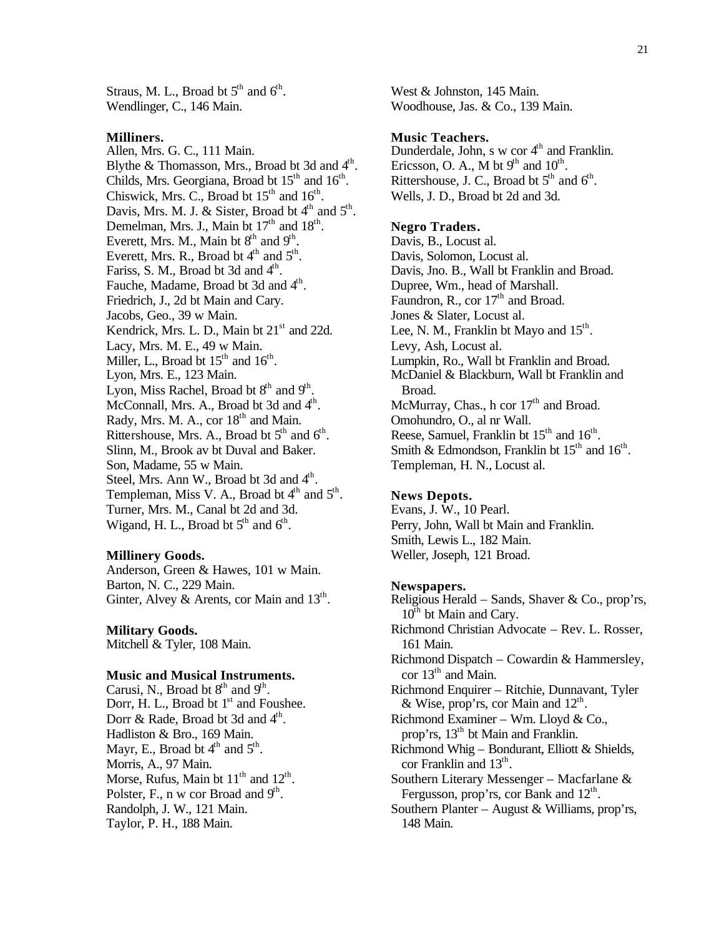Straus, M. L., Broad bt  $5<sup>th</sup>$  and  $6<sup>th</sup>$ . Wendlinger, C., 146 Main.

#### **Milliners.**

Allen, Mrs. G. C., 111 Main. Blythe & Thomasson, Mrs., Broad bt 3d and  $4<sup>th</sup>$ . Childs, Mrs. Georgiana, Broad bt  $15<sup>th</sup>$  and  $16<sup>th</sup>$ . Chiswick, Mrs. C., Broad bt  $15<sup>th</sup>$  and  $16<sup>th</sup>$ . Davis, Mrs. M. J. & Sister, Broad bt  $4<sup>th</sup>$  and  $5<sup>th</sup>$ . Demelman, Mrs. J., Main bt  $17<sup>th</sup>$  and  $18<sup>th</sup>$ . Everett, Mrs. M., Main bt  $8<sup>th</sup>$  and  $9<sup>th</sup>$ . Everett, Mrs. R., Broad bt  $4<sup>th</sup>$  and  $5<sup>th</sup>$ . Fariss, S. M., Broad bt 3d and  $4<sup>th</sup>$ . Fauche, Madame, Broad bt 3d and 4<sup>th</sup>. Friedrich, J., 2d bt Main and Cary. Jacobs, Geo., 39 w Main. Kendrick, Mrs. L. D., Main bt  $21<sup>st</sup>$  and 22d. Lacy, Mrs. M. E., 49 w Main. Miller, L., Broad bt  $15<sup>th</sup>$  and  $16<sup>th</sup>$ . Lyon, Mrs. E., 123 Main. Lyon, Miss Rachel, Broad bt  $8<sup>th</sup>$  and  $9<sup>th</sup>$ . McConnall, Mrs. A., Broad bt 3d and 4<sup>th</sup>. Rady, Mrs. M. A., cor 18<sup>th</sup> and Main. Rittershouse, Mrs. A., Broad bt  $5<sup>th</sup>$  and  $6<sup>th</sup>$ . Slinn, M., Brook av bt Duval and Baker. Son, Madame, 55 w Main. Steel, Mrs. Ann W., Broad bt 3d and 4<sup>th</sup>. Templeman, Miss V. A., Broad bt  $4<sup>th</sup>$  and  $5<sup>th</sup>$ . Turner, Mrs. M., Canal bt 2d and 3d. Wigand, H. L., Broad bt  $5<sup>th</sup>$  and  $6<sup>th</sup>$ .

#### **Millinery Goods.**

Anderson, Green & Hawes, 101 w Main. Barton, N. C., 229 Main. Ginter, Alvey & Arents, cor Main and  $13<sup>th</sup>$ .

**Military Goods.**

Mitchell & Tyler, 108 Main.

## **Music and Musical Instruments.**

Carusi, N., Broad bt  $8<sup>th</sup>$  and  $9<sup>th</sup>$ . Dorr, H. L., Broad bt  $1<sup>st</sup>$  and Foushee. Dorr & Rade, Broad bt 3d and 4<sup>th</sup>. Hadliston & Bro., 169 Main. Mayr, E., Broad bt  $4^{\text{th}}$  and  $5^{\text{th}}$ . Morris, A., 97 Main. Morse, Rufus, Main bt  $11<sup>th</sup>$  and  $12<sup>th</sup>$ . Polster, F., n w cor Broad and  $9<sup>th</sup>$ . Randolph, J. W., 121 Main. Taylor, P. H., 188 Main.

West & Johnston, 145 Main. Woodhouse, Jas. & Co., 139 Main.

#### **Music Teachers.**

Dunderdale, John, s w cor  $4<sup>th</sup>$  and Franklin. Ericsson, O. A., M bt  $9<sup>th</sup>$  and  $10<sup>th</sup>$ . Rittershouse, J. C., Broad bt  $5<sup>th</sup>$  and  $6<sup>th</sup>$ . Wells, J. D., Broad bt 2d and 3d.

## **Negro Traders.**

Davis, B., Locust al. Davis, Solomon, Locust al. Davis, Jno. B., Wall bt Franklin and Broad. Dupree, Wm., head of Marshall. Faundron, R., cor  $17<sup>th</sup>$  and Broad. Jones & Slater, Locust al. Lee, N. M., Franklin bt Mayo and  $15<sup>th</sup>$ . Levy, Ash, Locust al. Lumpkin, Ro., Wall bt Franklin and Broad. McDaniel & Blackburn, Wall bt Franklin and Broad. McMurray, Chas., h cor  $17<sup>th</sup>$  and Broad. Omohundro, O., al nr Wall. Reese, Samuel, Franklin bt  $15<sup>th</sup>$  and  $16<sup>th</sup>$ . Smith & Edmondson, Franklin bt  $15<sup>th</sup>$  and  $16<sup>th</sup>$ . Templeman, H. N., Locust al.

#### **News Depots.**

Evans, J. W., 10 Pearl. Perry, John, Wall bt Main and Franklin. Smith, Lewis L., 182 Main. Weller, Joseph, 121 Broad.

#### **Newspapers.**

Religious Herald – Sands, Shaver & Co., prop'rs,  $10<sup>th</sup>$  bt Main and Cary. Richmond Christian Advocate – Rev. L. Rosser, 161 Main. Richmond Dispatch – Cowardin & Hammersley, cor 13<sup>th</sup> and Main. Richmond Enquirer – Ritchie, Dunnavant, Tyler & Wise, prop'rs, cor Main and  $12^{\text{th}}$ . Richmond Examiner – Wm. Lloyd & Co., prop'rs, 13<sup>th</sup> bt Main and Franklin. Richmond Whig – Bondurant, Elliott & Shields, cor Franklin and  $13^{\text{th}}$ . Southern Literary Messenger – Macfarlane & Fergusson, prop'rs, cor Bank and  $12<sup>th</sup>$ . Southern Planter – August & Williams, prop'rs, 148 Main.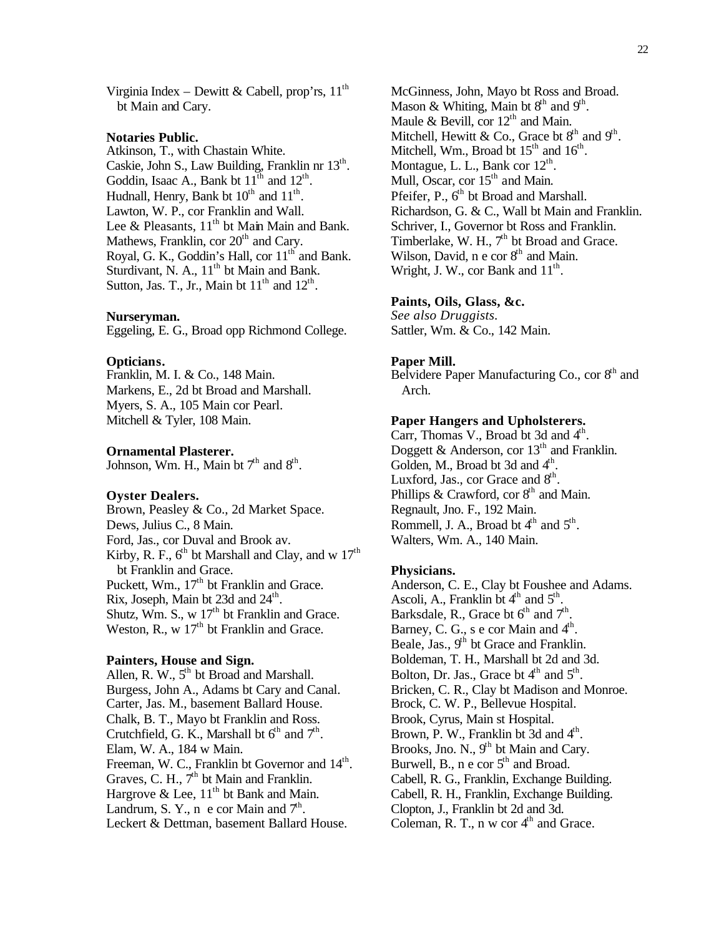Virginia Index – Dewitt & Cabell, prop'rs,  $11<sup>th</sup>$ bt Main and Cary.

#### **Notaries Public.**

Atkinson, T., with Chastain White. Caskie, John S., Law Building, Franklin nr 13th. Goddin, Isaac A., Bank bt  $11^{\text{th}}$  and  $12^{\text{th}}$ . Hudnall, Henry, Bank bt  $10^{th}$  and  $11^{th}$ . Lawton, W. P., cor Franklin and Wall. Lee & Pleasants,  $11<sup>th</sup>$  bt Main Main and Bank. Mathews, Franklin, cor  $20<sup>th</sup>$  and Cary. Royal, G. K., Goddin's Hall, cor  $11<sup>th</sup>$  and Bank. Sturdivant, N. A.,  $11<sup>th</sup>$  bt Main and Bank. Sutton, Jas. T., Jr., Main bt  $11<sup>th</sup>$  and  $12<sup>th</sup>$ .

#### **Nurseryman.**

Eggeling, E. G., Broad opp Richmond College.

#### **Opticians.**

Franklin, M. I. & Co., 148 Main. Markens, E., 2d bt Broad and Marshall. Myers, S. A., 105 Main cor Pearl. Mitchell & Tyler, 108 Main.

#### **Ornamental Plasterer.**

Johnson, Wm. H., Main bt  $7<sup>th</sup>$  and  $8<sup>th</sup>$ .

#### **Oyster Dealers.**

Brown, Peasley & Co., 2d Market Space. Dews, Julius C., 8 Main. Ford, Jas., cor Duval and Brook av. Kirby, R. F.,  $6<sup>th</sup>$  bt Marshall and Clay, and w  $17<sup>th</sup>$ bt Franklin and Grace. Puckett, Wm.,  $17<sup>th</sup>$  bt Franklin and Grace. Rix, Joseph, Main bt 23d and  $24<sup>th</sup>$ . Shutz, Wm. S.,  $w$  17<sup>th</sup> bt Franklin and Grace. Weston, R., w  $17<sup>th</sup>$  bt Franklin and Grace.

#### **Painters, House and Sign.**

Allen, R. W.,  $5<sup>th</sup>$  bt Broad and Marshall. Burgess, John A., Adams bt Cary and Canal. Carter, Jas. M., basement Ballard House. Chalk, B. T., Mayo bt Franklin and Ross. Crutchfield, G. K., Marshall bt  $6<sup>th</sup>$  and  $7<sup>th</sup>$ . Elam, W. A., 184 w Main. Freeman, W. C., Franklin bt Governor and 14<sup>th</sup>. Graves, C. H.,  $7<sup>th</sup>$  bt Main and Franklin. Hargrove & Lee,  $11<sup>th</sup>$  bt Bank and Main. Landrum, S. Y., n e cor Main and  $7<sup>th</sup>$ . Leckert & Dettman, basement Ballard House.

McGinness, John, Mayo bt Ross and Broad. Mason & Whiting, Main bt  $8<sup>th</sup>$  and  $9<sup>th</sup>$ . Maule & Bevill, cor  $12<sup>th</sup>$  and Main. Mitchell, Hewitt & Co., Grace bt  $8<sup>th</sup>$  and  $9<sup>th</sup>$ . Mitchell, Wm., Broad bt  $15<sup>th</sup>$  and  $16<sup>th</sup>$ . Montague, L. L., Bank cor  $12<sup>th</sup>$ . Mull, Oscar, cor 15<sup>th</sup> and Main. Pfeifer, P., 6<sup>th</sup> bt Broad and Marshall. Richardson, G. & C., Wall bt Main and Franklin. Schriver, I., Governor bt Ross and Franklin. Timberlake, W. H.,  $7<sup>th</sup>$  bt Broad and Grace. Wilson, David,  $n \in \text{cor } 8^{\text{th}}$  and Main. Wright, J. W., cor Bank and  $11<sup>th</sup>$ .

#### **Paints, Oils, Glass, &c.**

*See also Druggists.* Sattler, Wm. & Co., 142 Main.

#### **Paper Mill.**

Belvidere Paper Manufacturing Co., cor  $8<sup>th</sup>$  and Arch.

#### **Paper Hangers and Upholsterers.**

Carr, Thomas V., Broad bt 3d and 4<sup>th</sup>. Doggett & Anderson, cor  $13<sup>th</sup>$  and Franklin. Golden, M., Broad bt 3d and 4<sup>th</sup>. Luxford, Jas., cor Grace and  $8<sup>th</sup>$ . Phillips & Crawford, cor  $8<sup>th</sup>$  and Main. Regnault, Jno. F., 192 Main. Rommell, J. A., Broad bt  $4<sup>th</sup>$  and  $5<sup>th</sup>$ . Walters, Wm. A., 140 Main.

#### **Physicians.**

Anderson, C. E., Clay bt Foushee and Adams. Ascoli, A., Franklin bt  $4<sup>th</sup>$  and  $5<sup>th</sup>$ . Barksdale, R., Grace bt  $6^{th}$  and  $7^{th}$ . Barney, C. G., s  $e$  cor Main and  $4<sup>th</sup>$ . Beale, Jas.,  $9<sup>th</sup>$  bt Grace and Franklin. Boldeman, T. H., Marshall bt 2d and 3d. Bolton, Dr. Jas., Grace bt  $4<sup>th</sup>$  and  $5<sup>th</sup>$ . Bricken, C. R., Clay bt Madison and Monroe. Brock, C. W. P., Bellevue Hospital. Brook, Cyrus, Main st Hospital. Brown, P. W., Franklin bt  $3d$  and  $4<sup>th</sup>$ . Brooks, Jno. N., 9<sup>th</sup> bt Main and Cary. Burwell, B.,  $n \in \text{cor } 5^{\text{th}}$  and Broad. Cabell, R. G., Franklin, Exchange Building. Cabell, R. H., Franklin, Exchange Building. Clopton, J., Franklin bt 2d and 3d. Coleman, R. T., n w cor  $4<sup>th</sup>$  and Grace.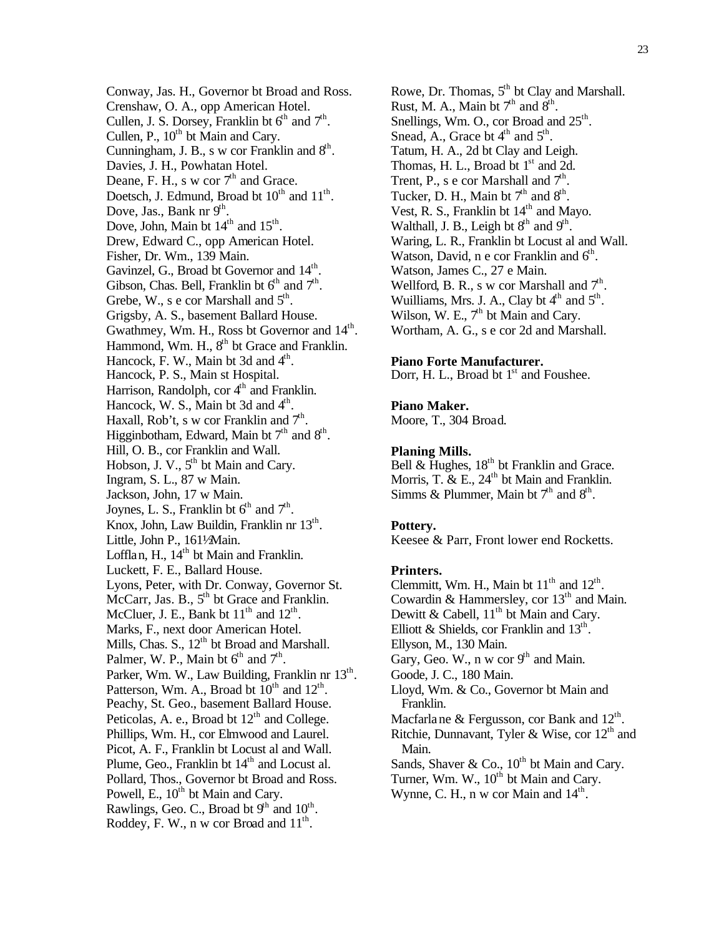Conway, Jas. H., Governor bt Broad and Ross. Crenshaw, O. A., opp American Hotel. Cullen, J. S. Dorsey, Franklin bt  $6<sup>th</sup>$  and  $7<sup>th</sup>$ . Cullen, P.,  $10^{th}$  bt Main and Cary. Cunningham, J. B., s w cor Franklin and  $8<sup>th</sup>$ . Davies, J. H., Powhatan Hotel. Deane, F. H., s w cor  $7<sup>th</sup>$  and Grace. Doetsch, J. Edmund, Broad bt  $10^{th}$  and  $11^{th}$ . Dove, Jas., Bank nr  $9<sup>th</sup>$ . Dove, John, Main bt  $14<sup>th</sup>$  and  $15<sup>th</sup>$ . Drew, Edward C., opp American Hotel. Fisher, Dr. Wm., 139 Main. Gavinzel, G., Broad bt Governor and  $14^{\text{th}}$ . Gibson, Chas. Bell, Franklin bt  $6<sup>th</sup>$  and  $7<sup>th</sup>$ . Grebe, W., s e cor Marshall and  $5<sup>th</sup>$ . Grigsby, A. S., basement Ballard House. Gwathmey, Wm. H., Ross bt Governor and  $14^{\text{th}}$ . Hammond, Wm. H., 8<sup>th</sup> bt Grace and Franklin. Hancock, F. W., Main bt 3d and  $4<sup>th</sup>$ . Hancock, P. S., Main st Hospital. Harrison, Randolph, cor 4<sup>th</sup> and Franklin. Hancock, W. S., Main bt 3d and  $4<sup>th</sup>$ . Haxall, Rob't, s w cor Franklin and  $7<sup>th</sup>$ . Higginbotham, Edward, Main bt  $7<sup>th</sup>$  and  $8<sup>th</sup>$ . Hill, O. B., cor Franklin and Wall. Hobson, J. V., 5<sup>th</sup> bt Main and Cary. Ingram, S. L., 87 w Main. Jackson, John, 17 w Main. Joynes, L. S., Franklin bt  $6<sup>th</sup>$  and  $7<sup>th</sup>$ . Knox, John, Law Buildin, Franklin nr 13<sup>th</sup>. Little, John P., 1611⁄2Main. Lofflan, H.,  $14<sup>th</sup>$  bt Main and Franklin. Luckett, F. E., Ballard House. Lyons, Peter, with Dr. Conway, Governor St. McCarr, Jas. B., 5<sup>th</sup> bt Grace and Franklin. McCluer, J. E., Bank bt  $11<sup>th</sup>$  and  $12<sup>th</sup>$ . Marks, F., next door American Hotel. Mills, Chas. S.,  $12<sup>th</sup>$  bt Broad and Marshall. Palmer, W. P., Main bt  $6<sup>th</sup>$  and  $7<sup>th</sup>$ . Parker, Wm. W., Law Building, Franklin nr 13<sup>th</sup>. Patterson, Wm. A., Broad bt  $10^{th}$  and  $12^{th}$ . Peachy, St. Geo., basement Ballard House. Peticolas, A. e., Broad bt  $12<sup>th</sup>$  and College. Phillips, Wm. H., cor Elmwood and Laurel. Picot, A. F., Franklin bt Locust al and Wall. Plume, Geo., Franklin bt  $14<sup>th</sup>$  and Locust al. Pollard, Thos., Governor bt Broad and Ross. Powell, E.,  $10^{th}$  bt Main and Cary. Rawlings, Geo. C., Broad bt  $9<sup>th</sup>$  and  $10<sup>th</sup>$ . Roddey, F. W., n w cor Broad and  $11<sup>th</sup>$ .

Rowe, Dr. Thomas,  $5<sup>th</sup>$  bt Clay and Marshall. Rust, M. A., Main bt  $7<sup>th</sup>$  and  $8<sup>th</sup>$ . Snellings, Wm. O., cor Broad and  $25^{\text{th}}$ . Snead, A., Grace bt  $4<sup>th</sup>$  and  $5<sup>th</sup>$ . Tatum, H. A., 2d bt Clay and Leigh. Thomas, H. L., Broad bt  $1<sup>st</sup>$  and 2d. Trent, P., s e cor Marshall and  $7<sup>th</sup>$ . Tucker, D. H., Main bt  $7<sup>th</sup>$  and  $8<sup>th</sup>$ . Vest, R. S., Franklin bt  $14<sup>th</sup>$  and Mayo. Walthall, J. B., Leigh bt  $8<sup>th</sup>$  and  $9<sup>th</sup>$ . Waring, L. R., Franklin bt Locust al and Wall. Watson, David, n e cor Franklin and 6<sup>th</sup>. Watson, James C., 27 e Main. Wellford, B. R., s w cor Marshall and  $7<sup>th</sup>$ . Wuilliams, Mrs. J. A., Clay bt  $4<sup>th</sup>$  and  $5<sup>th</sup>$ . Wilson, W. E.,  $7<sup>th</sup>$  bt Main and Cary. Wortham, A. G., s e cor 2d and Marshall.

#### **Piano Forte Manufacturer.**

Dorr, H. L., Broad bt  $1<sup>st</sup>$  and Foushee.

## **Piano Maker.**

Moore, T., 304 Broad.

#### **Planing Mills.**

Bell & Hughes,  $18^{th}$  bt Franklin and Grace. Morris, T.  $\&$  E., 24<sup>th</sup> bt Main and Franklin. Simms & Plummer, Main bt  $7<sup>th</sup>$  and  $8<sup>th</sup>$ .

#### **Pottery.**

Keesee & Parr, Front lower end Rocketts.

#### **Printers.**

Clemmitt, Wm. H., Main bt  $11<sup>th</sup>$  and  $12<sup>th</sup>$ . Cowardin & Hammersley, cor  $13<sup>th</sup>$  and Main. Dewitt & Cabell,  $11<sup>th</sup>$  bt Main and Cary. Elliott & Shields, cor Franklin and  $13^{\text{th}}$ . Ellyson, M., 130 Main. Gary, Geo. W., n w cor  $9<sup>th</sup>$  and Main. Goode, J. C., 180 Main. Lloyd, Wm. & Co., Governor bt Main and Franklin. Macfarlane & Fergusson, cor Bank and  $12^{\text{th}}$ . Ritchie, Dunnavant, Tyler & Wise, cor 12<sup>th</sup> and Main. Sands, Shaver & Co.,  $10^{th}$  bt Main and Cary. Turner, Wm. W.,  $10^{th}$  bt Main and Cary. Wynne, C. H.,  $n \le$  cor Main and  $14<sup>th</sup>$ .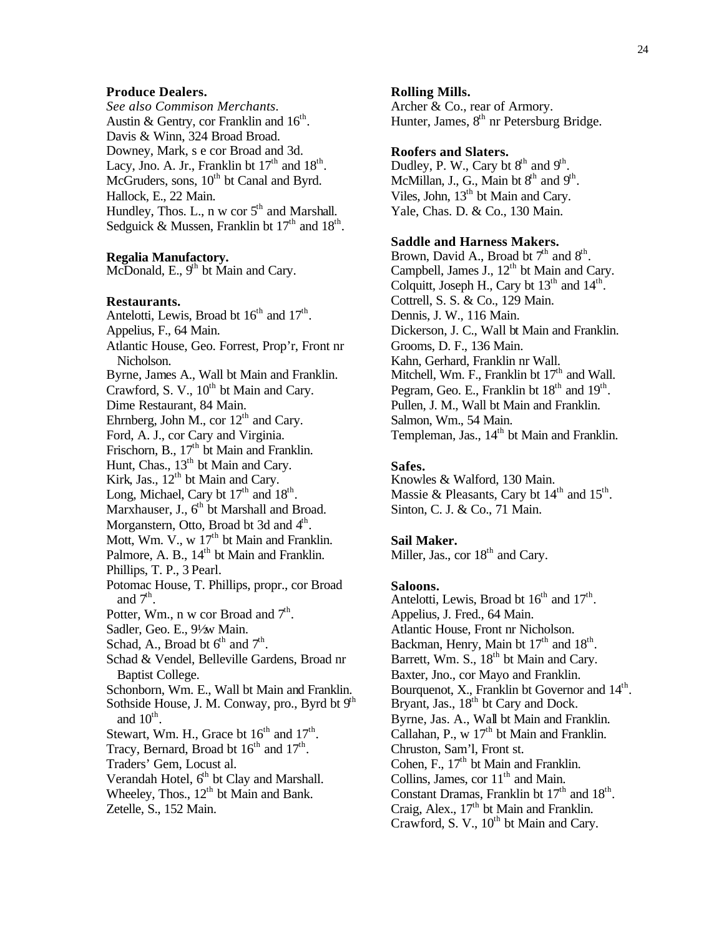## **Produce Dealers.**

*See also Commison Merchants.* Austin & Gentry, cor Franklin and  $16^{\text{th}}$ . Davis & Winn, 324 Broad Broad. Downey, Mark, s e cor Broad and 3d. Lacy, Jno. A. Jr., Franklin bt  $17<sup>th</sup>$  and  $18<sup>th</sup>$ . McGruders, sons,  $10<sup>th</sup>$  bt Canal and Byrd. Hallock, E., 22 Main. Hundley, Thos. L., n w cor  $5<sup>th</sup>$  and Marshall. Sedguick & Mussen, Franklin bt  $17<sup>th</sup>$  and  $18<sup>th</sup>$ .

## **Regalia Manufactory.**

McDonald, E.,  $9<sup>th</sup>$  bt Main and Cary.

#### **Restaurants.**

Antelotti, Lewis, Broad bt  $16<sup>th</sup>$  and  $17<sup>th</sup>$ . Appelius, F., 64 Main.

- Atlantic House, Geo. Forrest, Prop'r, Front nr Nicholson.
- Byrne, James A., Wall bt Main and Franklin.

Crawford, S. V., 10<sup>th</sup> bt Main and Cary.

Dime Restaurant, 84 Main.

Ehrnberg, John M., cor  $12<sup>th</sup>$  and Cary.

Ford, A. J., cor Cary and Virginia.

Frischorn, B., 17<sup>th</sup> bt Main and Franklin.

Hunt, Chas.,  $13^{\text{th}}$  bt Main and Cary.

Kirk, Jas.,  $12<sup>th</sup>$  bt Main and Cary.

Long, Michael, Cary bt  $17<sup>th</sup>$  and  $18<sup>th</sup>$ .

Marxhauser, J., 6<sup>th</sup> bt Marshall and Broad.

- Morganstern, Otto, Broad bt 3d and 4<sup>th</sup>.
- Mott, Wm. V., w  $17<sup>th</sup>$  bt Main and Franklin.
- Palmore, A. B.,  $14<sup>th</sup>$  bt Main and Franklin.
- Phillips, T. P., 3 Pearl.
- Potomac House, T. Phillips, propr., cor Broad and  $7<sup>th</sup>$ .
- Potter, Wm., n w cor Broad and  $7<sup>th</sup>$ .
- Sadler, Geo. E., 91/2w Main.
- Schad, A., Broad bt  $6<sup>th</sup>$  and  $7<sup>th</sup>$ .
- Schad & Vendel, Belleville Gardens, Broad nr Baptist College.
- Schonborn, Wm. E., Wall bt Main and Franklin.
- Sothside House, J. M. Conway, pro., Byrd bt  $9<sup>th</sup>$ and  $10^{\text{th}}$ .
- Stewart, Wm. H., Grace bt  $16<sup>th</sup>$  and  $17<sup>th</sup>$ .
- Tracy, Bernard, Broad bt  $16<sup>th</sup>$  and  $17<sup>th</sup>$ .
- Traders' Gem, Locust al.
- Verandah Hotel, 6<sup>th</sup> bt Clay and Marshall.

Wheeley, Thos.,  $12<sup>th</sup>$  bt Main and Bank. Zetelle, S., 152 Main.

#### **Rolling Mills.**

Archer & Co., rear of Armory. Hunter, James,  $8<sup>th</sup>$  nr Petersburg Bridge.

## **Roofers and Slaters.**

Dudley, P. W., Cary bt  $8<sup>th</sup>$  and  $9<sup>th</sup>$ . McMillan, J., G., Main bt  $8<sup>th</sup>$  and  $9<sup>th</sup>$ . Viles, John, 13<sup>th</sup> bt Main and Cary. Yale, Chas. D. & Co., 130 Main.

## **Saddle and Harness Makers.**

Brown, David A., Broad bt  $7<sup>th</sup>$  and  $8<sup>th</sup>$ . Campbell, James J.,  $12<sup>th</sup>$  bt Main and Cary. Colquitt, Joseph H., Cary bt  $13<sup>th</sup>$  and  $14<sup>th</sup>$ . Cottrell, S. S. & Co., 129 Main. Dennis, J. W., 116 Main. Dickerson, J. C., Wall bt Main and Franklin. Grooms, D. F., 136 Main. Kahn, Gerhard, Franklin nr Wall. Mitchell, Wm. F., Franklin bt  $17<sup>th</sup>$  and Wall. Pegram, Geo. E., Franklin bt  $18<sup>th</sup>$  and  $19<sup>th</sup>$ . Pullen, J. M., Wall bt Main and Franklin. Salmon, Wm., 54 Main. Templeman, Jas., 14<sup>th</sup> bt Main and Franklin.

## **Safes.**

Knowles & Walford, 130 Main. Massie & Pleasants, Cary bt  $14<sup>th</sup>$  and  $15<sup>th</sup>$ . Sinton, C. J. & Co., 71 Main.

## **Sail Maker.**

Miller, Jas., cor  $18<sup>th</sup>$  and Cary.

#### **Saloons.**

Antelotti, Lewis, Broad bt  $16<sup>th</sup>$  and  $17<sup>th</sup>$ . Appelius, J. Fred., 64 Main. Atlantic House, Front nr Nicholson. Backman, Henry, Main bt 17<sup>th</sup> and 18<sup>th</sup>. Barrett, Wm. S., 18<sup>th</sup> bt Main and Cary. Baxter, Jno., cor Mayo and Franklin. Bourquenot, X., Franklin bt Governor and 14<sup>th</sup>. Bryant, Jas., 18<sup>th</sup> bt Cary and Dock. Byrne, Jas. A., Wall bt Main and Franklin. Callahan, P., w  $17<sup>th</sup>$  bt Main and Franklin. Chruston, Sam'l, Front st. Cohen, F.,  $17<sup>th</sup>$  bt Main and Franklin. Collins, James, cor  $11<sup>th</sup>$  and Main. Constant Dramas, Franklin bt  $17<sup>th</sup>$  and  $18<sup>th</sup>$ . Craig, Alex.,  $17<sup>th</sup>$  bt Main and Franklin. Crawford, S. V., 10<sup>th</sup> bt Main and Cary.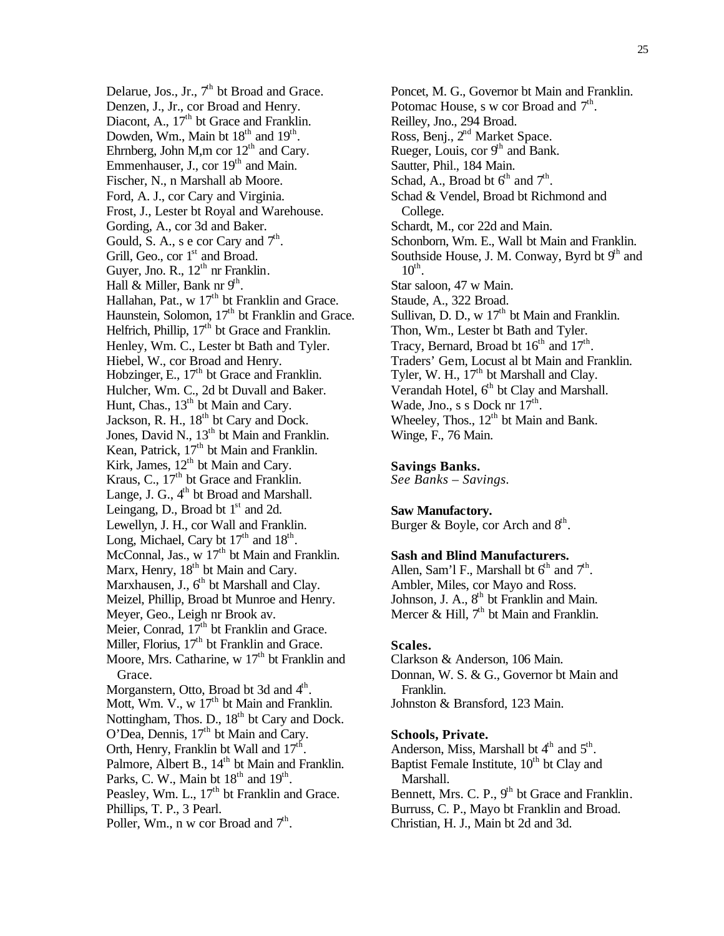Delarue, Jos., Jr.,  $7<sup>th</sup>$  bt Broad and Grace. Denzen, J., Jr., cor Broad and Henry. Diacont, A.,  $17<sup>th</sup>$  bt Grace and Franklin. Dowden, Wm., Main bt  $18<sup>th</sup>$  and  $19<sup>th</sup>$ . Ehrnberg, John M,m cor  $12<sup>th</sup>$  and Cary. Emmenhauser, J., cor 19<sup>th</sup> and Main. Fischer, N., n Marshall ab Moore. Ford, A. J., cor Cary and Virginia. Frost, J., Lester bt Royal and Warehouse. Gording, A., cor 3d and Baker. Gould, S. A., s e cor Cary and  $7<sup>th</sup>$ . Grill, Geo., cor 1<sup>st</sup> and Broad. Guyer, Jno. R.,  $12<sup>th</sup>$  nr Franklin. Hall & Miller, Bank nr  $9<sup>th</sup>$ . Hallahan, Pat.,  $w$  17<sup>th</sup> bt Franklin and Grace. Haunstein, Solomon, 17<sup>th</sup> bt Franklin and Grace. Helfrich, Phillip, 17<sup>th</sup> bt Grace and Franklin. Henley, Wm. C., Lester bt Bath and Tyler. Hiebel, W., cor Broad and Henry. Hobzinger, E.,  $17<sup>th</sup>$  bt Grace and Franklin. Hulcher, Wm. C., 2d bt Duvall and Baker. Hunt, Chas.,  $13<sup>th</sup>$  bt Main and Cary. Jackson, R. H., 18<sup>th</sup> bt Cary and Dock. Jones, David N., 13<sup>th</sup> bt Main and Franklin. Kean, Patrick,  $17<sup>th</sup>$  bt Main and Franklin. Kirk, James, 12<sup>th</sup> bt Main and Cary. Kraus, C., 17<sup>th</sup> bt Grace and Franklin. Lange, J. G.,  $4<sup>th</sup>$  bt Broad and Marshall. Leingang, D., Broad bt  $1<sup>st</sup>$  and 2d. Lewellyn, J. H., cor Wall and Franklin. Long, Michael, Cary bt  $17<sup>th</sup>$  and  $18<sup>th</sup>$ . McConnal, Jas.,  $w$  17<sup>th</sup> bt Main and Franklin. Marx, Henry,  $18<sup>th</sup>$  bt Main and Cary. Marxhausen, J., 6<sup>th</sup> bt Marshall and Clay. Meizel, Phillip, Broad bt Munroe and Henry. Meyer, Geo., Leigh nr Brook av. Meier, Conrad,  $17<sup>th</sup>$  bt Franklin and Grace. Miller, Florius,  $17<sup>th</sup>$  bt Franklin and Grace. Moore, Mrs. Catharine,  $\le 17<sup>th</sup>$  bt Franklin and Grace. Morganstern, Otto, Broad bt 3d and 4<sup>th</sup>. Mott, Wm. V.,  $w$  17<sup>th</sup> bt Main and Franklin. Nottingham, Thos. D., 18<sup>th</sup> bt Cary and Dock. O'Dea, Dennis, 17<sup>th</sup> bt Main and Cary. Orth, Henry, Franklin bt Wall and  $17<sup>th</sup>$ . Palmore, Albert B., 14<sup>th</sup> bt Main and Franklin. Parks, C. W., Main bt  $18<sup>th</sup>$  and  $19<sup>th</sup>$ . Peasley, Wm. L., 17<sup>th</sup> bt Franklin and Grace. Phillips, T. P., 3 Pearl. Poller, Wm., n w cor Broad and  $7<sup>th</sup>$ .

Poncet, M. G., Governor bt Main and Franklin. Potomac House, s w cor Broad and  $7<sup>th</sup>$ . Reilley, Jno., 294 Broad. Ross, Benj., 2<sup>nd</sup> Market Space. Rueger, Louis, cor  $9<sup>th</sup>$  and Bank. Sautter, Phil., 184 Main. Schad, A., Broad bt  $6<sup>th</sup>$  and  $7<sup>th</sup>$ . Schad & Vendel, Broad bt Richmond and College. Schardt, M., cor 22d and Main. Schonborn, Wm. E., Wall bt Main and Franklin. Southside House, J. M. Conway, Byrd bt  $9<sup>th</sup>$  and  $10^{\text{th}}$ . Star saloon, 47 w Main. Staude, A., 322 Broad. Sullivan, D. D., w  $17<sup>th</sup>$  bt Main and Franklin. Thon, Wm., Lester bt Bath and Tyler. Tracy, Bernard, Broad bt  $16<sup>th</sup>$  and  $17<sup>th</sup>$ . Traders' Gem, Locust al bt Main and Franklin. Tyler, W. H., 17<sup>th</sup> bt Marshall and Clay. Verandah Hotel,  $6<sup>th</sup>$  bt Clay and Marshall. Wade, Jno., s s Dock nr  $17^{\text{th}}$ . Wheeley, Thos.,  $12<sup>th</sup>$  bt Main and Bank. Winge, F., 76 Main.

## **Savings Banks.**

*See Banks – Savings.*

## **Saw Manufactory.**

Burger & Boyle, cor Arch and  $8<sup>th</sup>$ .

## **Sash and Blind Manufacturers.**

Allen, Sam'l F., Marshall bt  $6<sup>th</sup>$  and  $7<sup>th</sup>$ . Ambler, Miles, cor Mayo and Ross. Johnson, J. A., 8<sup>th</sup> bt Franklin and Main. Mercer & Hill,  $7<sup>th</sup>$  bt Main and Franklin.

#### **Scales.**

Clarkson & Anderson, 106 Main. Donnan, W. S. & G., Governor bt Main and Franklin. Johnston & Bransford, 123 Main.

## **Schools, Private.**

Anderson, Miss, Marshall bt  $4<sup>th</sup>$  and  $5<sup>th</sup>$ . Baptist Female Institute,  $10<sup>th</sup>$  bt Clay and Marshall. Bennett, Mrs. C. P., 9<sup>th</sup> bt Grace and Franklin. Burruss, C. P., Mayo bt Franklin and Broad. Christian, H. J., Main bt 2d and 3d.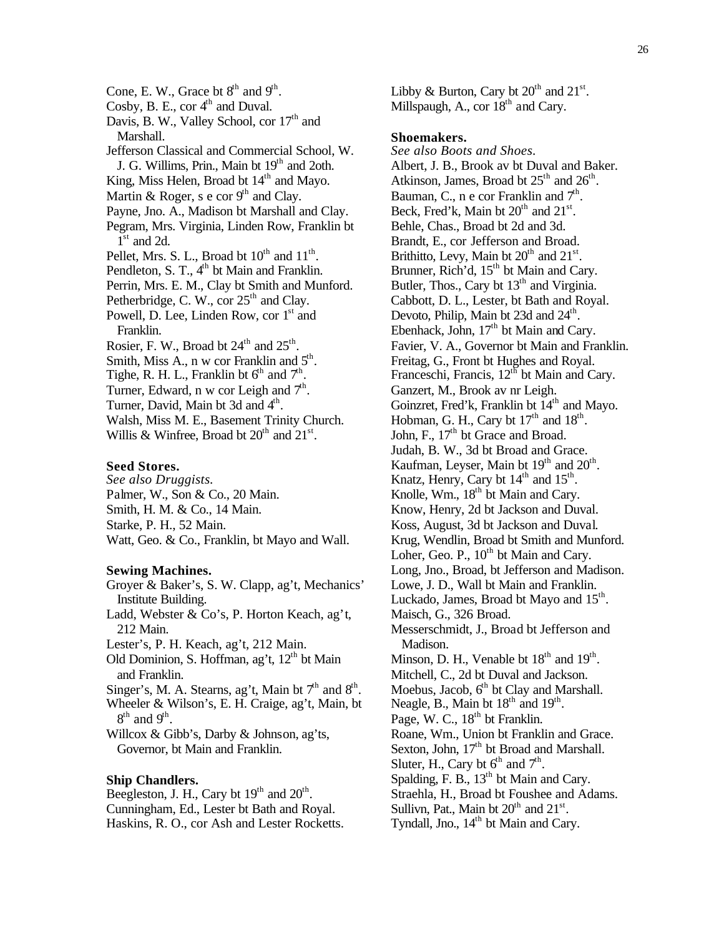Cone, E. W., Grace bt  $8<sup>th</sup>$  and  $9<sup>th</sup>$ . Cosby, B. E.,  $cor 4<sup>th</sup>$  and Duval. Davis, B. W., Valley School, cor  $17<sup>th</sup>$  and Marshall. Jefferson Classical and Commercial School, W. J. G. Willims, Prin., Main bt  $19<sup>th</sup>$  and 2oth. King, Miss Helen, Broad bt  $14<sup>th</sup>$  and Mayo. Martin & Roger, s e cor  $9<sup>th</sup>$  and Clay. Payne, Jno. A., Madison bt Marshall and Clay. Pegram, Mrs. Virginia, Linden Row, Franklin bt  $1<sup>st</sup>$  and 2d. Pellet, Mrs. S. L., Broad bt  $10^{th}$  and  $11^{th}$ . Pendleton, S. T., 4<sup>th</sup> bt Main and Franklin. Perrin, Mrs. E. M., Clay bt Smith and Munford. Petherbridge, C. W., cor  $25<sup>th</sup>$  and Clay. Powell, D. Lee, Linden Row, cor 1<sup>st</sup> and Franklin. Rosier, F. W., Broad bt  $24<sup>th</sup>$  and  $25<sup>th</sup>$ . Smith, Miss A., n w cor Franklin and  $5<sup>th</sup>$ . Tighe, R. H. L., Franklin bt  $6<sup>th</sup>$  and  $7<sup>th</sup>$ . Turner, Edward, n w cor Leigh and  $7<sup>th</sup>$ . Turner, David, Main bt 3d and 4<sup>th</sup>. Walsh, Miss M. E., Basement Trinity Church. Willis & Winfree, Broad bt  $20^{th}$  and  $21^{st}$ . **Seed Stores.**

*See also Druggists.* Palmer, W., Son & Co., 20 Main. Smith, H. M. & Co., 14 Main. Starke, P. H., 52 Main. Watt, Geo. & Co., Franklin, bt Mayo and Wall.

#### **Sewing Machines.**

- Groyer & Baker's, S. W. Clapp, ag't, Mechanics' Institute Building.
- Ladd, Webster & Co's, P. Horton Keach, ag't, 212 Main.
- Lester's, P. H. Keach, ag't, 212 Main.

Old Dominion, S. Hoffman, ag't,  $12<sup>th</sup>$  bt Main and Franklin.

- Singer's, M. A. Stearns, ag't, Main bt  $7<sup>th</sup>$  and  $8<sup>th</sup>$ .
- Wheeler & Wilson's, E. H. Craige, ag't, Main, bt  $8^{\text{th}}$  and  $9^{\text{th}}$ .
- Willcox & Gibb's, Darby & Johnson, ag'ts, Governor, bt Main and Franklin.

#### **Ship Chandlers.**

Beegleston, J. H., Cary bt  $19<sup>th</sup>$  and  $20<sup>th</sup>$ . Cunningham, Ed., Lester bt Bath and Royal. Haskins, R. O., cor Ash and Lester Rocketts. Libby & Burton, Cary bt  $20^{\text{th}}$  and  $21^{\text{st}}$ . Millspaugh, A., cor  $18<sup>th</sup>$  and Cary.

#### **Shoemakers.**

*See also Boots and Shoes.* Albert, J. B., Brook av bt Duval and Baker. Atkinson, James, Broad bt  $25<sup>th</sup>$  and  $26<sup>th</sup>$ . Bauman, C., n e cor Franklin and  $7<sup>th</sup>$ . Beck, Fred'k, Main bt  $20<sup>th</sup>$  and  $21<sup>st</sup>$ . Behle, Chas., Broad bt 2d and 3d. Brandt, E., cor Jefferson and Broad. Brithitto, Levy, Main bt  $20^{th}$  and  $21^{st}$ . Brunner, Rich'd, 15<sup>th</sup> bt Main and Cary. Butler, Thos., Cary bt  $13<sup>th</sup>$  and Virginia. Cabbott, D. L., Lester, bt Bath and Royal. Devoto, Philip, Main bt 23d and 24<sup>th</sup>. Ebenhack, John,  $17<sup>th</sup>$  bt Main and Cary. Favier, V. A., Governor bt Main and Franklin. Freitag, G., Front bt Hughes and Royal. Franceschi, Francis,  $12<sup>th</sup>$  bt Main and Cary. Ganzert, M., Brook av nr Leigh. Goinzret, Fred'k, Franklin bt  $14<sup>th</sup>$  and Mayo. Hobman, G. H., Cary bt  $17<sup>th</sup>$  and  $18<sup>th</sup>$ . John, F., 17<sup>th</sup> bt Grace and Broad. Judah, B. W., 3d bt Broad and Grace. Kaufman, Leyser, Main bt  $19<sup>th</sup>$  and  $20<sup>th</sup>$ . Knatz, Henry, Cary bt  $14<sup>th</sup>$  and  $15<sup>th</sup>$ . Knolle, Wm., 18<sup>th</sup> bt Main and Cary. Know, Henry, 2d bt Jackson and Duval. Koss, August, 3d bt Jackson and Duval. Krug, Wendlin, Broad bt Smith and Munford. Loher, Geo. P.,  $10^{th}$  bt Main and Cary. Long, Jno., Broad, bt Jefferson and Madison. Lowe, J. D., Wall bt Main and Franklin. Luckado, James, Broad bt Mayo and 15<sup>th</sup>. Maisch, G., 326 Broad. Messerschmidt, J., Broad bt Jefferson and Madison. Minson, D. H., Venable bt  $18<sup>th</sup>$  and  $19<sup>th</sup>$ . Mitchell, C., 2d bt Duval and Jackson. Moebus, Jacob,  $6<sup>th</sup>$  bt Clay and Marshall. Neagle, B., Main bt  $18<sup>th</sup>$  and  $19<sup>th</sup>$ . Page, W. C., 18<sup>th</sup> bt Franklin. Roane, Wm., Union bt Franklin and Grace. Sexton, John, 17<sup>th</sup> bt Broad and Marshall. Sluter, H., Cary bt  $6^{\text{th}}$  and  $7^{\text{th}}$ . Spalding, F. B.,  $13<sup>th</sup>$  bt Main and Cary. Straehla, H., Broad bt Foushee and Adams. Sullivn, Pat., Main bt  $20<sup>th</sup>$  and  $21<sup>st</sup>$ . Tyndall, Jno., 14<sup>th</sup> bt Main and Cary.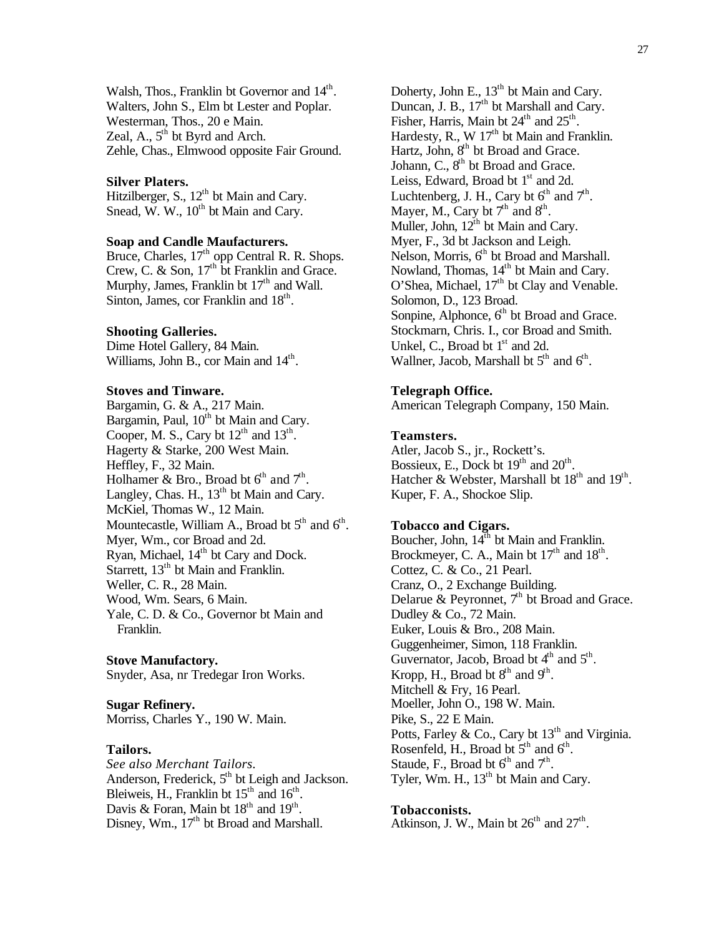Walsh, Thos., Franklin bt Governor and 14<sup>th</sup>. Walters, John S., Elm bt Lester and Poplar. Westerman, Thos., 20 e Main. Zeal, A.,  $5<sup>th</sup>$  bt Byrd and Arch. Zehle, Chas., Elmwood opposite Fair Ground.

### **Silver Platers.**

Hitzilberger, S.,  $12^{th}$  bt Main and Cary. Snead, W. W.,  $10^{th}$  bt Main and Cary.

## **Soap and Candle Maufacturers.**

Bruce, Charles,  $17<sup>th</sup>$  opp Central R. R. Shops. Crew, C. & Son,  $17<sup>th</sup>$  bt Franklin and Grace. Murphy, James, Franklin bt  $17<sup>th</sup>$  and Wall. Sinton, James, cor Franklin and 18<sup>th</sup>.

#### **Shooting Galleries.**

Dime Hotel Gallery, 84 Main. Williams, John B., cor Main and 14<sup>th</sup>.

## **Stoves and Tinware.**

Bargamin, G. & A., 217 Main. Bargamin, Paul, 10<sup>th</sup> bt Main and Cary. Cooper, M. S., Cary bt  $12^{th}$  and  $13^{th}$ . Hagerty & Starke, 200 West Main. Heffley, F., 32 Main. Holhamer & Bro., Broad bt  $6<sup>th</sup>$  and  $7<sup>th</sup>$ . Langley, Chas. H.,  $13<sup>th</sup>$  bt Main and Cary. McKiel, Thomas W., 12 Main. Mountecastle, William A., Broad bt  $5<sup>th</sup>$  and  $6<sup>th</sup>$ . Myer, Wm., cor Broad and 2d. Ryan, Michael, 14<sup>th</sup> bt Cary and Dock. Starrett,  $13<sup>th</sup>$  bt Main and Franklin. Weller, C. R., 28 Main. Wood, Wm. Sears, 6 Main. Yale, C. D. & Co., Governor bt Main and Franklin.

**Stove Manufactory.** Snyder, Asa, nr Tredegar Iron Works.

**Sugar Refinery.** Morriss, Charles Y., 190 W. Main.

#### **Tailors.**

*See also Merchant Tailors.* Anderson, Frederick,  $5<sup>th</sup>$  bt Leigh and Jackson. Bleiweis, H., Franklin bt  $15<sup>th</sup>$  and  $16<sup>th</sup>$ . Davis & Foran, Main bt  $18<sup>th</sup>$  and  $19<sup>th</sup>$ . Disney, Wm., 17<sup>th</sup> bt Broad and Marshall.

Doherty, John E., 13<sup>th</sup> bt Main and Cary. Duncan, J. B.,  $17<sup>th</sup>$  bt Marshall and Cary. Fisher, Harris, Main bt  $24<sup>th</sup>$  and  $25<sup>th</sup>$ . Hardesty, R., W  $17<sup>th</sup>$  bt Main and Franklin. Hartz, John, 8<sup>th</sup> bt Broad and Grace. Johann,  $C_1$ ,  $8<sup>th</sup>$  bt Broad and Grace. Leiss, Edward, Broad bt 1<sup>st</sup> and 2d. Luchtenberg, J. H., Cary bt  $6<sup>th</sup>$  and  $7<sup>th</sup>$ . Mayer, M., Cary bt  $7<sup>th</sup>$  and  $8<sup>th</sup>$ . Muller, John,  $12^{th}$  bt Main and Cary. Myer, F., 3d bt Jackson and Leigh. Nelson, Morris, 6<sup>th</sup> bt Broad and Marshall. Nowland, Thomas, 14<sup>th</sup> bt Main and Cary. O'Shea, Michael,  $17<sup>th</sup>$  bt Clay and Venable. Solomon, D., 123 Broad. Sonpine, Alphonce,  $6<sup>th</sup>$  bt Broad and Grace. Stockmarn, Chris. I., cor Broad and Smith. Unkel, C., Broad bt  $1<sup>st</sup>$  and 2d. Wallner, Jacob, Marshall bt  $5<sup>th</sup>$  and  $6<sup>th</sup>$ .

#### **Telegraph Office.**

American Telegraph Company, 150 Main.

### **Teamsters.**

Atler, Jacob S., jr., Rockett's. Bossieux, E., Dock bt  $19<sup>th</sup>$  and  $20<sup>th</sup>$ . Hatcher & Webster, Marshall bt  $18<sup>th</sup>$  and  $19<sup>th</sup>$ . Kuper, F. A., Shockoe Slip.

## **Tobacco and Cigars.**

Boucher, John,  $14^{\text{th}}$  bt Main and Franklin. Brockmeyer, C. A., Main bt  $17<sup>th</sup>$  and  $18<sup>th</sup>$ . Cottez, C. & Co., 21 Pearl. Cranz, O., 2 Exchange Building. Delarue & Peyronnet,  $7<sup>th</sup>$  bt Broad and Grace. Dudley & Co., 72 Main. Euker, Louis & Bro., 208 Main. Guggenheimer, Simon, 118 Franklin. Guvernator, Jacob, Broad bt  $4<sup>th</sup>$  and  $5<sup>th</sup>$ . Kropp, H., Broad bt  $8<sup>th</sup>$  and  $9<sup>th</sup>$ . Mitchell & Fry, 16 Pearl. Moeller, John O., 198 W. Main. Pike, S., 22 E Main. Potts, Farley & Co., Cary bt  $13<sup>th</sup>$  and Virginia. Rosenfeld, H., Broad bt  $5<sup>th</sup>$  and  $6<sup>th</sup>$ . Staude, F., Broad bt  $6^{\text{th}}$  and  $7^{\text{th}}$ . Tyler, Wm. H.,  $13<sup>th</sup>$  bt Main and Cary.

#### **Tobacconists.**

Atkinson, J. W., Main bt  $26<sup>th</sup>$  and  $27<sup>th</sup>$ .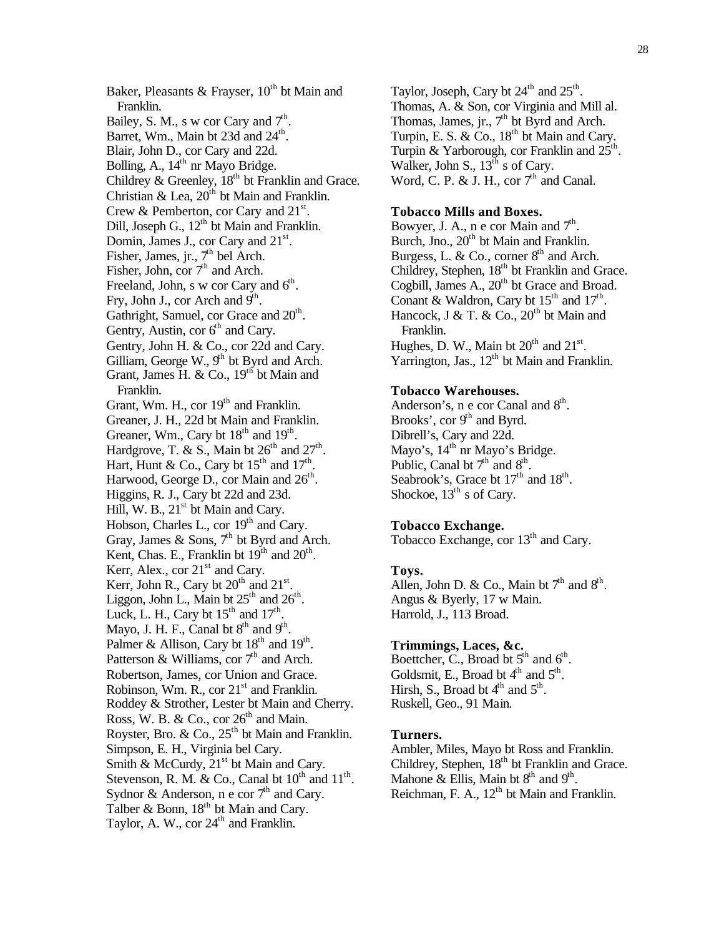Baker, Pleasants & Frayser,  $10^{th}$  bt Main and Franklin. Bailey, S. M., s w cor Cary and  $7<sup>th</sup>$ . Barret, Wm., Main bt 23d and 24<sup>th</sup>. Blair, John D., cor Cary and 22d. Bolling, A.,  $14<sup>th</sup>$  nr Mayo Bridge. Childrey & Greenley,  $18<sup>th</sup>$  bt Franklin and Grace. Christian & Lea,  $20^{th}$  bt Main and Franklin. Crew & Pemberton, cor Cary and  $21^{st}$ . Dill, Joseph G.,  $12<sup>th</sup>$  bt Main and Franklin. Domin, James J., cor Cary and 21<sup>st</sup>. Fisher, James, jr.,  $7<sup>th</sup>$  bel Arch. Fisher, John, cor  $7<sup>th</sup>$  and Arch. Freeland, John, s w cor Cary and  $6<sup>th</sup>$ . Fry, John J., cor Arch and  $9<sup>th</sup>$ . Gathright, Samuel, cor Grace and 20<sup>th</sup>. Gentry, Austin, cor  $6<sup>th</sup>$  and Cary. Gentry, John H. & Co., cor 22d and Cary. Gilliam, George W.,  $9<sup>th</sup>$  bt Byrd and Arch. Grant, James H. & Co.,  $19<sup>th</sup>$  bt Main and Franklin. Grant, Wm. H., cor  $19<sup>th</sup>$  and Franklin. Greaner, J. H., 22d bt Main and Franklin. Greaner, Wm., Cary bt  $18<sup>th</sup>$  and  $19<sup>th</sup>$ . Hardgrove, T. & S., Main bt  $26<sup>th</sup>$  and  $27<sup>th</sup>$ . Hart, Hunt & Co., Cary bt  $15<sup>th</sup>$  and  $17<sup>th</sup>$ . Harwood, George D., cor Main and 26<sup>th</sup>. Higgins, R. J., Cary bt 22d and 23d. Hill, W. B.,  $21<sup>st</sup>$  bt Main and Cary. Hobson, Charles L., cor 19<sup>th</sup> and Cary. Gray, James & Sons,  $7<sup>th</sup>$  bt Byrd and Arch. Kent, Chas. E., Franklin bt  $19<sup>th</sup>$  and  $20<sup>th</sup>$ . Kerr, Alex., cor  $21<sup>st</sup>$  and Cary. Kerr, John R., Cary bt  $20<sup>th</sup>$  and  $21<sup>st</sup>$ . Liggon, John L., Main bt  $25<sup>th</sup>$  and  $26<sup>th</sup>$ . Luck, L. H., Cary bt  $15<sup>th</sup>$  and  $17<sup>th</sup>$ . Mayo, J. H. F., Canal bt  $8<sup>th</sup>$  and  $9<sup>th</sup>$ . Palmer & Allison, Cary bt  $18<sup>th</sup>$  and  $19<sup>th</sup>$ . Patterson & Williams, cor  $7<sup>th</sup>$  and Arch. Robertson, James, cor Union and Grace. Robinson, Wm. R., cor  $21<sup>st</sup>$  and Franklin. Roddey & Strother, Lester bt Main and Cherry. Ross, W. B. & Co., cor  $26<sup>th</sup>$  and Main. Royster, Bro. & Co.,  $25<sup>th</sup>$  bt Main and Franklin. Simpson, E. H., Virginia bel Cary. Smith & McCurdy, 21<sup>st</sup> bt Main and Cary. Stevenson, R. M. & Co., Canal bt  $10^{th}$  and  $11^{th}$ . Sydnor & Anderson, n e cor  $7<sup>th</sup>$  and Cary. Talber & Bonn,  $18<sup>th</sup>$  bt Main and Cary. Taylor, A. W., cor  $24<sup>th</sup>$  and Franklin.

Taylor, Joseph, Cary bt  $24<sup>th</sup>$  and  $25<sup>th</sup>$ . Thomas, A. & Son, cor Virginia and Mill al. Thomas, James, jr.,  $7<sup>th</sup>$  bt Byrd and Arch. Turpin, E. S. & Co.,  $18<sup>th</sup>$  bt Main and Cary. Turpin & Yarborough, cor Franklin and  $25^{\text{th}}$ . Walker, John S.,  $13<sup>th</sup>$  s of Cary. Word, C. P. & J. H., cor  $7<sup>th</sup>$  and Canal.

## **Tobacco Mills and Boxes.**

Bowyer, J. A., n e cor Main and  $7<sup>th</sup>$ . Burch, Jno., 20<sup>th</sup> bt Main and Franklin. Burgess, L. & Co., corner  $8<sup>th</sup>$  and Arch. Childrey, Stephen, 18<sup>th</sup> bt Franklin and Grace. Cogbill, James A.,  $20<sup>th</sup>$  bt Grace and Broad. Conant & Waldron, Cary bt  $15^{\text{th}}$  and  $17^{\text{th}}$ . Hancock, J & T. & Co.,  $20^{th}$  bt Main and Franklin. Hughes, D. W., Main bt  $20<sup>th</sup>$  and  $21<sup>st</sup>$ . Yarrington, Jas.,  $12<sup>th</sup>$  bt Main and Franklin.

## **Tobacco Warehouses.**

Anderson's, n e cor Canal and  $8<sup>th</sup>$ . Brooks', cor  $9<sup>th</sup>$  and Byrd. Dibrell's, Cary and 22d. Mayo's, 14<sup>th</sup> nr Mayo's Bridge. Public, Canal bt  $7<sup>th</sup>$  and  $8<sup>th</sup>$ . Seabrook's, Grace bt  $17<sup>th</sup>$  and  $18<sup>th</sup>$ . Shockoe,  $13<sup>th</sup>$  s of Cary.

## **Tobacco Exchange.**

Tobacco Exchange, cor 13<sup>th</sup> and Cary.

## **Toys.**

Allen, John D. & Co., Main bt  $7<sup>th</sup>$  and  $8<sup>th</sup>$ . Angus & Byerly, 17 w Main. Harrold, J., 113 Broad.

## **Trimmings, Laces, &c.**

Boettcher, C., Broad bt  $5<sup>th</sup>$  and  $6<sup>th</sup>$ . Goldsmit, E., Broad bt  $4<sup>th</sup>$  and  $5<sup>th</sup>$ . Hirsh, S., Broad bt  $4<sup>th</sup>$  and  $5<sup>th</sup>$ . Ruskell, Geo., 91 Main.

## **Turners.**

Ambler, Miles, Mayo bt Ross and Franklin. Childrey, Stephen, 18<sup>th</sup> bt Franklin and Grace. Mahone & Ellis, Main bt  $8<sup>th</sup>$  and  $9<sup>th</sup>$ . Reichman, F. A.,  $12<sup>th</sup>$  bt Main and Franklin.